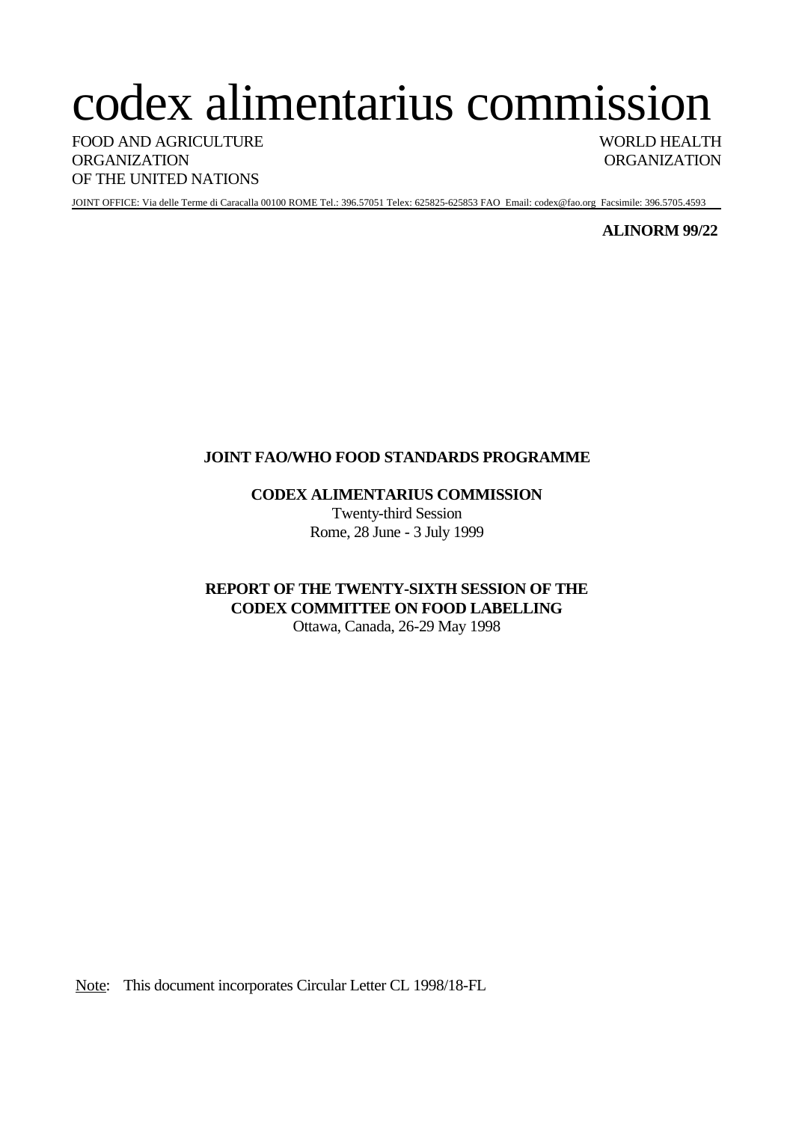# codex alimentarius commission

FOOD AND AGRICULTURE WORLD HEALTH ORGANIZATION ORGANIZATION OF THE UNITED NATIONS

JOINT OFFICE: Via delle Terme di Caracalla 00100 ROME Tel.: 396.57051 Telex: 625825-625853 FAO Email: codex@fao.org Facsimile: 396.5705.4593

# **ALINORM 99/22**

# **JOINT FAO/WHO FOOD STANDARDS PROGRAMME**

**CODEX ALIMENTARIUS COMMISSION** Twenty-third Session Rome, 28 June - 3 July 1999

**REPORT OF THE TWENTY-SIXTH SESSION OF THE CODEX COMMITTEE ON FOOD LABELLING** 

Ottawa, Canada, 26-29 May 1998

Note: This document incorporates Circular Letter CL 1998/18-FL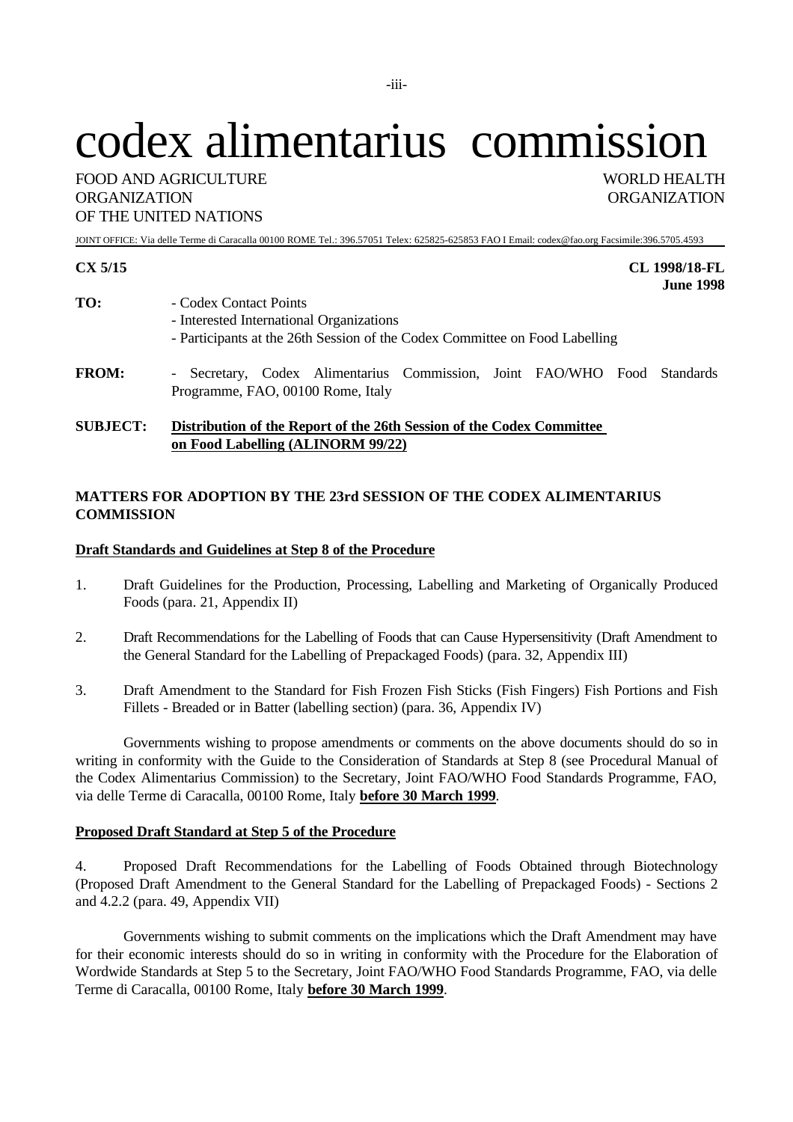# codex alimentarius commission

FOOD AND AGRICULTURE **EXAMPLE 1999** WORLD HEALTH ORGANIZATION ORGANIZATION OF THE UNITED NATIONS

JOINT OFFICE: Via delle Terme di Caracalla 00100 ROME Tel.: 396.57051 Telex: 625825-625853 FAO I Email: codex@fao.org Facsimile:396.5705.4593

# **CX 5/15 CL 1998/18-FL June 1998 TO:** - Codex Contact Points - Interested International Organizations - Participants at the 26th Session of the Codex Committee on Food Labelling **FROM:** - Secretary, Codex Alimentarius Commission, Joint FAO/WHO Food Standards Programme, FAO, 00100 Rome, Italy

# **SUBJECT: Distribution of the Report of the 26th Session of the Codex Committee on Food Labelling (ALINORM 99/22)**

# **MATTERS FOR ADOPTION BY THE 23rd SESSION OF THE CODEX ALIMENTARIUS COMMISSION**

# **Draft Standards and Guidelines at Step 8 of the Procedure**

- 1. Draft Guidelines for the Production, Processing, Labelling and Marketing of Organically Produced Foods (para. 21, Appendix II)
- 2. Draft Recommendations for the Labelling of Foods that can Cause Hypersensitivity (Draft Amendment to the General Standard for the Labelling of Prepackaged Foods) (para. 32, Appendix III)
- 3. Draft Amendment to the Standard for Fish Frozen Fish Sticks (Fish Fingers) Fish Portions and Fish Fillets - Breaded or in Batter (labelling section) (para. 36, Appendix IV)

Governments wishing to propose amendments or comments on the above documents should do so in writing in conformity with the Guide to the Consideration of Standards at Step 8 (see Procedural Manual of the Codex Alimentarius Commission) to the Secretary, Joint FAO/WHO Food Standards Programme, FAO, via delle Terme di Caracalla, 00100 Rome, Italy **before 30 March 1999**.

# **Proposed Draft Standard at Step 5 of the Procedure**

4. Proposed Draft Recommendations for the Labelling of Foods Obtained through Biotechnology (Proposed Draft Amendment to the General Standard for the Labelling of Prepackaged Foods) - Sections 2 and 4.2.2 (para. 49, Appendix VII)

Governments wishing to submit comments on the implications which the Draft Amendment may have for their economic interests should do so in writing in conformity with the Procedure for the Elaboration of Wordwide Standards at Step 5 to the Secretary, Joint FAO/WHO Food Standards Programme, FAO, via delle Terme di Caracalla, 00100 Rome, Italy **before 30 March 1999**.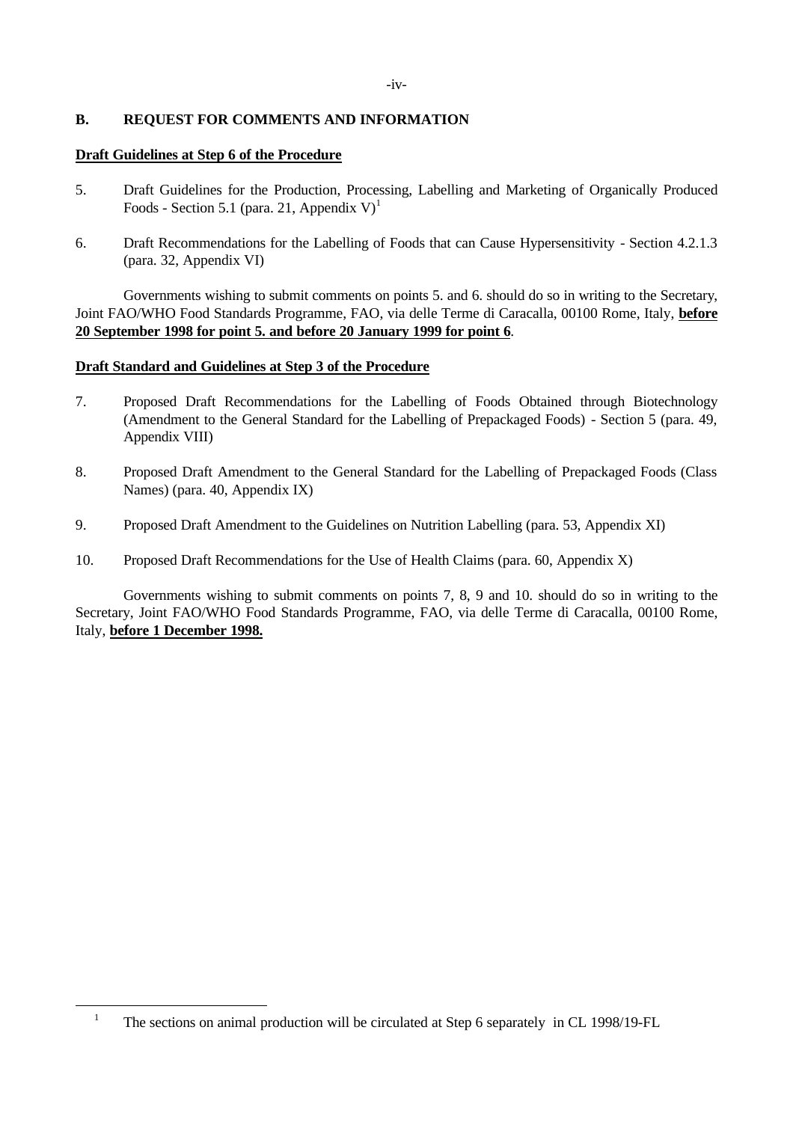# **B. REQUEST FOR COMMENTS AND INFORMATION**

# **Draft Guidelines at Step 6 of the Procedure**

- 5. Draft Guidelines for the Production, Processing, Labelling and Marketing of Organically Produced Foods - Section 5.1 (para. 21, Appendix V)<sup>1</sup>
- 6. Draft Recommendations for the Labelling of Foods that can Cause Hypersensitivity Section 4.2.1.3 (para. 32, Appendix VI)

Governments wishing to submit comments on points 5. and 6. should do so in writing to the Secretary, Joint FAO/WHO Food Standards Programme, FAO, via delle Terme di Caracalla, 00100 Rome, Italy, **before 20 September 1998 for point 5. and before 20 January 1999 for point 6**.

# **Draft Standard and Guidelines at Step 3 of the Procedure**

- 7. Proposed Draft Recommendations for the Labelling of Foods Obtained through Biotechnology (Amendment to the General Standard for the Labelling of Prepackaged Foods) - Section 5 (para. 49, Appendix VIII)
- 8. Proposed Draft Amendment to the General Standard for the Labelling of Prepackaged Foods (Class Names) (para. 40, Appendix IX)
- 9. Proposed Draft Amendment to the Guidelines on Nutrition Labelling (para. 53, Appendix XI)
- 10. Proposed Draft Recommendations for the Use of Health Claims (para. 60, Appendix X)

Governments wishing to submit comments on points 7, 8, 9 and 10. should do so in writing to the Secretary, Joint FAO/WHO Food Standards Programme, FAO, via delle Terme di Caracalla, 00100 Rome, Italy, **before 1 December 1998.**

 $\overline{a}$ 

<sup>&</sup>lt;sup>1</sup> The sections on animal production will be circulated at Step 6 separately in CL 1998/19-FL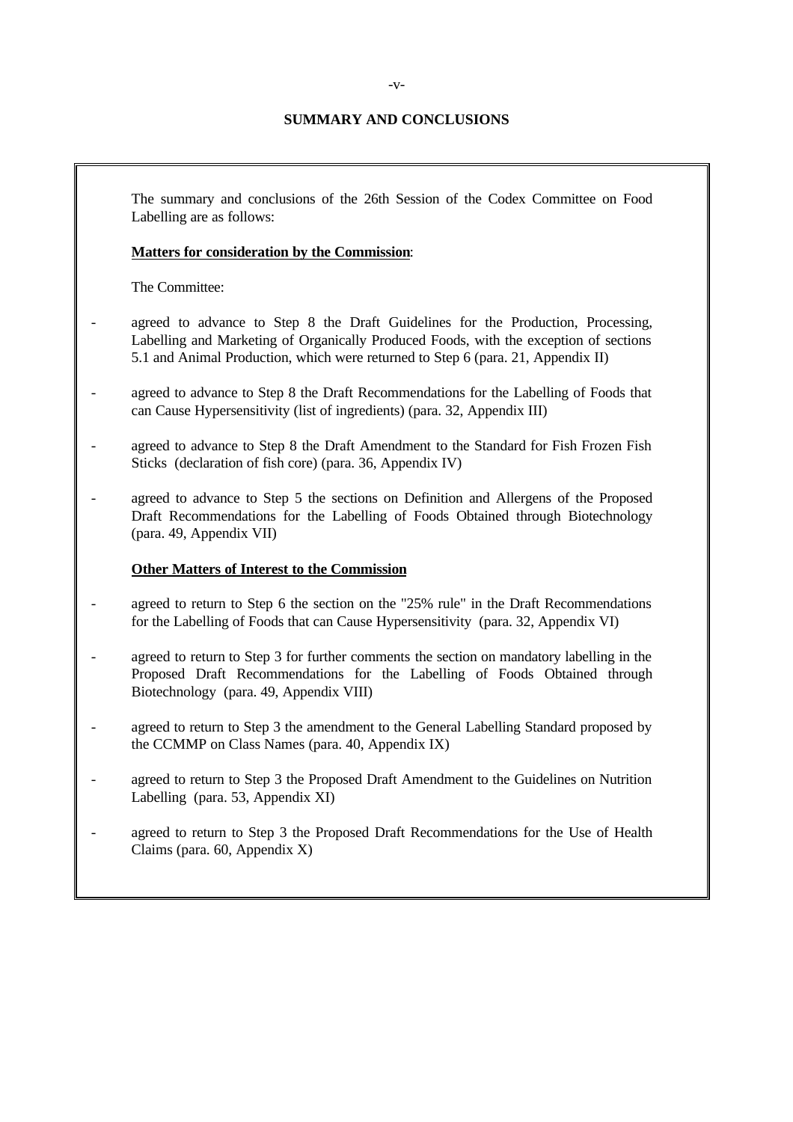## **SUMMARY AND CONCLUSIONS**

The summary and conclusions of the 26th Session of the Codex Committee on Food Labelling are as follows:

## **Matters for consideration by the Commission**:

The Committee:

- agreed to advance to Step 8 the Draft Guidelines for the Production, Processing, Labelling and Marketing of Organically Produced Foods, with the exception of sections 5.1 and Animal Production, which were returned to Step 6 (para. 21, Appendix II)
- agreed to advance to Step 8 the Draft Recommendations for the Labelling of Foods that can Cause Hypersensitivity (list of ingredients) (para. 32, Appendix III)
- agreed to advance to Step 8 the Draft Amendment to the Standard for Fish Frozen Fish Sticks (declaration of fish core) (para. 36, Appendix IV)
- agreed to advance to Step 5 the sections on Definition and Allergens of the Proposed Draft Recommendations for the Labelling of Foods Obtained through Biotechnology (para. 49, Appendix VII)

## **Other Matters of Interest to the Commission**

- agreed to return to Step 6 the section on the "25% rule" in the Draft Recommendations for the Labelling of Foods that can Cause Hypersensitivity (para. 32, Appendix VI)
- agreed to return to Step 3 for further comments the section on mandatory labelling in the Proposed Draft Recommendations for the Labelling of Foods Obtained through Biotechnology (para. 49, Appendix VIII)
- agreed to return to Step 3 the amendment to the General Labelling Standard proposed by the CCMMP on Class Names (para. 40, Appendix IX)
- agreed to return to Step 3 the Proposed Draft Amendment to the Guidelines on Nutrition Labelling (para. 53, Appendix XI)
- agreed to return to Step 3 the Proposed Draft Recommendations for the Use of Health Claims (para. 60, Appendix X)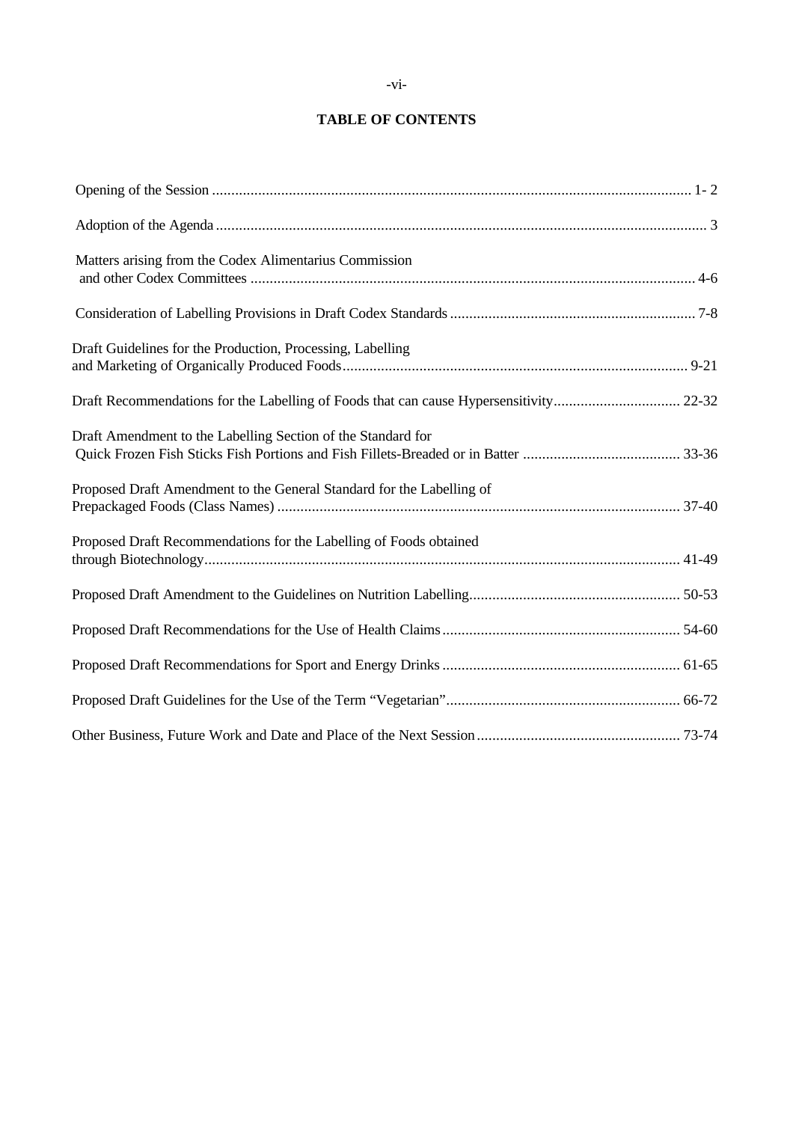# **TABLE OF CONTENTS**

| Matters arising from the Codex Alimentarius Commission                                 |
|----------------------------------------------------------------------------------------|
|                                                                                        |
| Draft Guidelines for the Production, Processing, Labelling                             |
| Draft Recommendations for the Labelling of Foods that can cause Hypersensitivity 22-32 |
| Draft Amendment to the Labelling Section of the Standard for                           |
| Proposed Draft Amendment to the General Standard for the Labelling of                  |
| Proposed Draft Recommendations for the Labelling of Foods obtained                     |
|                                                                                        |
|                                                                                        |
|                                                                                        |
|                                                                                        |
|                                                                                        |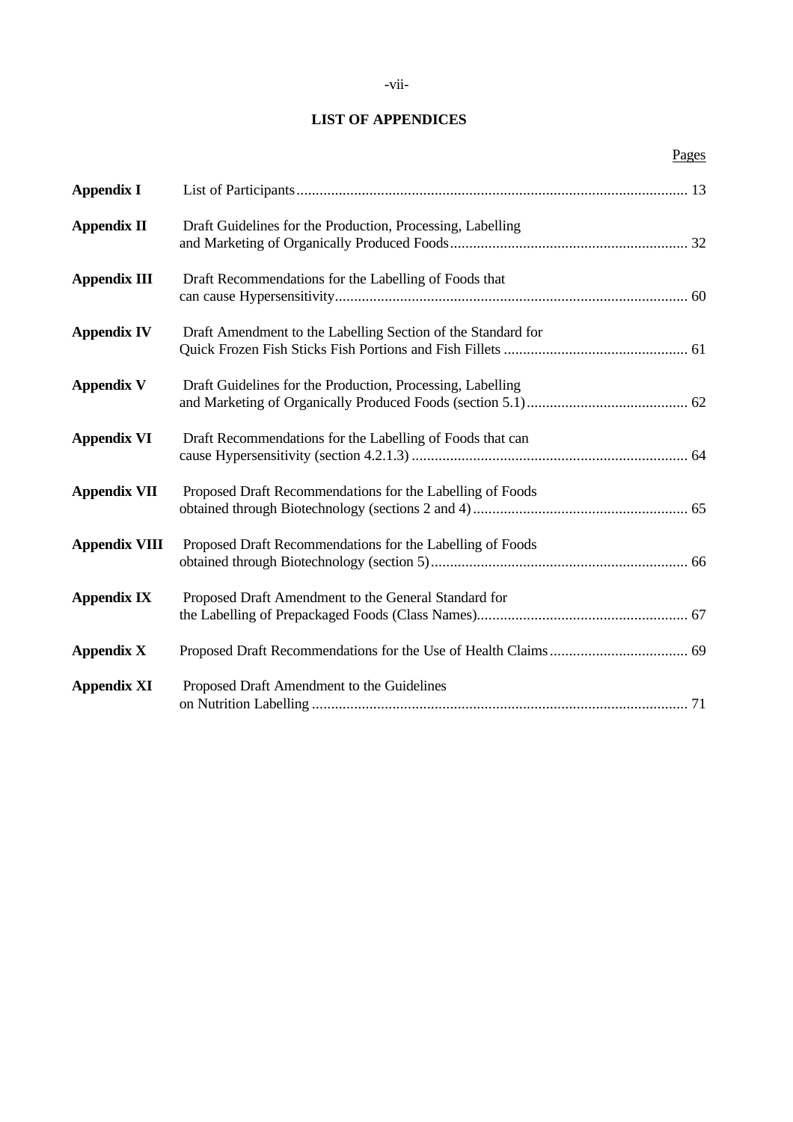# -vii-

# **LIST OF APPENDICES**

| <b>Appendix I</b>    |                                                              |  |  |  |
|----------------------|--------------------------------------------------------------|--|--|--|
| <b>Appendix II</b>   | Draft Guidelines for the Production, Processing, Labelling   |  |  |  |
| <b>Appendix III</b>  | Draft Recommendations for the Labelling of Foods that        |  |  |  |
| <b>Appendix IV</b>   | Draft Amendment to the Labelling Section of the Standard for |  |  |  |
| <b>Appendix V</b>    | Draft Guidelines for the Production, Processing, Labelling   |  |  |  |
| <b>Appendix VI</b>   | Draft Recommendations for the Labelling of Foods that can    |  |  |  |
| <b>Appendix VII</b>  | Proposed Draft Recommendations for the Labelling of Foods    |  |  |  |
| <b>Appendix VIII</b> | Proposed Draft Recommendations for the Labelling of Foods    |  |  |  |
| <b>Appendix IX</b>   | Proposed Draft Amendment to the General Standard for         |  |  |  |
| <b>Appendix X</b>    |                                                              |  |  |  |
| <b>Appendix XI</b>   | Proposed Draft Amendment to the Guidelines                   |  |  |  |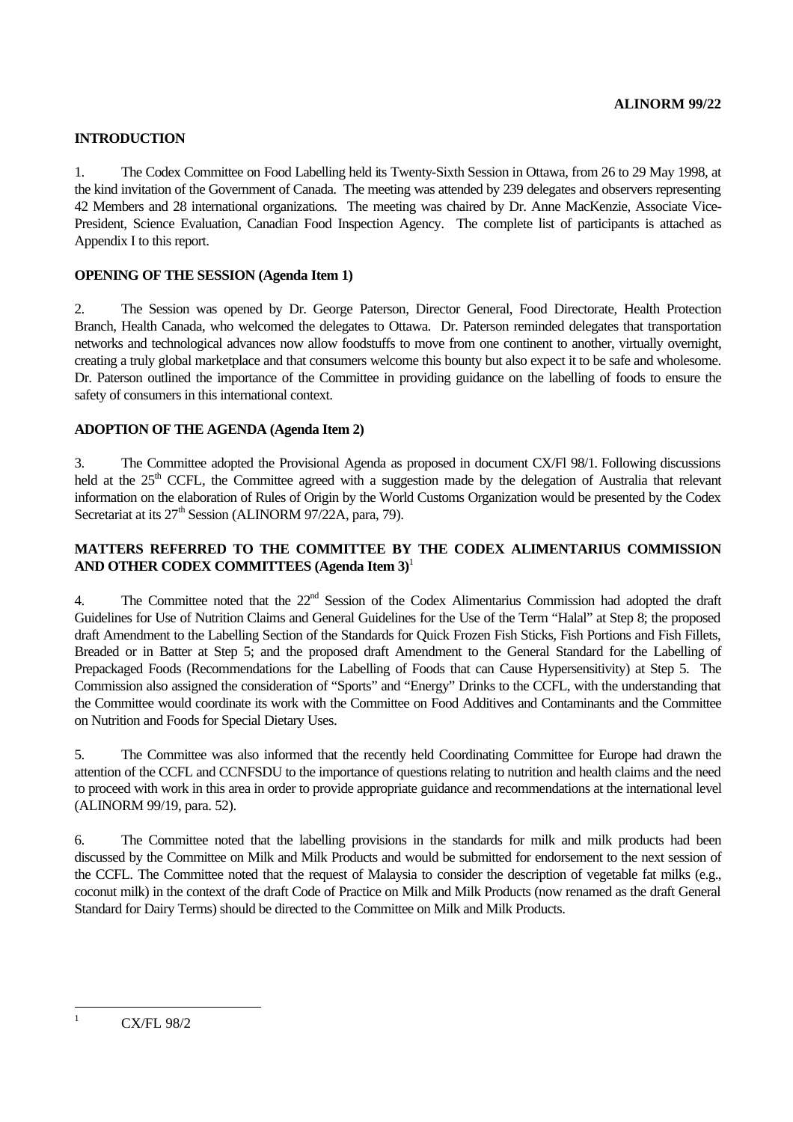# **ALINORM 99/22**

# **INTRODUCTION**

1. The Codex Committee on Food Labelling held its Twenty-Sixth Session in Ottawa, from 26 to 29 May 1998, at the kind invitation of the Government of Canada. The meeting was attended by 239 delegates and observers representing 42 Members and 28 international organizations. The meeting was chaired by Dr. Anne MacKenzie, Associate Vice-President, Science Evaluation, Canadian Food Inspection Agency. The complete list of participants is attached as Appendix I to this report.

# **OPENING OF THE SESSION (Agenda Item 1)**

2. The Session was opened by Dr. George Paterson, Director General, Food Directorate, Health Protection Branch, Health Canada, who welcomed the delegates to Ottawa. Dr. Paterson reminded delegates that transportation networks and technological advances now allow foodstuffs to move from one continent to another, virtually overnight, creating a truly global marketplace and that consumers welcome this bounty but also expect it to be safe and wholesome. Dr. Paterson outlined the importance of the Committee in providing guidance on the labelling of foods to ensure the safety of consumers in this international context.

# **ADOPTION OF THE AGENDA (Agenda Item 2)**

3. The Committee adopted the Provisional Agenda as proposed in document CX/Fl 98/1. Following discussions held at the 25<sup>th</sup> CCFL, the Committee agreed with a suggestion made by the delegation of Australia that relevant information on the elaboration of Rules of Origin by the World Customs Organization would be presented by the Codex Secretariat at its 27<sup>th</sup> Session (ALINORM 97/22A, para, 79).

# **MATTERS REFERRED TO THE COMMITTEE BY THE CODEX ALIMENTARIUS COMMISSION AND OTHER CODEX COMMITTEES (Agenda Item 3)**<sup>1</sup>

4. The Committee noted that the 22<sup>nd</sup> Session of the Codex Alimentarius Commission had adopted the draft Guidelines for Use of Nutrition Claims and General Guidelines for the Use of the Term "Halal" at Step 8; the proposed draft Amendment to the Labelling Section of the Standards for Quick Frozen Fish Sticks, Fish Portions and Fish Fillets, Breaded or in Batter at Step 5; and the proposed draft Amendment to the General Standard for the Labelling of Prepackaged Foods (Recommendations for the Labelling of Foods that can Cause Hypersensitivity) at Step 5. The Commission also assigned the consideration of "Sports" and "Energy" Drinks to the CCFL, with the understanding that the Committee would coordinate its work with the Committee on Food Additives and Contaminants and the Committee on Nutrition and Foods for Special Dietary Uses.

5. The Committee was also informed that the recently held Coordinating Committee for Europe had drawn the attention of the CCFL and CCNFSDU to the importance of questions relating to nutrition and health claims and the need to proceed with work in this area in order to provide appropriate guidance and recommendations at the international level (ALINORM 99/19, para. 52).

6. The Committee noted that the labelling provisions in the standards for milk and milk products had been discussed by the Committee on Milk and Milk Products and would be submitted for endorsement to the next session of the CCFL. The Committee noted that the request of Malaysia to consider the description of vegetable fat milks (e.g., coconut milk) in the context of the draft Code of Practice on Milk and Milk Products (now renamed as the draft General Standard for Dairy Terms) should be directed to the Committee on Milk and Milk Products.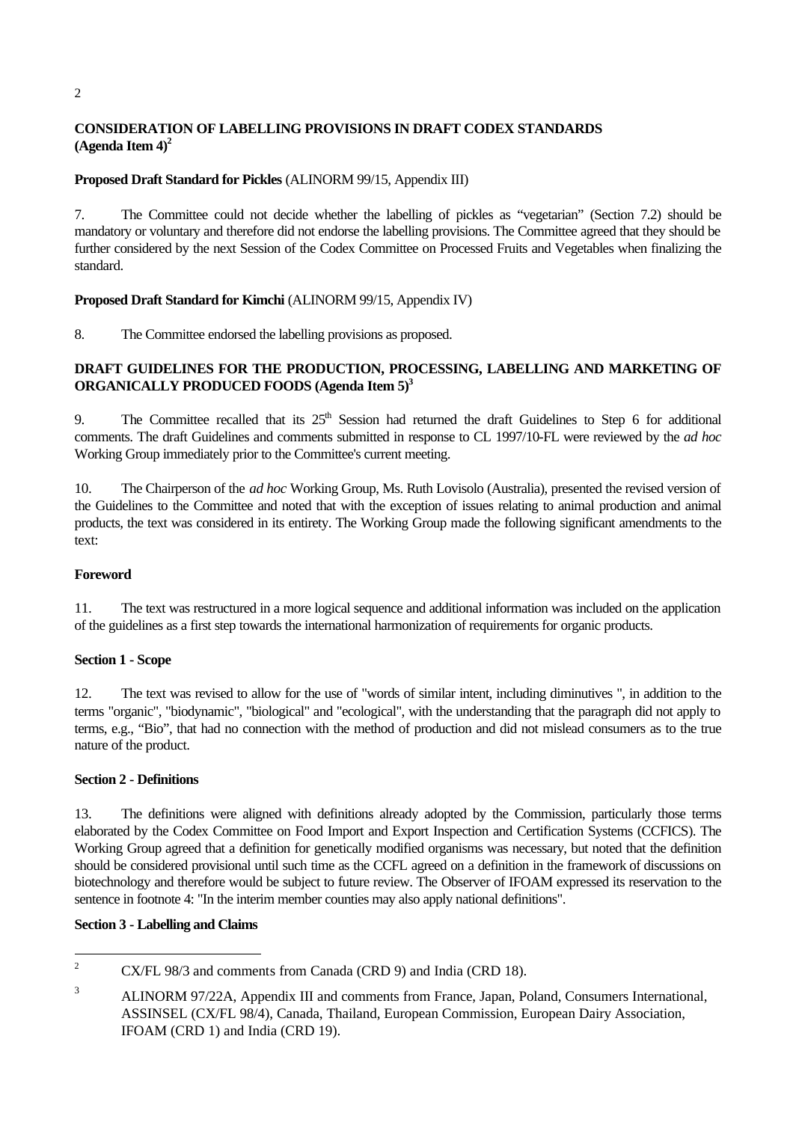# **CONSIDERATION OF LABELLING PROVISIONS IN DRAFT CODEX STANDARDS (Agenda Item 4)<sup>2</sup>**

# **Proposed Draft Standard for Pickles** (ALINORM 99/15, Appendix III)

7. The Committee could not decide whether the labelling of pickles as "vegetarian" (Section 7.2) should be mandatory or voluntary and therefore did not endorse the labelling provisions. The Committee agreed that they should be further considered by the next Session of the Codex Committee on Processed Fruits and Vegetables when finalizing the standard.

# **Proposed Draft Standard for Kimchi** (ALINORM 99/15, Appendix IV)

8. The Committee endorsed the labelling provisions as proposed.

# **DRAFT GUIDELINES FOR THE PRODUCTION, PROCESSING, LABELLING AND MARKETING OF ORGANICALLY PRODUCED FOODS (Agenda Item 5)<sup>3</sup>**

9. The Committee recalled that its  $25<sup>th</sup>$  Session had returned the draft Guidelines to Step 6 for additional comments. The draft Guidelines and comments submitted in response to CL 1997/10-FL were reviewed by the *ad hoc* Working Group immediately prior to the Committee's current meeting.

10. The Chairperson of the *ad hoc* Working Group, Ms. Ruth Lovisolo (Australia), presented the revised version of the Guidelines to the Committee and noted that with the exception of issues relating to animal production and animal products, the text was considered in its entirety. The Working Group made the following significant amendments to the text:

# **Foreword**

11. The text was restructured in a more logical sequence and additional information was included on the application of the guidelines as a first step towards the international harmonization of requirements for organic products.

# **Section 1 - Scope**

12. The text was revised to allow for the use of "words of similar intent, including diminutives ", in addition to the terms "organic", "biodynamic", "biological" and "ecological", with the understanding that the paragraph did not apply to terms, e.g., "Bio", that had no connection with the method of production and did not mislead consumers as to the true nature of the product.

# **Section 2 - Definitions**

13. The definitions were aligned with definitions already adopted by the Commission, particularly those terms elaborated by the Codex Committee on Food Import and Export Inspection and Certification Systems (CCFICS). The Working Group agreed that a definition for genetically modified organisms was necessary, but noted that the definition should be considered provisional until such time as the CCFL agreed on a definition in the framework of discussions on biotechnology and therefore would be subject to future review. The Observer of IFOAM expressed its reservation to the sentence in footnote 4: "In the interim member counties may also apply national definitions".

# **Section 3 - Labelling and Claims**

 $\overline{c}$ <sup>2</sup> CX/FL 98/3 and comments from Canada (CRD 9) and India (CRD 18).

<sup>&</sup>lt;sup>3</sup> ALINORM 97/22A, Appendix III and comments from France, Japan, Poland, Consumers International, ASSINSEL (CX/FL 98/4), Canada, Thailand, European Commission, European Dairy Association, IFOAM (CRD 1) and India (CRD 19).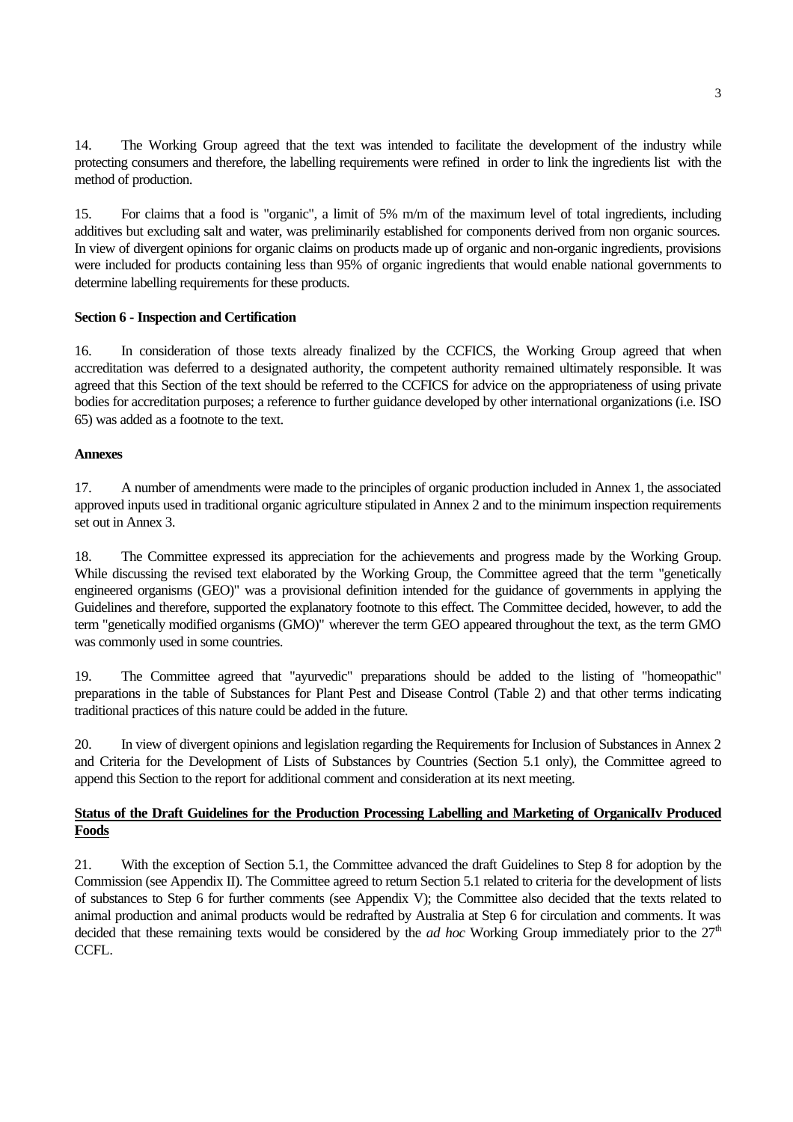14. The Working Group agreed that the text was intended to facilitate the development of the industry while protecting consumers and therefore, the labelling requirements were refined in order to link the ingredients list with the method of production.

15. For claims that a food is "organic", a limit of 5% m/m of the maximum level of total ingredients, including additives but excluding salt and water, was preliminarily established for components derived from non organic sources. In view of divergent opinions for organic claims on products made up of organic and non-organic ingredients, provisions were included for products containing less than 95% of organic ingredients that would enable national governments to determine labelling requirements for these products.

## **Section 6 - Inspection and Certification**

16. In consideration of those texts already finalized by the CCFICS, the Working Group agreed that when accreditation was deferred to a designated authority, the competent authority remained ultimately responsible. It was agreed that this Section of the text should be referred to the CCFICS for advice on the appropriateness of using private bodies for accreditation purposes; a reference to further guidance developed by other international organizations (i.e. ISO 65) was added as a footnote to the text.

## **Annexes**

17. A number of amendments were made to the principles of organic production included in Annex 1, the associated approved inputs used in traditional organic agriculture stipulated in Annex 2 and to the minimum inspection requirements set out in Annex 3.

18. The Committee expressed its appreciation for the achievements and progress made by the Working Group. While discussing the revised text elaborated by the Working Group, the Committee agreed that the term "genetically engineered organisms (GEO)" was a provisional definition intended for the guidance of governments in applying the Guidelines and therefore, supported the explanatory footnote to this effect. The Committee decided, however, to add the term "genetically modified organisms (GMO)" wherever the term GEO appeared throughout the text, as the term GMO was commonly used in some countries.

19. The Committee agreed that "ayurvedic" preparations should be added to the listing of "homeopathic" preparations in the table of Substances for Plant Pest and Disease Control (Table 2) and that other terms indicating traditional practices of this nature could be added in the future.

20. In view of divergent opinions and legislation regarding the Requirements for Inclusion of Substances in Annex 2 and Criteria for the Development of Lists of Substances by Countries (Section 5.1 only), the Committee agreed to append this Section to the report for additional comment and consideration at its next meeting.

# **Status of the Draft Guidelines for the Production Processing Labelling and Marketing of OrganicalIv Produced Foods**

21. With the exception of Section 5.1, the Committee advanced the draft Guidelines to Step 8 for adoption by the Commission (see Appendix II). The Committee agreed to return Section 5.1 related to criteria for the development of lists of substances to Step 6 for further comments (see Appendix V); the Committee also decided that the texts related to animal production and animal products would be redrafted by Australia at Step 6 for circulation and comments. It was decided that these remaining texts would be considered by the *ad hoc* Working Group immediately prior to the  $27<sup>th</sup>$ CCFL.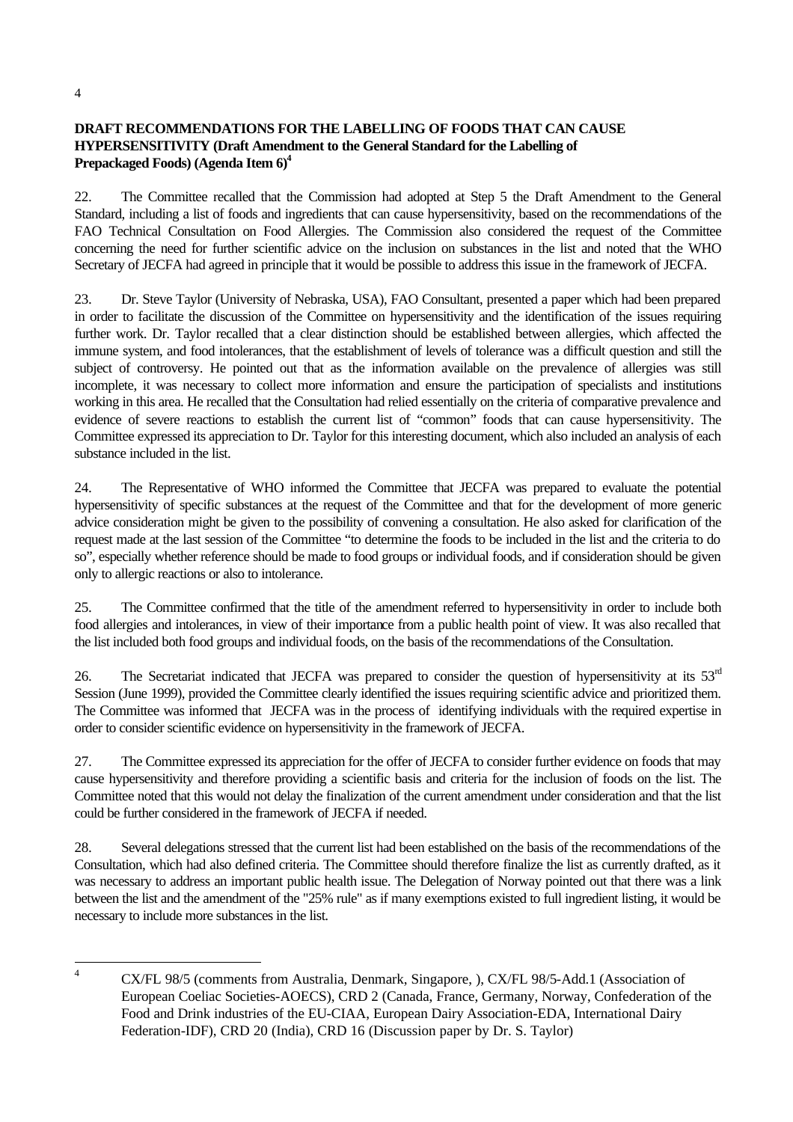# **DRAFT RECOMMENDATIONS FOR THE LABELLING OF FOODS THAT CAN CAUSE HYPERSENSITIVITY (Draft Amendment to the General Standard for the Labelling of Prepackaged Foods) (Agenda Item 6)<sup>4</sup>**

22. The Committee recalled that the Commission had adopted at Step 5 the Draft Amendment to the General Standard, including a list of foods and ingredients that can cause hypersensitivity, based on the recommendations of the FAO Technical Consultation on Food Allergies. The Commission also considered the request of the Committee concerning the need for further scientific advice on the inclusion on substances in the list and noted that the WHO Secretary of JECFA had agreed in principle that it would be possible to address this issue in the framework of JECFA.

23. Dr. Steve Taylor (University of Nebraska, USA), FAO Consultant, presented a paper which had been prepared in order to facilitate the discussion of the Committee on hypersensitivity and the identification of the issues requiring further work. Dr. Taylor recalled that a clear distinction should be established between allergies, which affected the immune system, and food intolerances, that the establishment of levels of tolerance was a difficult question and still the subject of controversy. He pointed out that as the information available on the prevalence of allergies was still incomplete, it was necessary to collect more information and ensure the participation of specialists and institutions working in this area. He recalled that the Consultation had relied essentially on the criteria of comparative prevalence and evidence of severe reactions to establish the current list of "common" foods that can cause hypersensitivity. The Committee expressed its appreciation to Dr. Taylor for this interesting document, which also included an analysis of each substance included in the list.

24. The Representative of WHO informed the Committee that JECFA was prepared to evaluate the potential hypersensitivity of specific substances at the request of the Committee and that for the development of more generic advice consideration might be given to the possibility of convening a consultation. He also asked for clarification of the request made at the last session of the Committee "to determine the foods to be included in the list and the criteria to do so", especially whether reference should be made to food groups or individual foods, and if consideration should be given only to allergic reactions or also to intolerance.

25. The Committee confirmed that the title of the amendment referred to hypersensitivity in order to include both food allergies and intolerances, in view of their importance from a public health point of view. It was also recalled that the list included both food groups and individual foods, on the basis of the recommendations of the Consultation.

26. The Secretariat indicated that JECFA was prepared to consider the question of hypersensitivity at its  $53<sup>rd</sup>$ Session (June 1999), provided the Committee clearly identified the issues requiring scientific advice and prioritized them. The Committee was informed that JECFA was in the process of identifying individuals with the required expertise in order to consider scientific evidence on hypersensitivity in the framework of JECFA.

27. The Committee expressed its appreciation for the offer of JECFA to consider further evidence on foods that may cause hypersensitivity and therefore providing a scientific basis and criteria for the inclusion of foods on the list. The Committee noted that this would not delay the finalization of the current amendment under consideration and that the list could be further considered in the framework of JECFA if needed.

28. Several delegations stressed that the current list had been established on the basis of the recommendations of the Consultation, which had also defined criteria. The Committee should therefore finalize the list as currently drafted, as it was necessary to address an important public health issue. The Delegation of Norway pointed out that there was a link between the list and the amendment of the "25% rule" as if many exemptions existed to full ingredient listing, it would be necessary to include more substances in the list.

 $\frac{1}{4}$ 

CX/FL 98/5 (comments from Australia, Denmark, Singapore, ), CX/FL 98/5-Add.1 (Association of European Coeliac Societies-AOECS), CRD 2 (Canada, France, Germany, Norway, Confederation of the Food and Drink industries of the EU-CIAA, European Dairy Association-EDA, International Dairy Federation-IDF), CRD 20 (India), CRD 16 (Discussion paper by Dr. S. Taylor)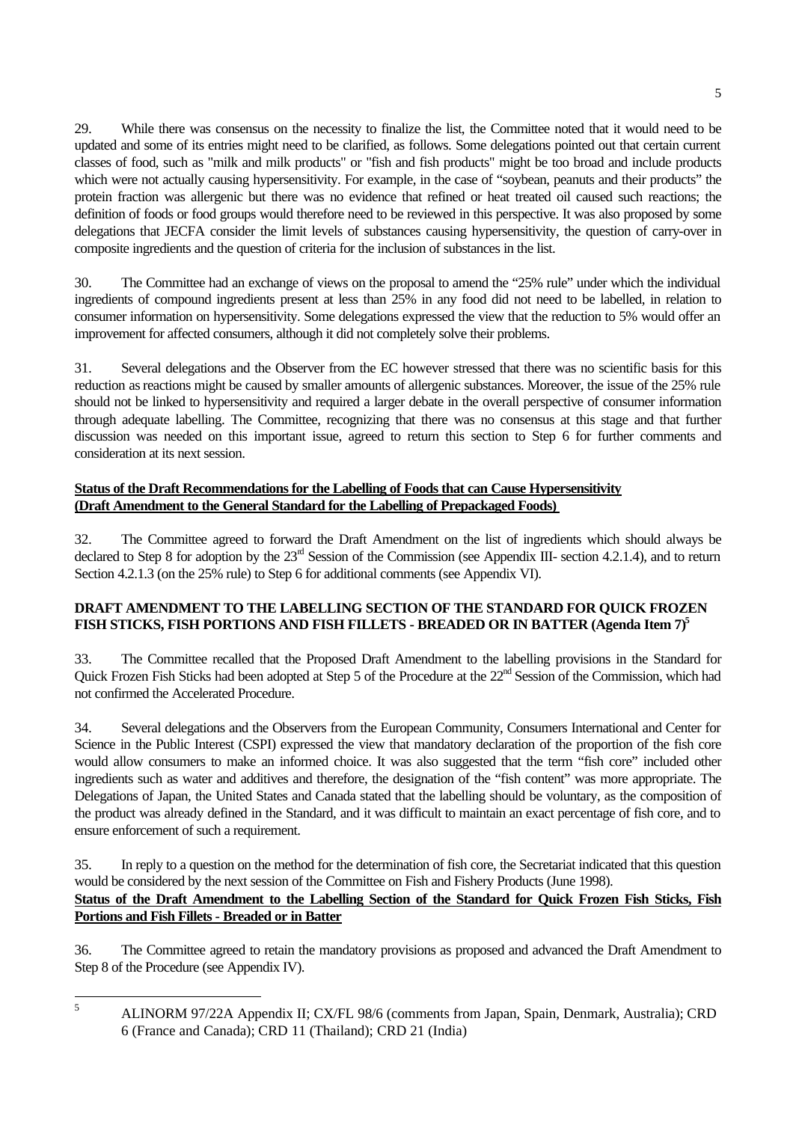29. While there was consensus on the necessity to finalize the list, the Committee noted that it would need to be updated and some of its entries might need to be clarified, as follows. Some delegations pointed out that certain current classes of food, such as "milk and milk products" or "fish and fish products" might be too broad and include products which were not actually causing hypersensitivity. For example, in the case of "soybean, peanuts and their products" the protein fraction was allergenic but there was no evidence that refined or heat treated oil caused such reactions; the definition of foods or food groups would therefore need to be reviewed in this perspective. It was also proposed by some delegations that JECFA consider the limit levels of substances causing hypersensitivity, the question of carry-over in composite ingredients and the question of criteria for the inclusion of substances in the list.

30. The Committee had an exchange of views on the proposal to amend the "25% rule" under which the individual ingredients of compound ingredients present at less than 25% in any food did not need to be labelled, in relation to consumer information on hypersensitivity. Some delegations expressed the view that the reduction to 5% would offer an improvement for affected consumers, although it did not completely solve their problems.

31. Several delegations and the Observer from the EC however stressed that there was no scientific basis for this reduction as reactions might be caused by smaller amounts of allergenic substances. Moreover, the issue of the 25% rule should not be linked to hypersensitivity and required a larger debate in the overall perspective of consumer information through adequate labelling. The Committee, recognizing that there was no consensus at this stage and that further discussion was needed on this important issue, agreed to return this section to Step 6 for further comments and consideration at its next session.

# **Status of the Draft Recommendations for the Labelling of Foods that can Cause Hypersensitivity (Draft Amendment to the General Standard for the Labelling of Prepackaged Foods)**

32. The Committee agreed to forward the Draft Amendment on the list of ingredients which should always be declared to Step 8 for adoption by the 23<sup>rd</sup> Session of the Commission (see Appendix III- section 4.2.1.4), and to return Section 4.2.1.3 (on the 25% rule) to Step 6 for additional comments (see Appendix VI).

# **DRAFT AMENDMENT TO THE LABELLING SECTION OF THE STANDARD FOR QUICK FROZEN FISH STICKS, FISH PORTIONS AND FISH FILLETS - BREADED OR IN BATTER (Agenda Item 7)<sup>5</sup>**

33. The Committee recalled that the Proposed Draft Amendment to the labelling provisions in the Standard for Quick Frozen Fish Sticks had been adopted at Step 5 of the Procedure at the 22<sup>nd</sup> Session of the Commission, which had not confirmed the Accelerated Procedure.

34. Several delegations and the Observers from the European Community, Consumers International and Center for Science in the Public Interest (CSPI) expressed the view that mandatory declaration of the proportion of the fish core would allow consumers to make an informed choice. It was also suggested that the term "fish core" included other ingredients such as water and additives and therefore, the designation of the "fish content" was more appropriate. The Delegations of Japan, the United States and Canada stated that the labelling should be voluntary, as the composition of the product was already defined in the Standard, and it was difficult to maintain an exact percentage of fish core, and to ensure enforcement of such a requirement.

35. In reply to a question on the method for the determination of fish core, the Secretariat indicated that this question would be considered by the next session of the Committee on Fish and Fishery Products (June 1998). **Status of the Draft Amendment to the Labelling Section of the Standard for Quick Frozen Fish Sticks, Fish Portions and Fish Fillets - Breaded or in Batter**

36. The Committee agreed to retain the mandatory provisions as proposed and advanced the Draft Amendment to Step 8 of the Procedure (see Appendix IV).

 $\overline{5}$ <sup>5</sup> ALINORM 97/22A Appendix II; CX/FL 98/6 (comments from Japan, Spain, Denmark, Australia); CRD 6 (France and Canada); CRD 11 (Thailand); CRD 21 (India)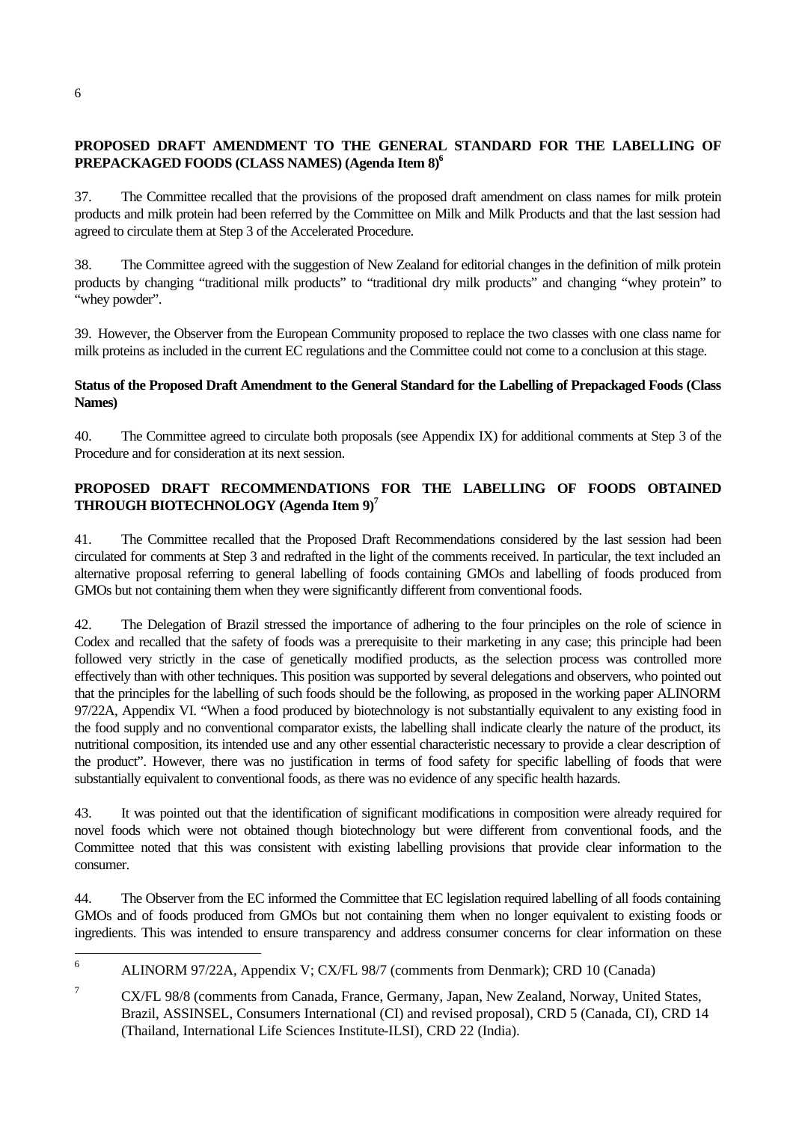# **PROPOSED DRAFT AMENDMENT TO THE GENERAL STANDARD FOR THE LABELLING OF PREPACKAGED FOODS (CLASS NAMES) (Agenda Item 8)<sup>6</sup>**

37. The Committee recalled that the provisions of the proposed draft amendment on class names for milk protein products and milk protein had been referred by the Committee on Milk and Milk Products and that the last session had agreed to circulate them at Step 3 of the Accelerated Procedure.

38. The Committee agreed with the suggestion of New Zealand for editorial changes in the definition of milk protein products by changing "traditional milk products" to "traditional dry milk products" and changing "whey protein" to "whey powder".

39. However, the Observer from the European Community proposed to replace the two classes with one class name for milk proteins as included in the current EC regulations and the Committee could not come to a conclusion at this stage.

# **Status of the Proposed Draft Amendment to the General Standard for the Labelling of Prepackaged Foods (Class Names)**

40. The Committee agreed to circulate both proposals (see Appendix IX) for additional comments at Step 3 of the Procedure and for consideration at its next session.

# **PROPOSED DRAFT RECOMMENDATIONS FOR THE LABELLING OF FOODS OBTAINED THROUGH BIOTECHNOLOGY (Agenda Item 9)<sup>7</sup>**

41. The Committee recalled that the Proposed Draft Recommendations considered by the last session had been circulated for comments at Step 3 and redrafted in the light of the comments received. In particular, the text included an alternative proposal referring to general labelling of foods containing GMOs and labelling of foods produced from GMOs but not containing them when they were significantly different from conventional foods.

42. The Delegation of Brazil stressed the importance of adhering to the four principles on the role of science in Codex and recalled that the safety of foods was a prerequisite to their marketing in any case; this principle had been followed very strictly in the case of genetically modified products, as the selection process was controlled more effectively than with other techniques. This position was supported by several delegations and observers, who pointed out that the principles for the labelling of such foods should be the following, as proposed in the working paper ALINORM 97/22A, Appendix VI. "When a food produced by biotechnology is not substantially equivalent to any existing food in the food supply and no conventional comparator exists, the labelling shall indicate clearly the nature of the product, its nutritional composition, its intended use and any other essential characteristic necessary to provide a clear description of the product". However, there was no justification in terms of food safety for specific labelling of foods that were substantially equivalent to conventional foods, as there was no evidence of any specific health hazards.

43. It was pointed out that the identification of significant modifications in composition were already required for novel foods which were not obtained though biotechnology but were different from conventional foods, and the Committee noted that this was consistent with existing labelling provisions that provide clear information to the consumer.

44. The Observer from the EC informed the Committee that EC legislation required labelling of all foods containing GMOs and of foods produced from GMOs but not containing them when no longer equivalent to existing foods or ingredients. This was intended to ensure transparency and address consumer concerns for clear information on these

# <sup>6</sup> ALINORM 97/22A, Appendix V; CX/FL 98/7 (comments from Denmark); CRD 10 (Canada)

7 CX/FL 98/8 (comments from Canada, France, Germany, Japan, New Zealand, Norway, United States, Brazil, ASSINSEL, Consumers International (CI) and revised proposal), CRD 5 (Canada, CI), CRD 14 (Thailand, International Life Sciences Institute-ILSI), CRD 22 (India).

 $\overline{a}$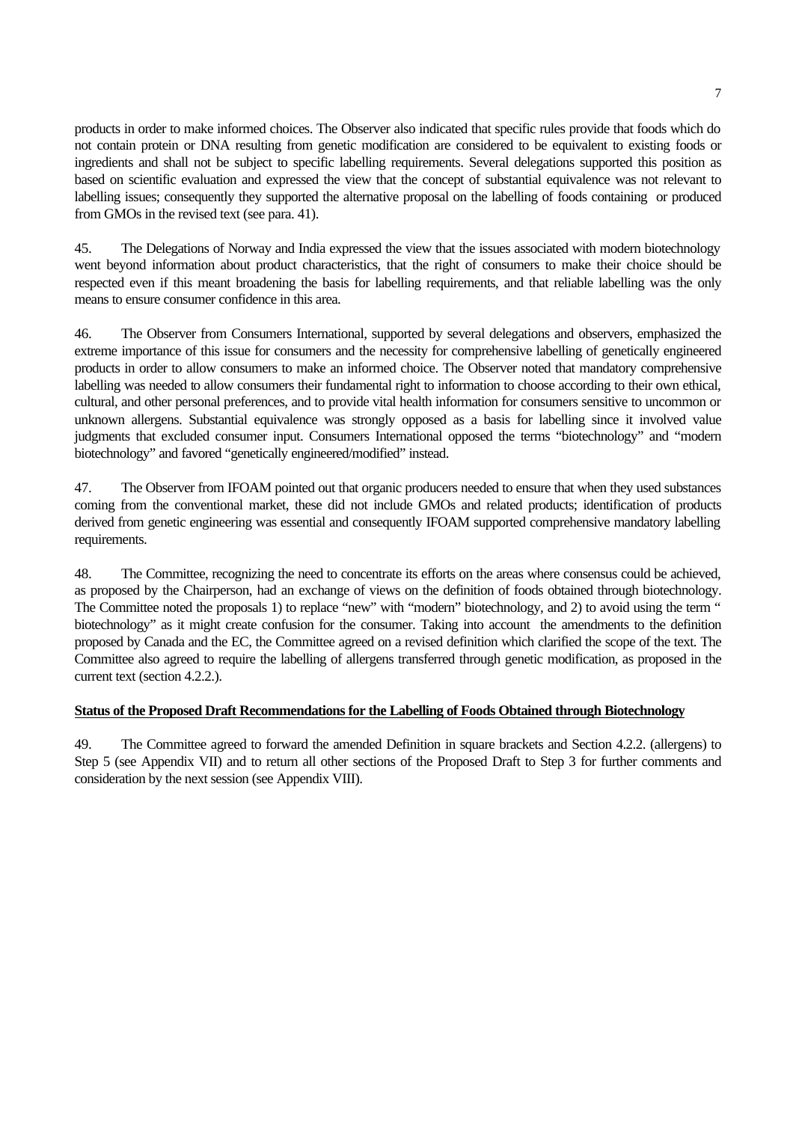products in order to make informed choices. The Observer also indicated that specific rules provide that foods which do not contain protein or DNA resulting from genetic modification are considered to be equivalent to existing foods or ingredients and shall not be subject to specific labelling requirements. Several delegations supported this position as based on scientific evaluation and expressed the view that the concept of substantial equivalence was not relevant to labelling issues; consequently they supported the alternative proposal on the labelling of foods containing or produced from GMOs in the revised text (see para. 41).

45. The Delegations of Norway and India expressed the view that the issues associated with modern biotechnology went beyond information about product characteristics, that the right of consumers to make their choice should be respected even if this meant broadening the basis for labelling requirements, and that reliable labelling was the only means to ensure consumer confidence in this area.

46. The Observer from Consumers International, supported by several delegations and observers, emphasized the extreme importance of this issue for consumers and the necessity for comprehensive labelling of genetically engineered products in order to allow consumers to make an informed choice. The Observer noted that mandatory comprehensive labelling was needed to allow consumers their fundamental right to information to choose according to their own ethical, cultural, and other personal preferences, and to provide vital health information for consumers sensitive to uncommon or unknown allergens. Substantial equivalence was strongly opposed as a basis for labelling since it involved value judgments that excluded consumer input. Consumers International opposed the terms "biotechnology" and "modern biotechnology" and favored "genetically engineered/modified" instead.

47. The Observer from IFOAM pointed out that organic producers needed to ensure that when they used substances coming from the conventional market, these did not include GMOs and related products; identification of products derived from genetic engineering was essential and consequently IFOAM supported comprehensive mandatory labelling requirements.

48. The Committee, recognizing the need to concentrate its efforts on the areas where consensus could be achieved, as proposed by the Chairperson, had an exchange of views on the definition of foods obtained through biotechnology. The Committee noted the proposals 1) to replace "new" with "modern" biotechnology, and 2) to avoid using the term " biotechnology" as it might create confusion for the consumer. Taking into account the amendments to the definition proposed by Canada and the EC, the Committee agreed on a revised definition which clarified the scope of the text. The Committee also agreed to require the labelling of allergens transferred through genetic modification, as proposed in the current text (section 4.2.2.).

# **Status of the Proposed Draft Recommendations for the Labelling of Foods Obtained through Biotechnology**

49. The Committee agreed to forward the amended Definition in square brackets and Section 4.2.2. (allergens) to Step 5 (see Appendix VII) and to return all other sections of the Proposed Draft to Step 3 for further comments and consideration by the next session (see Appendix VIII).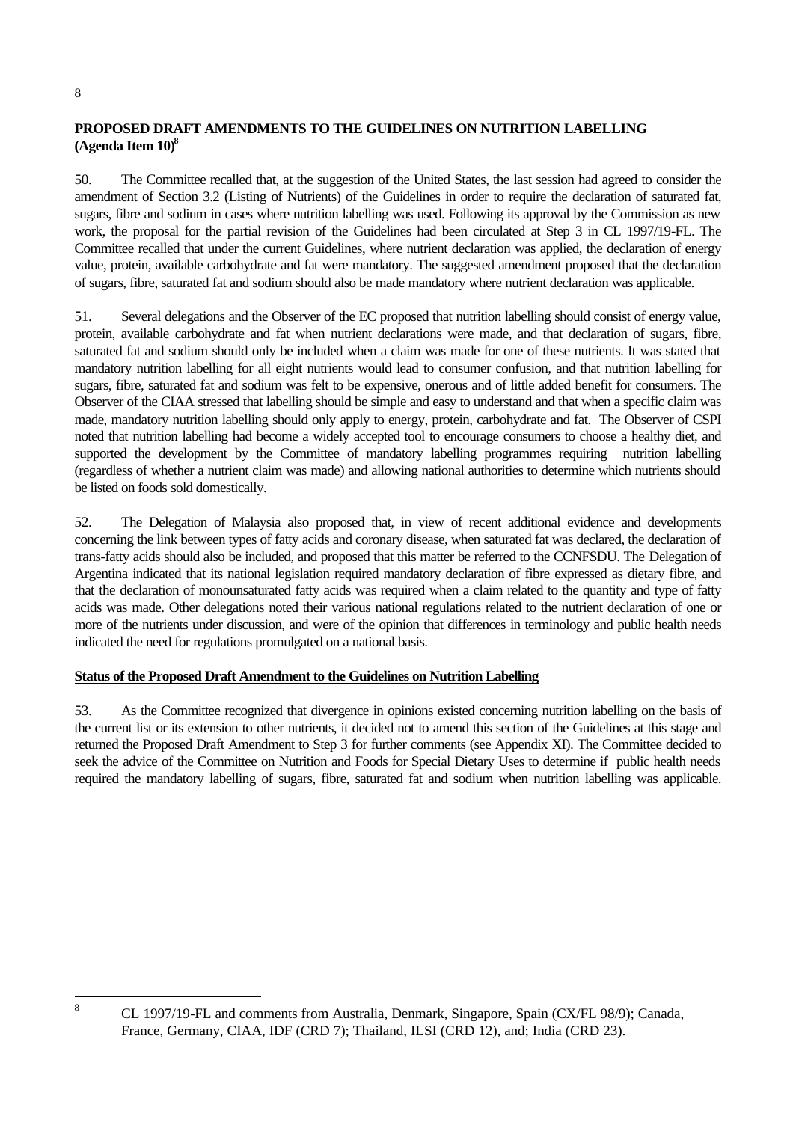# **PROPOSED DRAFT AMENDMENTS TO THE GUIDELINES ON NUTRITION LABELLING (Agenda Item 10)<sup>8</sup>**

50. The Committee recalled that, at the suggestion of the United States, the last session had agreed to consider the amendment of Section 3.2 (Listing of Nutrients) of the Guidelines in order to require the declaration of saturated fat, sugars, fibre and sodium in cases where nutrition labelling was used. Following its approval by the Commission as new work, the proposal for the partial revision of the Guidelines had been circulated at Step 3 in CL 1997/19-FL. The Committee recalled that under the current Guidelines, where nutrient declaration was applied, the declaration of energy value, protein, available carbohydrate and fat were mandatory. The suggested amendment proposed that the declaration of sugars, fibre, saturated fat and sodium should also be made mandatory where nutrient declaration was applicable.

51. Several delegations and the Observer of the EC proposed that nutrition labelling should consist of energy value, protein, available carbohydrate and fat when nutrient declarations were made, and that declaration of sugars, fibre, saturated fat and sodium should only be included when a claim was made for one of these nutrients. It was stated that mandatory nutrition labelling for all eight nutrients would lead to consumer confusion, and that nutrition labelling for sugars, fibre, saturated fat and sodium was felt to be expensive, onerous and of little added benefit for consumers. The Observer of the CIAA stressed that labelling should be simple and easy to understand and that when a specific claim was made, mandatory nutrition labelling should only apply to energy, protein, carbohydrate and fat. The Observer of CSPI noted that nutrition labelling had become a widely accepted tool to encourage consumers to choose a healthy diet, and supported the development by the Committee of mandatory labelling programmes requiring nutrition labelling (regardless of whether a nutrient claim was made) and allowing national authorities to determine which nutrients should be listed on foods sold domestically.

52. The Delegation of Malaysia also proposed that, in view of recent additional evidence and developments concerning the link between types of fatty acids and coronary disease, when saturated fat was declared, the declaration of trans-fatty acids should also be included, and proposed that this matter be referred to the CCNFSDU. The Delegation of Argentina indicated that its national legislation required mandatory declaration of fibre expressed as dietary fibre, and that the declaration of monounsaturated fatty acids was required when a claim related to the quantity and type of fatty acids was made. Other delegations noted their various national regulations related to the nutrient declaration of one or more of the nutrients under discussion, and were of the opinion that differences in terminology and public health needs indicated the need for regulations promulgated on a national basis.

# **Status of the Proposed Draft Amendment to the Guidelines on Nutrition Labelling**

53. As the Committee recognized that divergence in opinions existed concerning nutrition labelling on the basis of the current list or its extension to other nutrients, it decided not to amend this section of the Guidelines at this stage and returned the Proposed Draft Amendment to Step 3 for further comments (see Appendix XI). The Committee decided to seek the advice of the Committee on Nutrition and Foods for Special Dietary Uses to determine if public health needs required the mandatory labelling of sugars, fibre, saturated fat and sodium when nutrition labelling was applicable.

## 8

8

CL 1997/19-FL and comments from Australia, Denmark, Singapore, Spain (CX/FL 98/9); Canada, France, Germany, CIAA, IDF (CRD 7); Thailand, ILSI (CRD 12), and; India (CRD 23).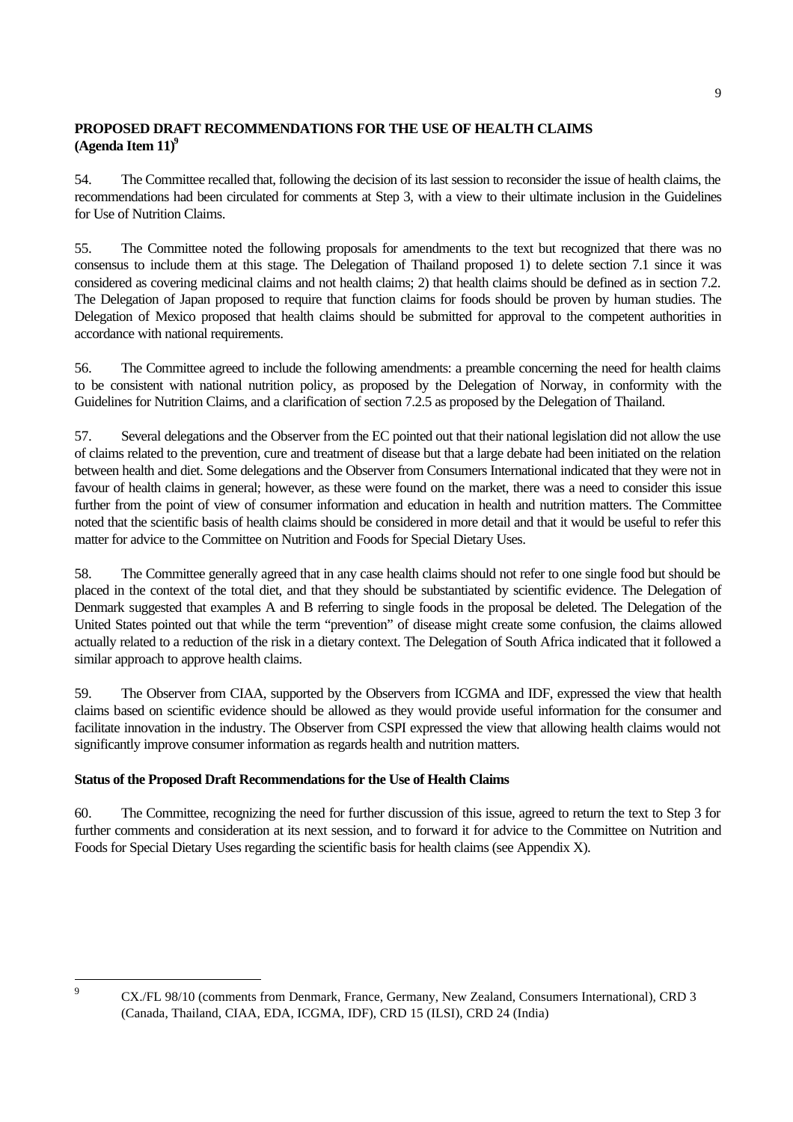# **PROPOSED DRAFT RECOMMENDATIONS FOR THE USE OF HEALTH CLAIMS (Agenda Item 11)<sup>9</sup>**

54. The Committee recalled that, following the decision of its last session to reconsider the issue of health claims, the recommendations had been circulated for comments at Step 3, with a view to their ultimate inclusion in the Guidelines for Use of Nutrition Claims.

55. The Committee noted the following proposals for amendments to the text but recognized that there was no consensus to include them at this stage. The Delegation of Thailand proposed 1) to delete section 7.1 since it was considered as covering medicinal claims and not health claims; 2) that health claims should be defined as in section 7.2. The Delegation of Japan proposed to require that function claims for foods should be proven by human studies. The Delegation of Mexico proposed that health claims should be submitted for approval to the competent authorities in accordance with national requirements.

56. The Committee agreed to include the following amendments: a preamble concerning the need for health claims to be consistent with national nutrition policy, as proposed by the Delegation of Norway, in conformity with the Guidelines for Nutrition Claims, and a clarification of section 7.2.5 as proposed by the Delegation of Thailand.

57. Several delegations and the Observer from the EC pointed out that their national legislation did not allow the use of claims related to the prevention, cure and treatment of disease but that a large debate had been initiated on the relation between health and diet. Some delegations and the Observer from Consumers International indicated that they were not in favour of health claims in general; however, as these were found on the market, there was a need to consider this issue further from the point of view of consumer information and education in health and nutrition matters. The Committee noted that the scientific basis of health claims should be considered in more detail and that it would be useful to refer this matter for advice to the Committee on Nutrition and Foods for Special Dietary Uses.

58. The Committee generally agreed that in any case health claims should not refer to one single food but should be placed in the context of the total diet, and that they should be substantiated by scientific evidence. The Delegation of Denmark suggested that examples A and B referring to single foods in the proposal be deleted. The Delegation of the United States pointed out that while the term "prevention" of disease might create some confusion, the claims allowed actually related to a reduction of the risk in a dietary context. The Delegation of South Africa indicated that it followed a similar approach to approve health claims.

59. The Observer from CIAA, supported by the Observers from ICGMA and IDF, expressed the view that health claims based on scientific evidence should be allowed as they would provide useful information for the consumer and facilitate innovation in the industry. The Observer from CSPI expressed the view that allowing health claims would not significantly improve consumer information as regards health and nutrition matters.

# **Status of the Proposed Draft Recommendations for the Use of Health Claims**

60. The Committee, recognizing the need for further discussion of this issue, agreed to return the text to Step 3 for further comments and consideration at its next session, and to forward it for advice to the Committee on Nutrition and Foods for Special Dietary Uses regarding the scientific basis for health claims (see Appendix X).

<sup>-&</sup>lt;br>9

CX./FL 98/10 (comments from Denmark, France, Germany, New Zealand, Consumers International), CRD 3 (Canada, Thailand, CIAA, EDA, ICGMA, IDF), CRD 15 (ILSI), CRD 24 (India)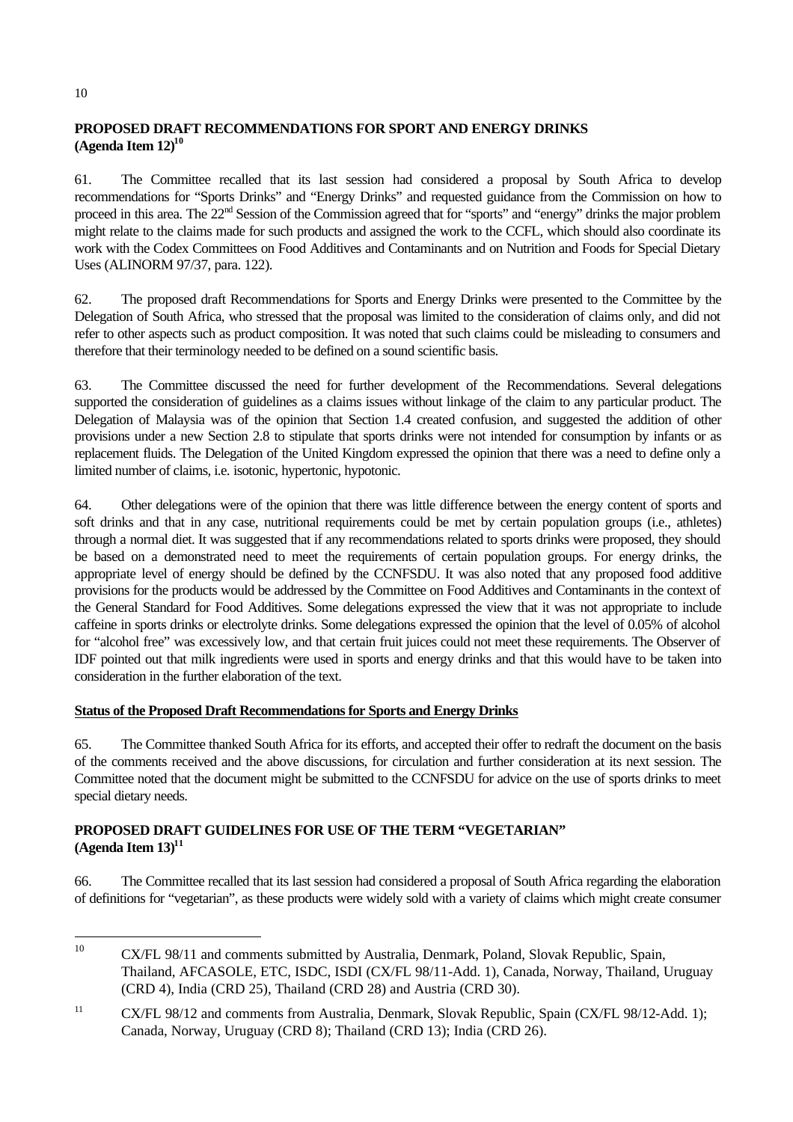# **PROPOSED DRAFT RECOMMENDATIONS FOR SPORT AND ENERGY DRINKS (Agenda Item 12)<sup>10</sup>**

61. The Committee recalled that its last session had considered a proposal by South Africa to develop recommendations for "Sports Drinks" and "Energy Drinks" and requested guidance from the Commission on how to proceed in this area. The 22<sup>nd</sup> Session of the Commission agreed that for "sports" and "energy" drinks the major problem might relate to the claims made for such products and assigned the work to the CCFL, which should also coordinate its work with the Codex Committees on Food Additives and Contaminants and on Nutrition and Foods for Special Dietary Uses (ALINORM 97/37, para. 122).

62. The proposed draft Recommendations for Sports and Energy Drinks were presented to the Committee by the Delegation of South Africa, who stressed that the proposal was limited to the consideration of claims only, and did not refer to other aspects such as product composition. It was noted that such claims could be misleading to consumers and therefore that their terminology needed to be defined on a sound scientific basis.

63. The Committee discussed the need for further development of the Recommendations. Several delegations supported the consideration of guidelines as a claims issues without linkage of the claim to any particular product. The Delegation of Malaysia was of the opinion that Section 1.4 created confusion, and suggested the addition of other provisions under a new Section 2.8 to stipulate that sports drinks were not intended for consumption by infants or as replacement fluids. The Delegation of the United Kingdom expressed the opinion that there was a need to define only a limited number of claims, i.e. isotonic, hypertonic, hypotonic.

64. Other delegations were of the opinion that there was little difference between the energy content of sports and soft drinks and that in any case, nutritional requirements could be met by certain population groups (i.e., athletes) through a normal diet. It was suggested that if any recommendations related to sports drinks were proposed, they should be based on a demonstrated need to meet the requirements of certain population groups. For energy drinks, the appropriate level of energy should be defined by the CCNFSDU. It was also noted that any proposed food additive provisions for the products would be addressed by the Committee on Food Additives and Contaminants in the context of the General Standard for Food Additives. Some delegations expressed the view that it was not appropriate to include caffeine in sports drinks or electrolyte drinks. Some delegations expressed the opinion that the level of 0.05% of alcohol for "alcohol free" was excessively low, and that certain fruit juices could not meet these requirements. The Observer of IDF pointed out that milk ingredients were used in sports and energy drinks and that this would have to be taken into consideration in the further elaboration of the text.

# **Status of the Proposed Draft Recommendations for Sports and Energy Drinks**

65. The Committee thanked South Africa for its efforts, and accepted their offer to redraft the document on the basis of the comments received and the above discussions, for circulation and further consideration at its next session. The Committee noted that the document might be submitted to the CCNFSDU for advice on the use of sports drinks to meet special dietary needs.

# **PROPOSED DRAFT GUIDELINES FOR USE OF THE TERM "VEGETARIAN" (Agenda Item 13)<sup>11</sup>**

66. The Committee recalled that its last session had considered a proposal of South Africa regarding the elaboration of definitions for "vegetarian", as these products were widely sold with a variety of claims which might create consumer

 $10\,$ CX/FL 98/11 and comments submitted by Australia, Denmark, Poland, Slovak Republic, Spain, Thailand, AFCASOLE, ETC, ISDC, ISDI (CX/FL 98/11-Add. 1), Canada, Norway, Thailand, Uruguay (CRD 4), India (CRD 25), Thailand (CRD 28) and Austria (CRD 30).

<sup>&</sup>lt;sup>11</sup> CX/FL 98/12 and comments from Australia, Denmark, Slovak Republic, Spain (CX/FL 98/12-Add. 1); Canada, Norway, Uruguay (CRD 8); Thailand (CRD 13); India (CRD 26).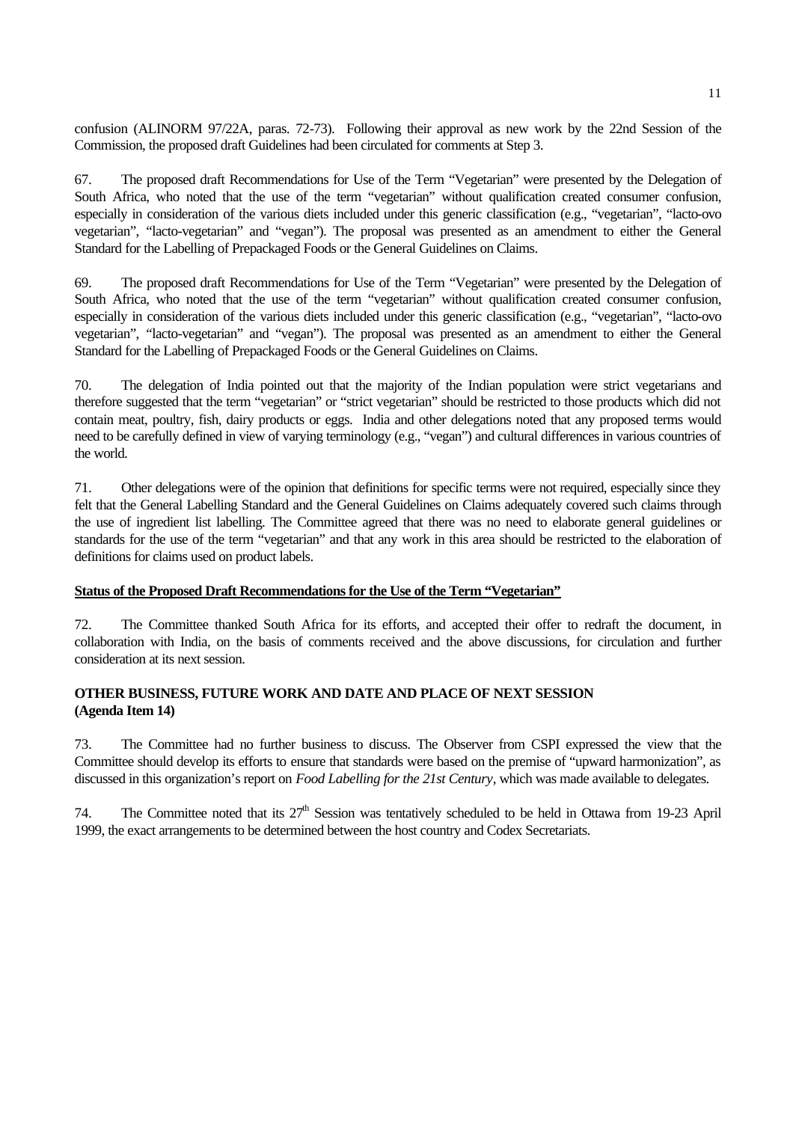confusion (ALINORM 97/22A, paras. 72-73). Following their approval as new work by the 22nd Session of the Commission, the proposed draft Guidelines had been circulated for comments at Step 3.

67. The proposed draft Recommendations for Use of the Term "Vegetarian" were presented by the Delegation of South Africa, who noted that the use of the term "vegetarian" without qualification created consumer confusion, especially in consideration of the various diets included under this generic classification (e.g., "vegetarian", "lacto-ovo vegetarian", "lacto-vegetarian" and "vegan"). The proposal was presented as an amendment to either the General Standard for the Labelling of Prepackaged Foods or the General Guidelines on Claims.

69. The proposed draft Recommendations for Use of the Term "Vegetarian" were presented by the Delegation of South Africa, who noted that the use of the term "vegetarian" without qualification created consumer confusion, especially in consideration of the various diets included under this generic classification (e.g., "vegetarian", "lacto-ovo vegetarian", "lacto-vegetarian" and "vegan"). The proposal was presented as an amendment to either the General Standard for the Labelling of Prepackaged Foods or the General Guidelines on Claims.

70. The delegation of India pointed out that the majority of the Indian population were strict vegetarians and therefore suggested that the term "vegetarian" or "strict vegetarian" should be restricted to those products which did not contain meat, poultry, fish, dairy products or eggs. India and other delegations noted that any proposed terms would need to be carefully defined in view of varying terminology (e.g., "vegan") and cultural differences in various countries of the world.

71. Other delegations were of the opinion that definitions for specific terms were not required, especially since they felt that the General Labelling Standard and the General Guidelines on Claims adequately covered such claims through the use of ingredient list labelling. The Committee agreed that there was no need to elaborate general guidelines or standards for the use of the term "vegetarian" and that any work in this area should be restricted to the elaboration of definitions for claims used on product labels.

# **Status of the Proposed Draft Recommendations for the Use of the Term "Vegetarian"**

72. The Committee thanked South Africa for its efforts, and accepted their offer to redraft the document, in collaboration with India, on the basis of comments received and the above discussions, for circulation and further consideration at its next session.

# **OTHER BUSINESS, FUTURE WORK AND DATE AND PLACE OF NEXT SESSION (Agenda Item 14)**

73. The Committee had no further business to discuss. The Observer from CSPI expressed the view that the Committee should develop its efforts to ensure that standards were based on the premise of "upward harmonization", as discussed in this organization's report on *Food Labelling for the 21st Century*, which was made available to delegates.

74. The Committee noted that its  $27<sup>th</sup>$  Session was tentatively scheduled to be held in Ottawa from 19-23 April 1999, the exact arrangements to be determined between the host country and Codex Secretariats.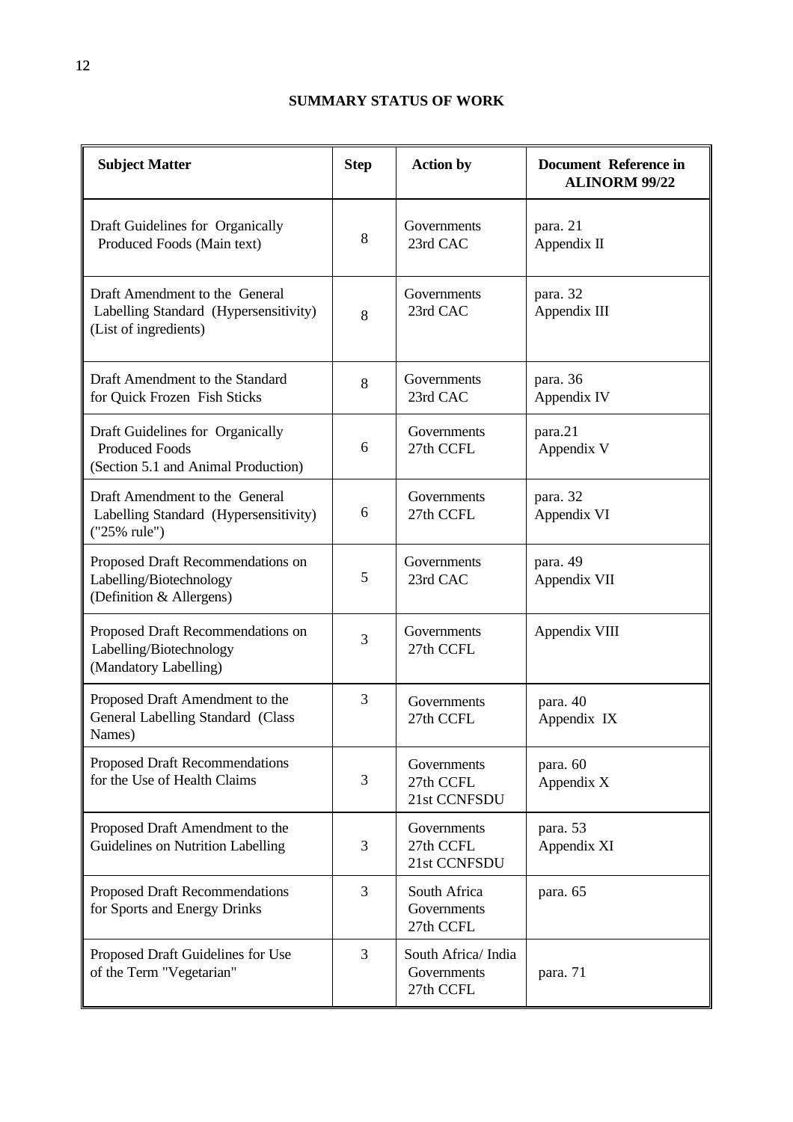# **SUMMARY STATUS OF WORK**

| <b>Subject Matter</b>                                                                            | <b>Step</b> | <b>Action by</b>                                | Document Reference in<br><b>ALINORM 99/22</b> |
|--------------------------------------------------------------------------------------------------|-------------|-------------------------------------------------|-----------------------------------------------|
| Draft Guidelines for Organically<br>Produced Foods (Main text)                                   | 8           | Governments<br>23rd CAC                         | para. 21<br>Appendix II                       |
| Draft Amendment to the General<br>Labelling Standard (Hypersensitivity)<br>(List of ingredients) | 8           | Governments<br>23rd CAC                         | para. 32<br>Appendix III                      |
| Draft Amendment to the Standard<br>for Quick Frozen Fish Sticks                                  | 8           | Governments<br>23rd CAC                         | para. 36<br>Appendix IV                       |
| Draft Guidelines for Organically<br><b>Produced Foods</b><br>(Section 5.1 and Animal Production) | 6           | Governments<br>27th CCFL                        | para.21<br>Appendix V                         |
| Draft Amendment to the General<br>Labelling Standard (Hypersensitivity)<br>("25% rule")          | 6           | Governments<br>27th CCFL                        | para. 32<br>Appendix VI                       |
| Proposed Draft Recommendations on<br>Labelling/Biotechnology<br>(Definition & Allergens)         | 5           | Governments<br>23rd CAC                         | para. 49<br>Appendix VII                      |
| Proposed Draft Recommendations on<br>Labelling/Biotechnology<br>(Mandatory Labelling)            | 3           | Governments<br>27th CCFL                        | Appendix VIII                                 |
| Proposed Draft Amendment to the<br>General Labelling Standard (Class<br>Names)                   | 3           | Governments<br>27th CCFL                        | para. 40<br>Appendix IX                       |
| Proposed Draft Recommendations<br>for the Use of Health Claims                                   | 3           | Governments<br>27th CCFL<br>21st CCNFSDU        | para. 60<br>Appendix X                        |
| Proposed Draft Amendment to the<br>Guidelines on Nutrition Labelling                             | 3           | Governments<br>27th CCFL<br>21st CCNFSDU        | para. 53<br>Appendix XI                       |
| <b>Proposed Draft Recommendations</b><br>for Sports and Energy Drinks                            | 3           | South Africa<br>Governments<br>27th CCFL        | para. 65                                      |
| Proposed Draft Guidelines for Use<br>of the Term "Vegetarian"                                    | 3           | South Africa/ India<br>Governments<br>27th CCFL | para. 71                                      |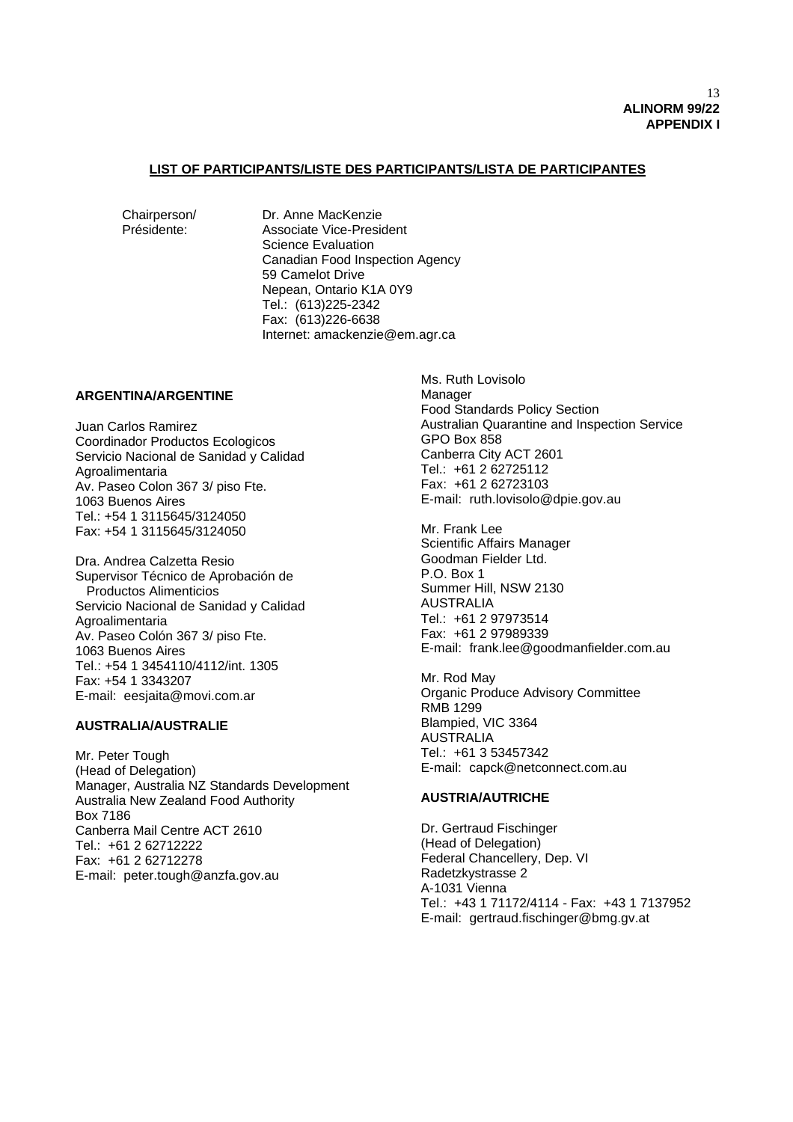#### **LIST OF PARTICIPANTS/LISTE DES PARTICIPANTS/LISTA DE PARTICIPANTES**

Chairperson/ Dr. Anne MacKenzie<br>Présidente: Associate Vice-Presidente Associate Vice-President Science Evaluation Canadian Food Inspection Agency 59 Camelot Drive Nepean, Ontario K1A 0Y9 Tel.: (613)225-2342 Fax: (613)226-6638 Internet: amackenzie@em.agr.ca

#### **ARGENTINA/ARGENTINE**

Juan Carlos Ramirez Coordinador Productos Ecologicos Servicio Nacional de Sanidad y Calidad Agroalimentaria Av. Paseo Colon 367 3/ piso Fte. 1063 Buenos Aires Tel.: +54 1 3115645/3124050 Fax: +54 1 3115645/3124050

Dra. Andrea Calzetta Resio Supervisor Técnico de Aprobación de Productos Alimenticios Servicio Nacional de Sanidad y Calidad Agroalimentaria Av. Paseo Colón 367 3/ piso Fte. 1063 Buenos Aires Tel.: +54 1 3454110/4112/int. 1305 Fax: +54 1 3343207 E-mail: eesjaita@movi.com.ar

## **AUSTRALIA/AUSTRALIE**

Mr. Peter Tough (Head of Delegation) Manager, Australia NZ Standards Development Australia New Zealand Food Authority Box 7186 Canberra Mail Centre ACT 2610 Tel.: +61 2 62712222 Fax: +61 2 62712278 E-mail: peter.tough@anzfa.gov.au

Ms. Ruth Lovisolo Manager Food Standards Policy Section Australian Quarantine and Inspection Service GPO Box 858 Canberra City ACT 2601 Tel.: +61 2 62725112 Fax: +61 2 62723103 E-mail: ruth.lovisolo@dpie.gov.au

Mr. Frank Lee Scientific Affairs Manager Goodman Fielder Ltd. P.O. Box 1 Summer Hill, NSW 2130 AUSTRALIA Tel.: +61 2 97973514 Fax: +61 2 97989339 E-mail: frank.lee@goodmanfielder.com.au

Mr. Rod May Organic Produce Advisory Committee RMB 1299 Blampied, VIC 3364 AUSTRALIA Tel.: +61 3 53457342 E-mail: capck@netconnect.com.au

## **AUSTRIA/AUTRICHE**

Dr. Gertraud Fischinger (Head of Delegation) Federal Chancellery, Dep. VI Radetzkystrasse 2 A-1031 Vienna Tel.: +43 1 71172/4114 - Fax: +43 1 7137952 E-mail: gertraud.fischinger@bmg.gv.at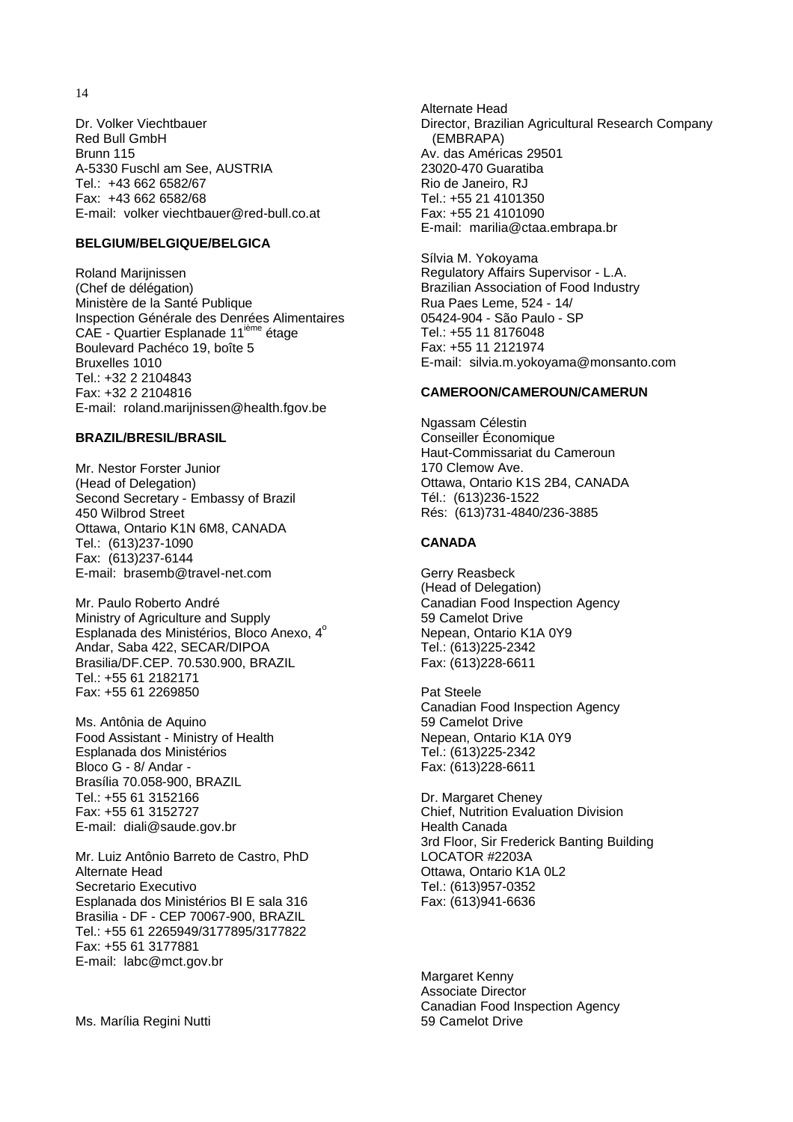14

Dr. Volker Viechtbauer Red Bull GmbH Brunn 115 A-5330 Fuschl am See, AUSTRIA Tel.: +43 662 6582/67 Fax: +43 662 6582/68 E-mail: volker viechtbauer@red-bull.co.at

## **BELGIUM/BELGIQUE/BELGICA**

Roland Marijnissen (Chef de délégation) Ministère de la Santé Publique Inspection Générale des Denrées Alimentaires CAE - Quartier Esplanade 11<sup>ième</sup> étage Boulevard Pachéco 19, boîte 5 Bruxelles 1010 Tel.: +32 2 2104843 Fax: +32 2 2104816 E-mail: roland.marijnissen@health.fgov.be

#### **BRAZIL/BRESIL/BRASIL**

Mr. Nestor Forster Junior (Head of Delegation) Second Secretary - Embassy of Brazil 450 Wilbrod Street Ottawa, Ontario K1N 6M8, CANADA Tel.: (613)237-1090 Fax: (613)237-6144 E-mail: brasemb@travel-net.com

Mr. Paulo Roberto André Ministry of Agriculture and Supply Esplanada des Ministérios, Bloco Anexo, 4° Andar, Saba 422, SECAR/DIPOA Brasilia/DF.CEP. 70.530.900, BRAZIL Tel.: +55 61 2182171 Fax: +55 61 2269850

Ms. Antônia de Aquino Food Assistant - Ministry of Health Esplanada dos Ministérios Bloco G - 8/ Andar - Brasília 70.058-900, BRAZIL Tel.: +55 61 3152166 Fax: +55 61 3152727 E-mail: diali@saude.gov.br

Mr. Luiz Antônio Barreto de Castro, PhD Alternate Head Secretario Executivo Esplanada dos Ministérios BI E sala 316 Brasilia - DF - CEP 70067-900, BRAZIL Tel.: +55 61 2265949/3177895/3177822 Fax: +55 61 3177881 E-mail: labc@mct.gov.br

Alternate Head Director, Brazilian Agricultural Research Company (EMBRAPA) Av. das Américas 29501 23020-470 Guaratiba Rio de Janeiro, RJ Tel.: +55 21 4101350 Fax: +55 21 4101090 E-mail: marilia@ctaa.embrapa.br

Sílvia M. Yokoyama Regulatory Affairs Supervisor - L.A. Brazilian Association of Food Industry Rua Paes Leme, 524 - 14/ 05424-904 - São Paulo - SP Tel.: +55 11 8176048 Fax: +55 11 2121974 E-mail: silvia.m.yokoyama@monsanto.com

#### **CAMEROON/CAMEROUN/CAMERUN**

Ngassam Célestin Conseiller Économique Haut-Commissariat du Cameroun 170 Clemow Ave. Ottawa, Ontario K1S 2B4, CANADA Tél.: (613)236-1522 Rés: (613)731-4840/236-3885

#### **CANADA**

Gerry Reasbeck (Head of Delegation) Canadian Food Inspection Agency 59 Camelot Drive Nepean, Ontario K1A 0Y9 Tel.: (613)225-2342 Fax: (613)228-6611

Pat Steele Canadian Food Inspection Agency 59 Camelot Drive Nepean, Ontario K1A 0Y9 Tel.: (613)225-2342 Fax: (613)228-6611

Dr. Margaret Cheney Chief, Nutrition Evaluation Division Health Canada 3rd Floor, Sir Frederick Banting Building LOCATOR #2203A Ottawa, Ontario K1A 0L2 Tel.: (613)957-0352 Fax: (613)941-6636

Margaret Kenny Associate Director Canadian Food Inspection Agency 59 Camelot Drive

Ms. Marília Regini Nutti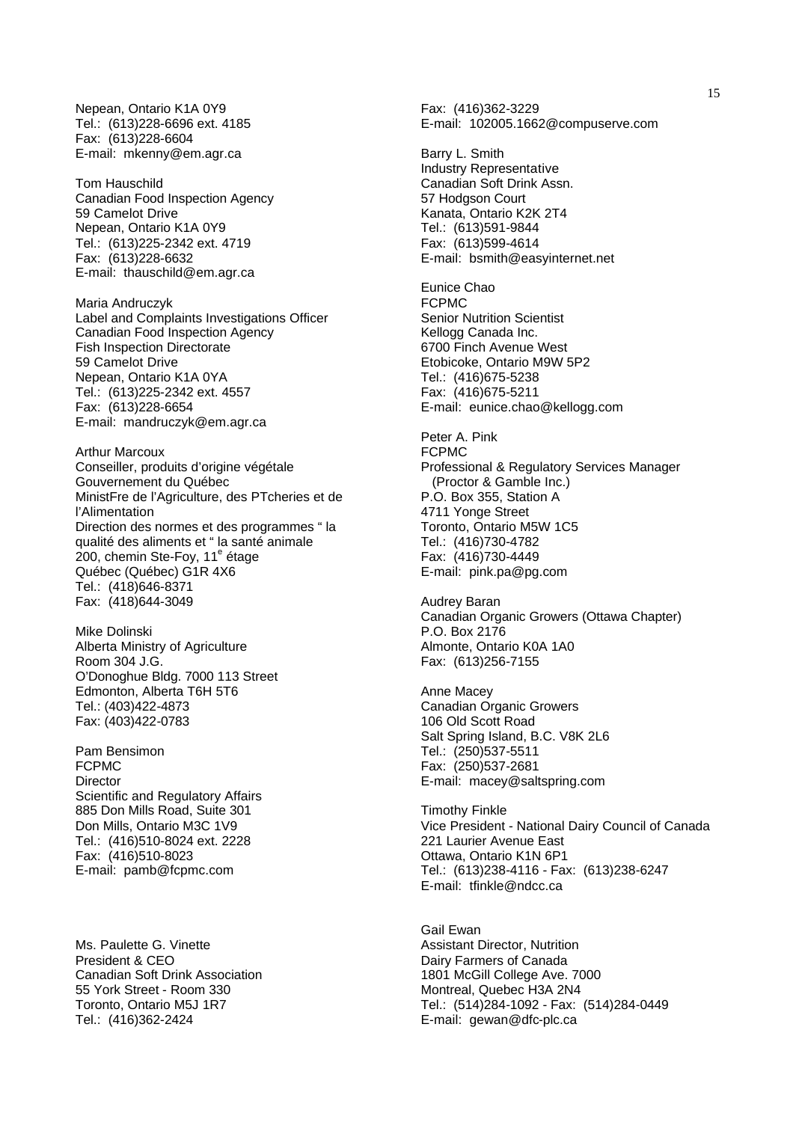Nepean, Ontario K1A 0Y9 Tel.: (613)228-6696 ext. 4185 Fax: (613)228-6604 E-mail: mkenny@em.agr.ca

Tom Hauschild Canadian Food Inspection Agency 59 Camelot Drive Nepean, Ontario K1A 0Y9 Tel.: (613)225-2342 ext. 4719 Fax: (613)228-6632 E-mail: thauschild@em.agr.ca

Maria Andruczyk Label and Complaints Investigations Officer Canadian Food Inspection Agency Fish Inspection Directorate 59 Camelot Drive Nepean, Ontario K1A 0YA Tel.: (613)225-2342 ext. 4557 Fax: (613)228-6654 E-mail: mandruczyk@em.agr.ca

Arthur Marcoux Conseiller, produits d'origine végétale Gouvernement du Québec MinistFre de l'Agriculture, des PTcheries et de l'Alimentation Direction des normes et des programmes " la qualité des aliments et " la santé animale 200, chemin Ste-Foy, 11<sup>e</sup> étage Québec (Québec) G1R 4X6 Tel.: (418)646-8371 Fax: (418)644-3049

Mike Dolinski Alberta Ministry of Agriculture Room 304 J.G. O'Donoghue Bldg. 7000 113 Street Edmonton, Alberta T6H 5T6 Tel.: (403)422-4873 Fax: (403)422-0783

Pam Bensimon FCPMC **Director** Scientific and Regulatory Affairs 885 Don Mills Road, Suite 301 Don Mills, Ontario M3C 1V9 Tel.: (416)510-8024 ext. 2228 Fax: (416)510-8023 E-mail: pamb@fcpmc.com

Ms. Paulette G. Vinette President & CEO Canadian Soft Drink Association 55 York Street - Room 330 Toronto, Ontario M5J 1R7 Tel.: (416)362-2424

Fax: (416)362-3229 E-mail: 102005.1662@compuserve.com

Barry L. Smith Industry Representative Canadian Soft Drink Assn. 57 Hodgson Court Kanata, Ontario K2K 2T4 Tel.: (613)591-9844 Fax: (613)599-4614 E-mail: bsmith@easyinternet.net

Eunice Chao FCPMC Senior Nutrition Scientist Kellogg Canada Inc. 6700 Finch Avenue West Etobicoke, Ontario M9W 5P2 Tel.: (416)675-5238 Fax: (416)675-5211 E-mail: eunice.chao@kellogg.com

Peter A. Pink FCPMC Professional & Regulatory Services Manager (Proctor & Gamble Inc.) P.O. Box 355, Station A 4711 Yonge Street Toronto, Ontario M5W 1C5 Tel.: (416)730-4782 Fax: (416)730-4449 E-mail: pink.pa@pg.com

Audrey Baran Canadian Organic Growers (Ottawa Chapter) P.O. Box 2176 Almonte, Ontario K0A 1A0 Fax: (613)256-7155

Anne Macey Canadian Organic Growers 106 Old Scott Road Salt Spring Island, B.C. V8K 2L6 Tel.: (250)537-5511 Fax: (250)537-2681 E-mail: macey@saltspring.com

Timothy Finkle Vice President - National Dairy Council of Canada 221 Laurier Avenue East Ottawa, Ontario K1N 6P1 Tel.: (613)238-4116 - Fax: (613)238-6247 E-mail: tfinkle@ndcc.ca

Gail Ewan Assistant Director, Nutrition Dairy Farmers of Canada 1801 McGill College Ave. 7000 Montreal, Quebec H3A 2N4 Tel.: (514)284-1092 - Fax: (514)284-0449 E-mail: gewan@dfc-plc.ca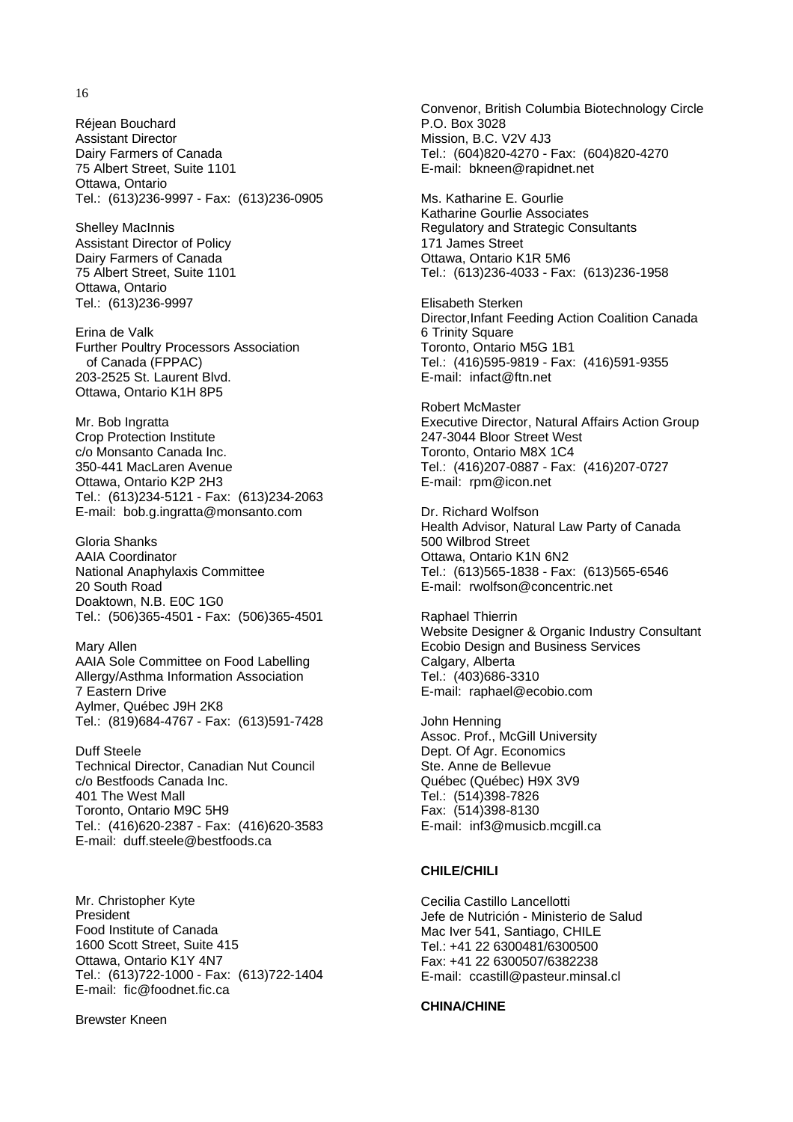#### 16

Réjean Bouchard Assistant Director Dairy Farmers of Canada 75 Albert Street, Suite 1101 Ottawa, Ontario Tel.: (613)236-9997 - Fax: (613)236-0905

Shelley MacInnis Assistant Director of Policy Dairy Farmers of Canada 75 Albert Street, Suite 1101 Ottawa, Ontario Tel.: (613)236-9997

Erina de Valk Further Poultry Processors Association of Canada (FPPAC) 203-2525 St. Laurent Blvd. Ottawa, Ontario K1H 8P5

Mr. Bob Ingratta Crop Protection Institute c/o Monsanto Canada Inc. 350-441 MacLaren Avenue Ottawa, Ontario K2P 2H3 Tel.: (613)234-5121 - Fax: (613)234-2063 E-mail: bob.g.ingratta@monsanto.com

Gloria Shanks AAIA Coordinator National Anaphylaxis Committee 20 South Road Doaktown, N.B. E0C 1G0 Tel.: (506)365-4501 - Fax: (506)365-4501

Mary Allen AAIA Sole Committee on Food Labelling Allergy/Asthma Information Association 7 Eastern Drive Aylmer, Québec J9H 2K8 Tel.: (819)684-4767 - Fax: (613)591-7428

Duff Steele Technical Director, Canadian Nut Council c/o Bestfoods Canada Inc. 401 The West Mall Toronto, Ontario M9C 5H9 Tel.: (416)620-2387 - Fax: (416)620-3583 E-mail: duff.steele@bestfoods.ca

Mr. Christopher Kyte President Food Institute of Canada 1600 Scott Street, Suite 415 Ottawa, Ontario K1Y 4N7 Tel.: (613)722-1000 - Fax: (613)722-1404 E-mail: fic@foodnet.fic.ca

Brewster Kneen

Convenor, British Columbia Biotechnology Circle P.O. Box 3028 Mission, B.C. V2V 4J3 Tel.: (604)820-4270 - Fax: (604)820-4270 E-mail: bkneen@rapidnet.net

Ms. Katharine E. Gourlie Katharine Gourlie Associates Regulatory and Strategic Consultants 171 James Street Ottawa, Ontario K1R 5M6 Tel.: (613)236-4033 - Fax: (613)236-1958

Elisabeth Sterken Director,Infant Feeding Action Coalition Canada **6 Trinity Square** Toronto, Ontario M5G 1B1 Tel.: (416)595-9819 - Fax: (416)591-9355 E-mail: infact@ftn.net

Robert McMaster Executive Director, Natural Affairs Action Group 247-3044 Bloor Street West Toronto, Ontario M8X 1C4 Tel.: (416)207-0887 - Fax: (416)207-0727 E-mail: rpm@icon.net

Dr. Richard Wolfson Health Advisor, Natural Law Party of Canada 500 Wilbrod Street Ottawa, Ontario K1N 6N2 Tel.: (613)565-1838 - Fax: (613)565-6546 E-mail: rwolfson@concentric.net

Raphael Thierrin Website Designer & Organic Industry Consultant Ecobio Design and Business Services Calgary, Alberta Tel.: (403)686-3310 E-mail: raphael@ecobio.com

John Henning Assoc. Prof., McGill University Dept. Of Agr. Economics Ste. Anne de Bellevue Québec (Québec) H9X 3V9 Tel.: (514)398-7826 Fax: (514)398-8130 E-mail: inf3@musicb.mcgill.ca

#### **CHILE/CHILI**

Cecilia Castillo Lancellotti Jefe de Nutrición - Ministerio de Salud Mac Iver 541, Santiago, CHILE Tel.: +41 22 6300481/6300500 Fax: +41 22 6300507/6382238 E-mail: ccastill@pasteur.minsal.cl

#### **CHINA/CHINE**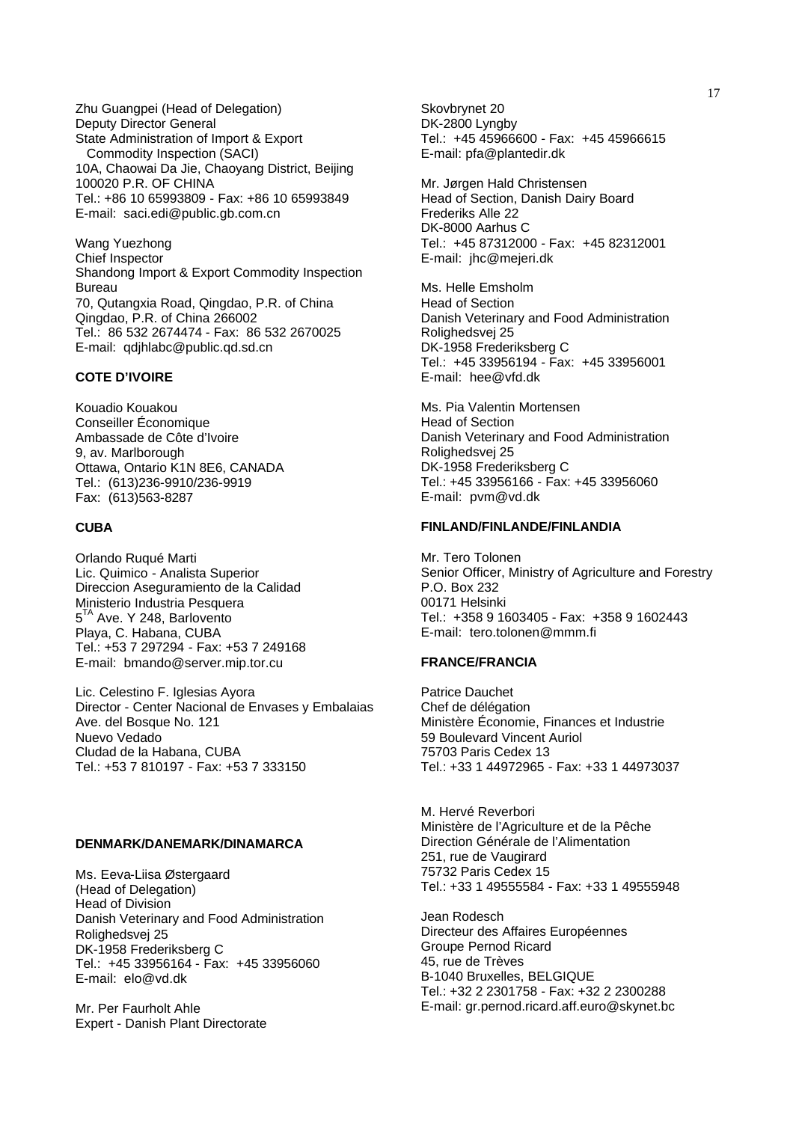Zhu Guangpei (Head of Delegation) Deputy Director General State Administration of Import & Export Commodity Inspection (SACI) 10A, Chaowai Da Jie, Chaoyang District, Beijing 100020 P.R. OF CHINA Tel.: +86 10 65993809 - Fax: +86 10 65993849 E-mail: saci.edi@public.gb.com.cn

Wang Yuezhong Chief Inspector Shandong Import & Export Commodity Inspection Bureau 70, Qutangxia Road, Qingdao, P.R. of China Qingdao, P.R. of China 266002 Tel.: 86 532 2674474 - Fax: 86 532 2670025 E-mail: qdjhlabc@public.qd.sd.cn

#### **COTE D'IVOIRE**

Kouadio Kouakou Conseiller Économique Ambassade de Côte d'Ivoire 9, av. Marlborough Ottawa, Ontario K1N 8E6, CANADA Tel.: (613)236-9910/236-9919 Fax: (613)563-8287

#### **CUBA**

Orlando Ruqué Marti Lic. Quimico - Analista Superior Direccion Aseguramiento de la Calidad Ministerio Industria Pesquera 5<sup>TA</sup> Ave. Y 248, Barlovento Playa, C. Habana, CUBA Tel.: +53 7 297294 - Fax: +53 7 249168 E-mail: bmando@server.mip.tor.cu

Lic. Celestino F. Iglesias Ayora Director - Center Nacional de Envases y Embalaias Ave. del Bosque No. 121 Nuevo Vedado Cludad de la Habana, CUBA Tel.: +53 7 810197 - Fax: +53 7 333150

# **DENMARK/DANEMARK/DINAMARCA**

Ms. Eeva-Liisa Østergaard (Head of Delegation) Head of Division Danish Veterinary and Food Administration Rolighedsvej 25 DK-1958 Frederiksberg C Tel.: +45 33956164 - Fax: +45 33956060 E-mail: elo@vd.dk

Mr. Per Faurholt Ahle Expert - Danish Plant Directorate Skovbrynet 20 DK-2800 Lyngby Tel.: +45 45966600 - Fax: +45 45966615 E-mail: pfa@plantedir.dk

Mr. Jørgen Hald Christensen Head of Section, Danish Dairy Board Frederiks Alle 22 DK-8000 Aarhus C Tel.: +45 87312000 - Fax: +45 82312001 E-mail: jhc@mejeri.dk

Ms. Helle Emsholm Head of Section Danish Veterinary and Food Administration Rolighedsvej 25 DK-1958 Frederiksberg C Tel.: +45 33956194 - Fax: +45 33956001 E-mail: hee@vfd.dk

Ms. Pia Valentin Mortensen Head of Section Danish Veterinary and Food Administration Rolighedsvej 25 DK-1958 Frederiksberg C Tel.: +45 33956166 - Fax: +45 33956060 E-mail: pvm@vd.dk

#### **FINLAND/FINLANDE/FINLANDIA**

Mr. Tero Tolonen Senior Officer, Ministry of Agriculture and Forestry P.O. Box 232 00171 Helsinki Tel.: +358 9 1603405 - Fax: +358 9 1602443 E-mail: tero.tolonen@mmm.fi

#### **FRANCE/FRANCIA**

Patrice Dauchet Chef de délégation Ministère Économie, Finances et Industrie 59 Boulevard Vincent Auriol 75703 Paris Cedex 13 Tel.: +33 1 44972965 - Fax: +33 1 44973037

M. Hervé Reverbori Ministère de l'Agriculture et de la Pêche Direction Générale de l'Alimentation 251, rue de Vaugirard 75732 Paris Cedex 15 Tel.: +33 1 49555584 - Fax: +33 1 49555948

Jean Rodesch Directeur des Affaires Européennes Groupe Pernod Ricard 45, rue de Trèves B-1040 Bruxelles, BELGIQUE Tel.: +32 2 2301758 - Fax: +32 2 2300288 E-mail: gr.pernod.ricard.aff.euro@skynet.bc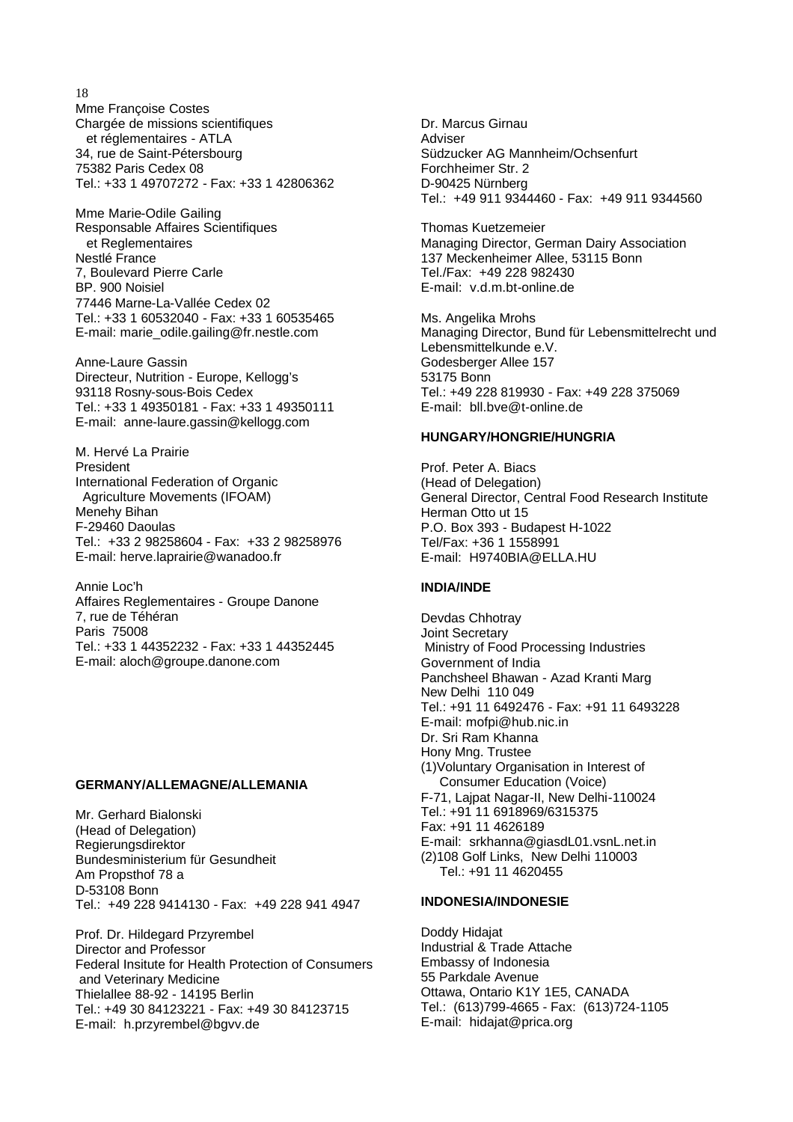Mme Françoise Costes Chargée de missions scientifiques et réglementaires - ATLA 34, rue de Saint-Pétersbourg 75382 Paris Cedex 08 Tel.: +33 1 49707272 - Fax: +33 1 42806362

Mme Marie-Odile Gailing Responsable Affaires Scientifiques et Reglementaires Nestlé France 7, Boulevard Pierre Carle BP. 900 Noisiel 77446 Marne-La-Vallée Cedex 02 Tel.: +33 1 60532040 - Fax: +33 1 60535465 E-mail: marie\_odile.gailing@fr.nestle.com

Anne-Laure Gassin Directeur, Nutrition - Europe, Kellogg's 93118 Rosny-sous-Bois Cedex Tel.: +33 1 49350181 - Fax: +33 1 49350111 E-mail: anne-laure.gassin@kellogg.com

M. Hervé La Prairie President International Federation of Organic Agriculture Movements (IFOAM) Menehy Bihan F-29460 Daoulas Tel.: +33 2 98258604 - Fax: +33 2 98258976 E-mail: herve.laprairie@wanadoo.fr

Annie Loc'h Affaires Reglementaires - Groupe Danone 7, rue de Téhéran Paris 75008 Tel.: +33 1 44352232 - Fax: +33 1 44352445 E-mail: aloch@groupe.danone.com

#### **GERMANY/ALLEMAGNE/ALLEMANIA**

Mr. Gerhard Bialonski (Head of Delegation) Regierungsdirektor Bundesministerium für Gesundheit Am Propsthof 78 a D-53108 Bonn Tel.: +49 228 9414130 - Fax: +49 228 941 4947

Prof. Dr. Hildegard Przyrembel Director and Professor Federal Insitute for Health Protection of Consumers and Veterinary Medicine Thielallee 88-92 - 14195 Berlin Tel.: +49 30 84123221 - Fax: +49 30 84123715 E-mail: h.przyrembel@bgvv.de

Dr. Marcus Girnau Adviser Südzucker AG Mannheim/Ochsenfurt Forchheimer Str. 2 D-90425 Nürnberg Tel.: +49 911 9344460 - Fax: +49 911 9344560

Thomas Kuetzemeier Managing Director, German Dairy Association 137 Meckenheimer Allee, 53115 Bonn Tel./Fax: +49 228 982430 E-mail: v.d.m.bt-online.de

Ms. Angelika Mrohs Managing Director, Bund für Lebensmittelrecht und Lebensmittelkunde e.V. Godesberger Allee 157 53175 Bonn Tel.: +49 228 819930 - Fax: +49 228 375069 E-mail: bll.bve@t-online.de

#### **HUNGARY/HONGRIE/HUNGRIA**

Prof. Peter A. Biacs (Head of Delegation) General Director, Central Food Research Institute Herman Otto ut 15 P.O. Box 393 - Budapest H-1022 Tel/Fax: +36 1 1558991 E-mail: H9740BIA@ELLA.HU

#### **INDIA/INDE**

Devdas Chhotray Joint Secretary Ministry of Food Processing Industries Government of India Panchsheel Bhawan - Azad Kranti Marg New Delhi 110 049 Tel.: +91 11 6492476 - Fax: +91 11 6493228 E-mail: mofpi@hub.nic.in Dr. Sri Ram Khanna Hony Mng. Trustee (1)Voluntary Organisation in Interest of Consumer Education (Voice) F-71, Lajpat Nagar-II, New Delhi-110024 Tel.: +91 11 6918969/6315375 Fax: +91 11 4626189 E-mail: srkhanna@giasdL01.vsnL.net.in (2)108 Golf Links, New Delhi 110003 Tel.: +91 11 4620455

#### **INDONESIA/INDONESIE**

Doddy Hidajat Industrial & Trade Attache Embassy of Indonesia 55 Parkdale Avenue Ottawa, Ontario K1Y 1E5, CANADA Tel.: (613)799-4665 - Fax: (613)724-1105 E-mail: hidajat@prica.org

18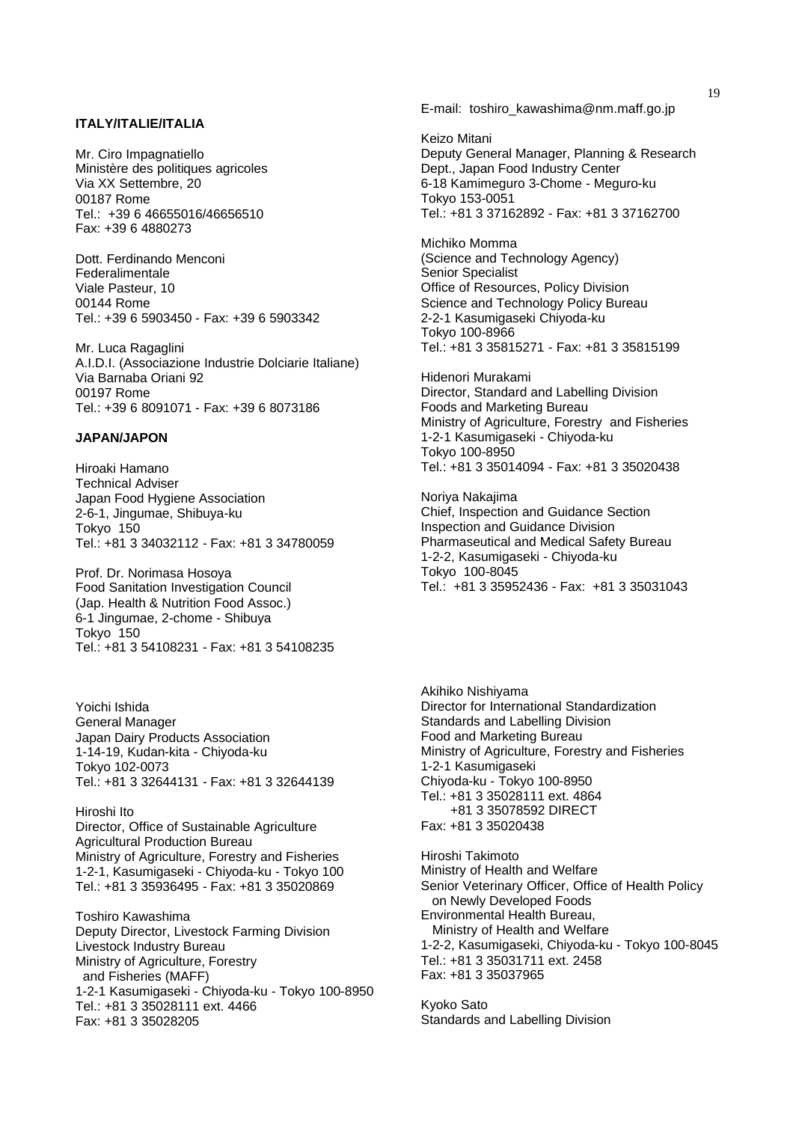#### **ITALY/ITALIE/ITALIA**

Mr. Ciro Impagnatiello Ministère des politiques agricoles Via XX Settembre, 20 00187 Rome Tel.: +39 6 46655016/46656510 Fax: +39 6 4880273

Dott. Ferdinando Menconi Federalimentale Viale Pasteur, 10 00144 Rome Tel.: +39 6 5903450 - Fax: +39 6 5903342

Mr. Luca Ragaglini A.I.D.I. (Associazione Industrie Dolciarie Italiane) Via Barnaba Oriani 92 00197 Rome Tel.: +39 6 8091071 - Fax: +39 6 8073186

#### **JAPAN/JAPON**

Hiroaki Hamano Technical Adviser Japan Food Hygiene Association 2-6-1, Jingumae, Shibuya-ku Tokyo 150 Tel.: +81 3 34032112 - Fax: +81 3 34780059

Prof. Dr. Norimasa Hosoya Food Sanitation Investigation Council (Jap. Health & Nutrition Food Assoc.) 6-1 Jingumae, 2-chome - Shibuya Tokyo 150 Tel.: +81 3 54108231 - Fax: +81 3 54108235

Yoichi Ishida General Manager Japan Dairy Products Association 1-14-19, Kudan-kita - Chiyoda-ku Tokyo 102-0073 Tel.: +81 3 32644131 - Fax: +81 3 32644139

Hiroshi Ito Director, Office of Sustainable Agriculture Agricultural Production Bureau Ministry of Agriculture, Forestry and Fisheries 1-2-1, Kasumigaseki - Chiyoda-ku - Tokyo 100 Tel.: +81 3 35936495 - Fax: +81 3 35020869

Toshiro Kawashima Deputy Director, Livestock Farming Division Livestock Industry Bureau Ministry of Agriculture, Forestry and Fisheries (MAFF) 1-2-1 Kasumigaseki - Chiyoda-ku - Tokyo 100-8950 Tel.: +81 3 35028111 ext. 4466 Fax: +81 3 35028205

E-mail: toshiro\_kawashima@nm.maff.go.jp

Keizo Mitani Deputy General Manager, Planning & Research Dept., Japan Food Industry Center 6-18 Kamimeguro 3-Chome - Meguro-ku Tokyo 153-0051 Tel.: +81 3 37162892 - Fax: +81 3 37162700

Michiko Momma (Science and Technology Agency) Senior Specialist Office of Resources, Policy Division Science and Technology Policy Bureau 2-2-1 Kasumigaseki Chiyoda-ku Tokyo 100-8966 Tel.: +81 3 35815271 - Fax: +81 3 35815199

Hidenori Murakami Director, Standard and Labelling Division Foods and Marketing Bureau Ministry of Agriculture, Forestry and Fisheries 1-2-1 Kasumigaseki - Chiyoda-ku Tokyo 100-8950 Tel.: +81 3 35014094 - Fax: +81 3 35020438

Noriya Nakajima Chief, Inspection and Guidance Section Inspection and Guidance Division Pharmaseutical and Medical Safety Bureau 1-2-2, Kasumigaseki - Chiyoda-ku Tokyo 100-8045 Tel.: +81 3 35952436 - Fax: +81 3 35031043

Akihiko Nishiyama Director for International Standardization Standards and Labelling Division Food and Marketing Bureau Ministry of Agriculture, Forestry and Fisheries 1-2-1 Kasumigaseki Chiyoda-ku - Tokyo 100-8950 Tel.: +81 3 35028111 ext. 4864 +81 3 35078592 DIRECT Fax: +81 3 35020438

Hiroshi Takimoto Ministry of Health and Welfare Senior Veterinary Officer, Office of Health Policy on Newly Developed Foods Environmental Health Bureau, Ministry of Health and Welfare 1-2-2, Kasumigaseki, Chiyoda-ku - Tokyo 100-8045 Tel.: +81 3 35031711 ext. 2458 Fax: +81 3 35037965

Kyoko Sato Standards and Labelling Division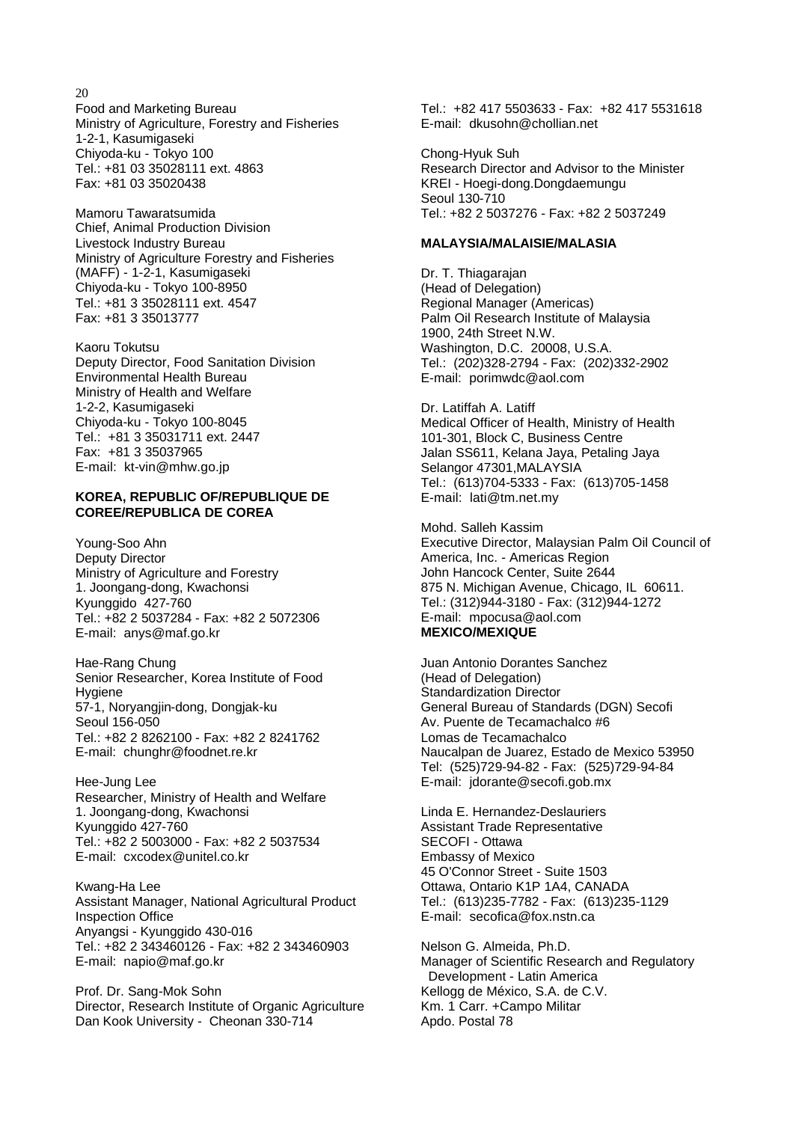#### 20

Food and Marketing Bureau Ministry of Agriculture, Forestry and Fisheries 1-2-1, Kasumigaseki Chiyoda-ku - Tokyo 100 Tel.: +81 03 35028111 ext. 4863 Fax: +81 03 35020438

Mamoru Tawaratsumida Chief, Animal Production Division Livestock Industry Bureau Ministry of Agriculture Forestry and Fisheries (MAFF) - 1-2-1, Kasumigaseki Chiyoda-ku - Tokyo 100-8950 Tel.: +81 3 35028111 ext. 4547 Fax: +81 3 35013777

Kaoru Tokutsu Deputy Director, Food Sanitation Division Environmental Health Bureau Ministry of Health and Welfare 1-2-2, Kasumigaseki Chiyoda-ku - Tokyo 100-8045 Tel.: +81 3 35031711 ext. 2447 Fax: +81 3 35037965 E-mail: kt-vin@mhw.go.jp

#### **KOREA, REPUBLIC OF/REPUBLIQUE DE COREE/REPUBLICA DE COREA**

Young-Soo Ahn Deputy Director Ministry of Agriculture and Forestry 1. Joongang-dong, Kwachonsi Kyunggido 427-760 Tel.: +82 2 5037284 - Fax: +82 2 5072306 E-mail: anys@maf.go.kr

Hae-Rang Chung Senior Researcher, Korea Institute of Food Hygiene 57-1, Noryangjin-dong, Dongjak-ku Seoul 156-050 Tel.: +82 2 8262100 - Fax: +82 2 8241762 E-mail: chunghr@foodnet.re.kr

Hee-Jung Lee Researcher, Ministry of Health and Welfare 1. Joongang-dong, Kwachonsi Kyunggido 427-760 Tel.: +82 2 5003000 - Fax: +82 2 5037534 E-mail: cxcodex@unitel.co.kr

Kwang-Ha Lee Assistant Manager, National Agricultural Product Inspection Office Anyangsi - Kyunggido 430-016 Tel.: +82 2 343460126 - Fax: +82 2 343460903 E-mail: napio@maf.go.kr

Prof. Dr. Sang-Mok Sohn Director, Research Institute of Organic Agriculture Dan Kook University - Cheonan 330-714

Tel.: +82 417 5503633 - Fax: +82 417 5531618 E-mail: dkusohn@chollian.net

Chong-Hyuk Suh Research Director and Advisor to the Minister KREI - Hoegi-dong.Dongdaemungu Seoul 130-710 Tel.: +82 2 5037276 - Fax: +82 2 5037249

## **MALAYSIA/MALAISIE/MALASIA**

Dr. T. Thiagarajan (Head of Delegation) Regional Manager (Americas) Palm Oil Research Institute of Malaysia 1900, 24th Street N.W. Washington, D.C. 20008, U.S.A. Tel.: (202)328-2794 - Fax: (202)332-2902 E-mail: porimwdc@aol.com

Dr. Latiffah A. Latiff Medical Officer of Health, Ministry of Health 101-301, Block C, Business Centre Jalan SS611, Kelana Jaya, Petaling Jaya Selangor 47301,MALAYSIA Tel.: (613)704-5333 - Fax: (613)705-1458 E-mail: lati@tm.net.my

Mohd. Salleh Kassim Executive Director, Malaysian Palm Oil Council of America, Inc. - Americas Region John Hancock Center, Suite 2644 875 N. Michigan Avenue, Chicago, IL 60611. Tel.: (312)944-3180 - Fax: (312)944-1272 E-mail: mpocusa@aol.com **MEXICO/MEXIQUE**

Juan Antonio Dorantes Sanchez (Head of Delegation) Standardization Director General Bureau of Standards (DGN) Secofi Av. Puente de Tecamachalco #6 Lomas de Tecamachalco Naucalpan de Juarez, Estado de Mexico 53950 Tel: (525)729-94-82 - Fax: (525)729-94-84 E-mail: jdorante@secofi.gob.mx

Linda E. Hernandez-Deslauriers Assistant Trade Representative SECOFI - Ottawa Embassy of Mexico 45 O'Connor Street - Suite 1503 Ottawa, Ontario K1P 1A4, CANADA Tel.: (613)235-7782 - Fax: (613)235-1129 E-mail: secofica@fox.nstn.ca

Nelson G. Almeida, Ph.D. Manager of Scientific Research and Regulatory Development - Latin America Kellogg de México, S.A. de C.V. Km. 1 Carr. +Campo Militar Apdo. Postal 78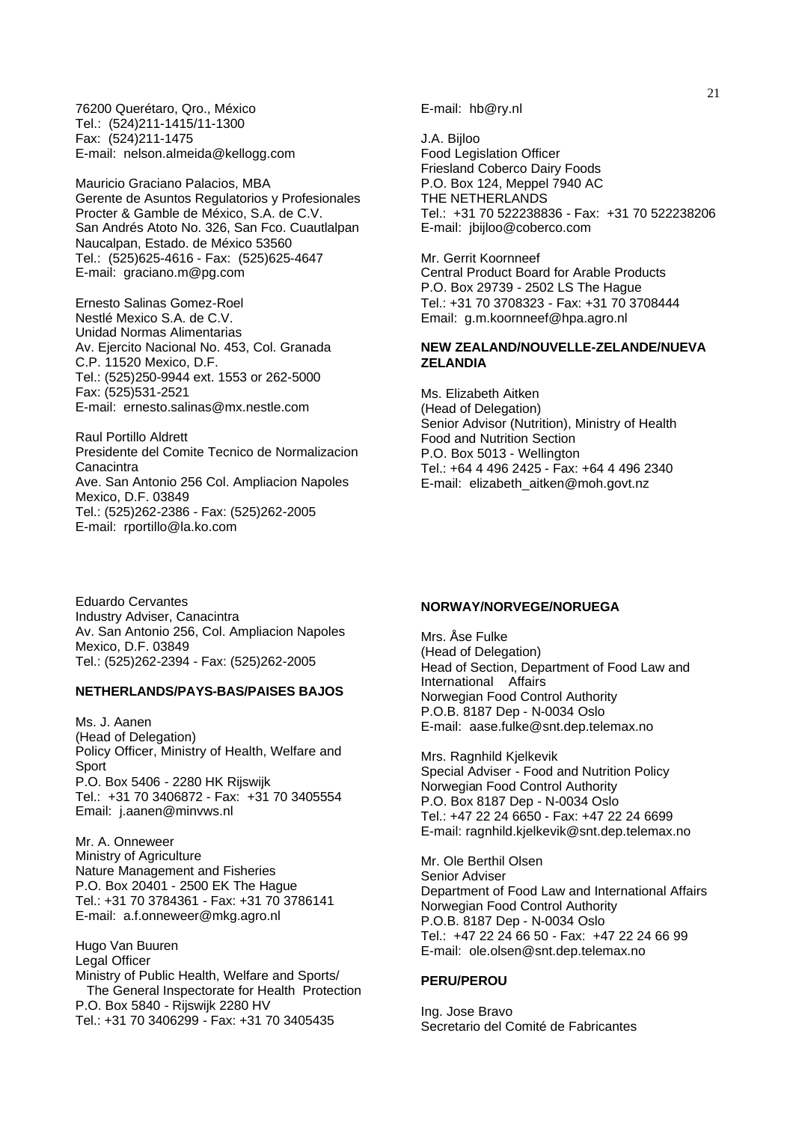76200 Querétaro, Qro., México Tel.: (524)211-1415/11-1300 Fax: (524)211-1475 E-mail: nelson.almeida@kellogg.com

Mauricio Graciano Palacios, MBA Gerente de Asuntos Regulatorios y Profesionales Procter & Gamble de México, S.A. de C.V. San Andrés Atoto No. 326, San Fco. Cuautlalpan Naucalpan, Estado. de México 53560 Tel.: (525)625-4616 - Fax: (525)625-4647 E-mail: graciano.m@pg.com

Ernesto Salinas Gomez-Roel Nestlé Mexico S.A. de C.V. Unidad Normas Alimentarias Av. Ejercito Nacional No. 453, Col. Granada C.P. 11520 Mexico, D.F. Tel.: (525)250-9944 ext. 1553 or 262-5000 Fax: (525)531-2521 E-mail: ernesto.salinas@mx.nestle.com

Raul Portillo Aldrett Presidente del Comite Tecnico de Normalizacion **Canacintra** Ave. San Antonio 256 Col. Ampliacion Napoles Mexico, D.F. 03849 Tel.: (525)262-2386 - Fax: (525)262-2005 E-mail: rportillo@la.ko.com

E-mail: hb@ry.nl

J.A. Bijloo Food Legislation Officer Friesland Coberco Dairy Foods P.O. Box 124, Meppel 7940 AC THE NETHERLANDS Tel.: +31 70 522238836 - Fax: +31 70 522238206 E-mail: jbijloo@coberco.com

Mr. Gerrit Koornneef Central Product Board for Arable Products P.O. Box 29739 - 2502 LS The Hague Tel.: +31 70 3708323 - Fax: +31 70 3708444 Email: g.m.koornneef@hpa.agro.nl

## **NEW ZEALAND/NOUVELLE-ZELANDE/NUEVA ZELANDIA**

Ms. Elizabeth Aitken (Head of Delegation) Senior Advisor (Nutrition), Ministry of Health Food and Nutrition Section P.O. Box 5013 - Wellington Tel.: +64 4 496 2425 - Fax: +64 4 496 2340 E-mail: elizabeth\_aitken@moh.govt.nz

Eduardo Cervantes Industry Adviser, Canacintra Av. San Antonio 256, Col. Ampliacion Napoles Mexico, D.F. 03849 Tel.: (525)262-2394 - Fax: (525)262-2005

## **NETHERLANDS/PAYS-BAS/PAISES BAJOS**

Ms. J. Aanen (Head of Delegation) Policy Officer, Ministry of Health, Welfare and **Sport** P.O. Box 5406 - 2280 HK Rijswijk Tel.: +31 70 3406872 - Fax: +31 70 3405554 Email: j.aanen@minvws.nl

Mr. A. Onneweer Ministry of Agriculture Nature Management and Fisheries P.O. Box 20401 - 2500 EK The Hague Tel.: +31 70 3784361 - Fax: +31 70 3786141 E-mail: a.f.onneweer@mkg.agro.nl

Hugo Van Buuren Legal Officer Ministry of Public Health, Welfare and Sports/ The General Inspectorate for Health Protection P.O. Box 5840 - Rijswijk 2280 HV Tel.: +31 70 3406299 - Fax: +31 70 3405435

## **NORWAY/NORVEGE/NORUEGA**

Mrs. Åse Fulke (Head of Delegation) Head of Section, Department of Food Law and International Affairs Norwegian Food Control Authority P.O.B. 8187 Dep - N-0034 Oslo E-mail: aase.fulke@snt.dep.telemax.no

Mrs. Ragnhild Kjelkevik Special Adviser - Food and Nutrition Policy Norwegian Food Control Authority P.O. Box 8187 Dep - N-0034 Oslo Tel.: +47 22 24 6650 - Fax: +47 22 24 6699 E-mail: ragnhild.kjelkevik@snt.dep.telemax.no

Mr. Ole Berthil Olsen Senior Adviser Department of Food Law and International Affairs Norwegian Food Control Authority P.O.B. 8187 Dep - N-0034 Oslo Tel.: +47 22 24 66 50 - Fax: +47 22 24 66 99 E-mail: ole.olsen@snt.dep.telemax.no

## **PERU/PEROU**

Ing. Jose Bravo Secretario del Comité de Fabricantes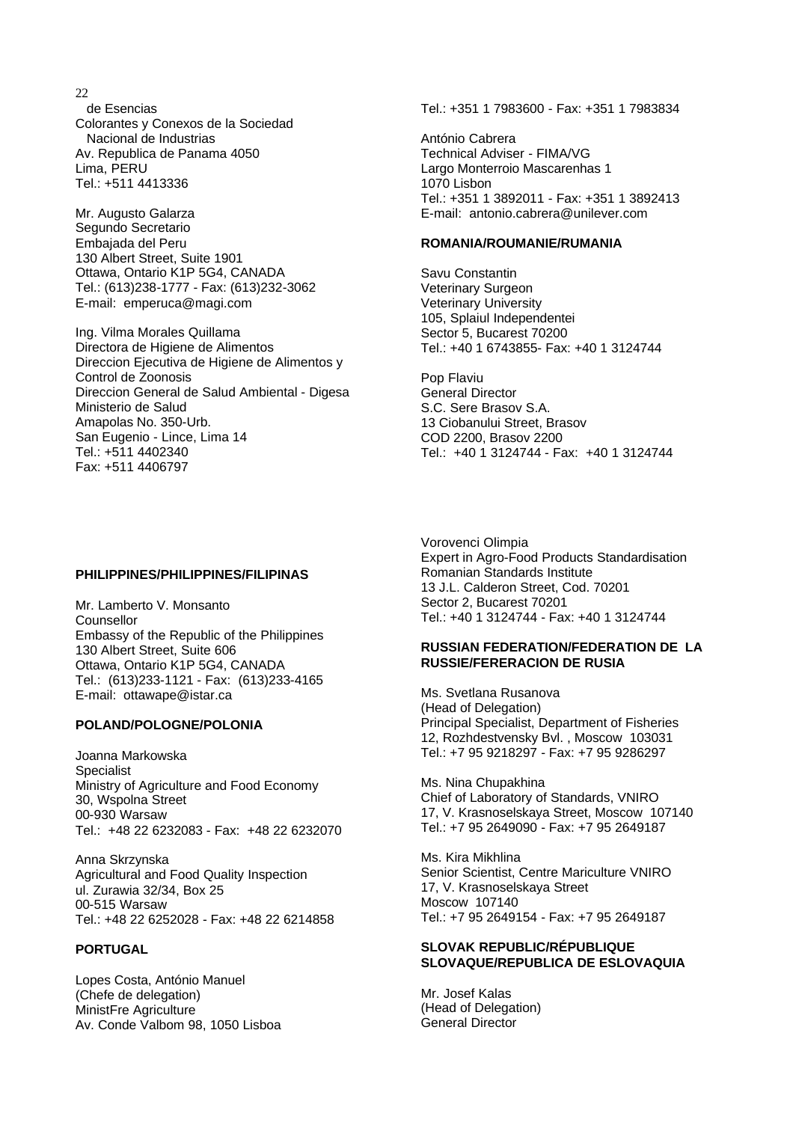22 de Esencias Colorantes y Conexos de la Sociedad Nacional de Industrias Av. Republica de Panama 4050 Lima, PERU Tel.: +511 4413336

Mr. Augusto Galarza Segundo Secretario Embajada del Peru 130 Albert Street, Suite 1901 Ottawa, Ontario K1P 5G4, CANADA Tel.: (613)238-1777 - Fax: (613)232-3062 E-mail: emperuca@magi.com

Ing. Vilma Morales Quillama Directora de Higiene de Alimentos Direccion Ejecutiva de Higiene de Alimentos y Control de Zoonosis Direccion General de Salud Ambiental - Digesa Ministerio de Salud Amapolas No. 350-Urb. San Eugenio - Lince, Lima 14 Tel.: +511 4402340 Fax: +511 4406797

**PHILIPPINES/PHILIPPINES/FILIPINAS**

Mr. Lamberto V. Monsanto **Counsellor** Embassy of the Republic of the Philippines 130 Albert Street, Suite 606 Ottawa, Ontario K1P 5G4, CANADA Tel.: (613)233-1121 - Fax: (613)233-4165 E-mail: ottawape@istar.ca

## **POLAND/POLOGNE/POLONIA**

Joanna Markowska Specialist Ministry of Agriculture and Food Economy 30, Wspolna Street 00-930 Warsaw Tel.: +48 22 6232083 - Fax: +48 22 6232070

Anna Skrzynska Agricultural and Food Quality Inspection ul. Zurawia 32/34, Box 25 00-515 Warsaw Tel.: +48 22 6252028 - Fax: +48 22 6214858

## **PORTUGAL**

Lopes Costa, António Manuel (Chefe de delegation) MinistFre Agriculture Av. Conde Valbom 98, 1050 Lisboa Tel.: +351 1 7983600 - Fax: +351 1 7983834

António Cabrera Technical Adviser - FIMA/VG Largo Monterroio Mascarenhas 1 1070 Lisbon Tel.: +351 1 3892011 - Fax: +351 1 3892413 E-mail: antonio.cabrera@unilever.com

## **ROMANIA/ROUMANIE/RUMANIA**

Savu Constantin Veterinary Surgeon Veterinary University 105, Splaiul Independentei Sector 5, Bucarest 70200 Tel.: +40 1 6743855- Fax: +40 1 3124744

Pop Flaviu General Director S.C. Sere Brasov S.A. 13 Ciobanului Street, Brasov COD 2200, Brasov 2200 Tel.: +40 1 3124744 - Fax: +40 1 3124744

Vorovenci Olimpia Expert in Agro-Food Products Standardisation Romanian Standards Institute 13 J.L. Calderon Street, Cod. 70201 Sector 2, Bucarest 70201 Tel.: +40 1 3124744 - Fax: +40 1 3124744

## **RUSSIAN FEDERATION/FEDERATION DE LA RUSSIE/FERERACION DE RUSIA**

Ms. Svetlana Rusanova (Head of Delegation) Principal Specialist, Department of Fisheries 12, Rozhdestvensky Bvl. , Moscow 103031 Tel.: +7 95 9218297 - Fax: +7 95 9286297

Ms. Nina Chupakhina Chief of Laboratory of Standards, VNIRO 17, V. Krasnoselskaya Street, Moscow 107140 Tel.: +7 95 2649090 - Fax: +7 95 2649187

Ms. Kira Mikhlina Senior Scientist, Centre Mariculture VNIRO 17, V. Krasnoselskaya Street Moscow 107140 Tel.: +7 95 2649154 - Fax: +7 95 2649187

## **SLOVAK REPUBLIC/RÉPUBLIQUE SLOVAQUE/REPUBLICA DE ESLOVAQUIA**

Mr. Josef Kalas (Head of Delegation) General Director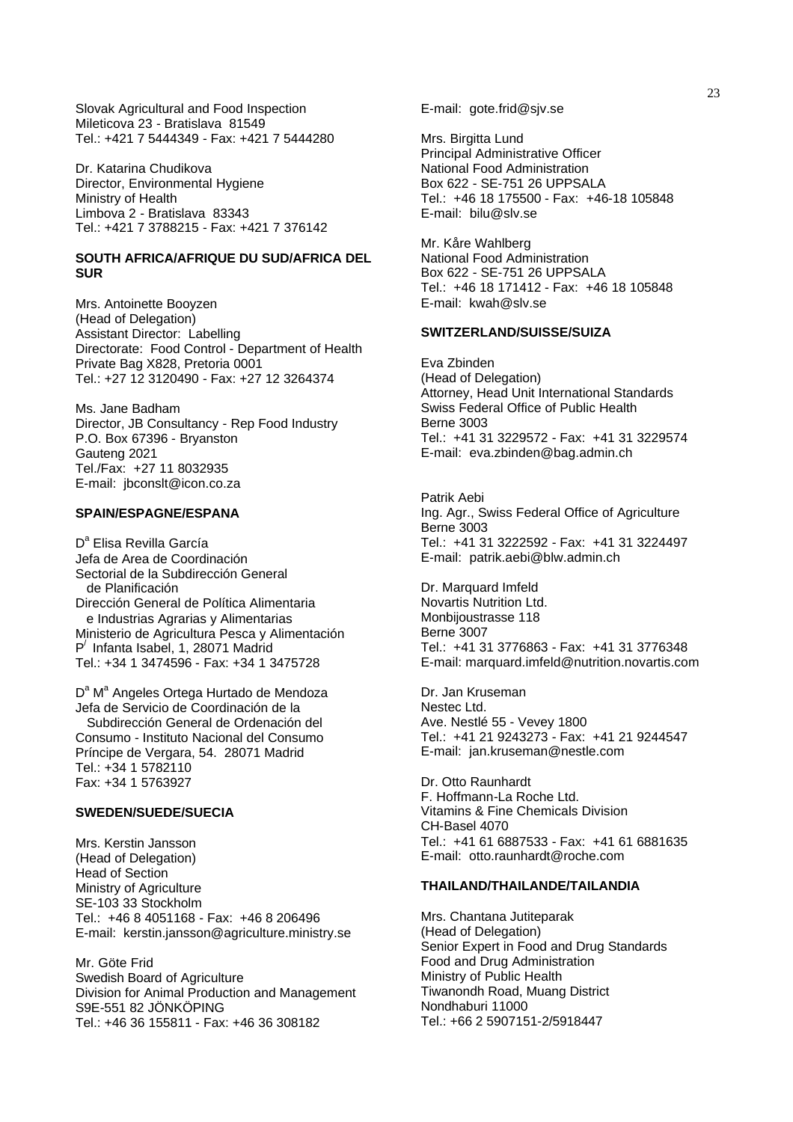Slovak Agricultural and Food Inspection Mileticova 23 - Bratislava 81549 Tel.: +421 7 5444349 - Fax: +421 7 5444280

Dr. Katarina Chudikova Director, Environmental Hygiene Ministry of Health Limbova 2 - Bratislava 83343 Tel.: +421 7 3788215 - Fax: +421 7 376142

#### **SOUTH AFRICA/AFRIQUE DU SUD/AFRICA DEL SUR**

Mrs. Antoinette Booyzen (Head of Delegation) Assistant Director: Labelling Directorate: Food Control - Department of Health Private Bag X828, Pretoria 0001 Tel.: +27 12 3120490 - Fax: +27 12 3264374

Ms. Jane Badham Director, JB Consultancy - Rep Food Industry P.O. Box 67396 - Bryanston Gauteng 2021 Tel./Fax: +27 11 8032935 E-mail: jbconslt@icon.co.za

#### **SPAIN/ESPAGNE/ESPANA**

D<sup>a</sup> Elisa Revilla García Jefa de Area de Coordinación Sectorial de la Subdirección General de Planificación Dirección General de Política Alimentaria e Industrias Agrarias y Alimentarias Ministerio de Agricultura Pesca y Alimentación P / Infanta Isabel, 1, 28071 Madrid Tel.: +34 1 3474596 - Fax: +34 1 3475728

D<sup>a</sup> M<sup>a</sup> Angeles Ortega Hurtado de Mendoza Jefa de Servicio de Coordinación de la Subdirección General de Ordenación del Consumo - Instituto Nacional del Consumo Príncipe de Vergara, 54. 28071 Madrid Tel.: +34 1 5782110 Fax: +34 1 5763927

## **SWEDEN/SUEDE/SUECIA**

Mrs. Kerstin Jansson (Head of Delegation) Head of Section Ministry of Agriculture SE-103 33 Stockholm Tel.: +46 8 4051168 - Fax: +46 8 206496 E-mail: kerstin.jansson@agriculture.ministry.se

Mr. Göte Frid Swedish Board of Agriculture Division for Animal Production and Management S9E-551 82 JÖNKÖPING Tel.: +46 36 155811 - Fax: +46 36 308182

E-mail: gote.frid@sjv.se

Mrs. Birgitta Lund Principal Administrative Officer National Food Administration Box 622 - SE-751 26 UPPSALA Tel.: +46 18 175500 - Fax: +46-18 105848 E-mail: bilu@slv.se

Mr. Kåre Wahlberg National Food Administration Box 622 - SE-751 26 UPPSALA Tel.: +46 18 171412 - Fax: +46 18 105848 E-mail: kwah@slv.se

## **SWITZERLAND/SUISSE/SUIZA**

Eva Zbinden (Head of Delegation) Attorney, Head Unit International Standards Swiss Federal Office of Public Health Berne 3003 Tel.: +41 31 3229572 - Fax: +41 31 3229574 E-mail: eva.zbinden@bag.admin.ch

Patrik Aebi Ing. Agr., Swiss Federal Office of Agriculture Berne 3003 Tel.: +41 31 3222592 - Fax: +41 31 3224497 E-mail: patrik.aebi@blw.admin.ch

Dr. Marquard Imfeld Novartis Nutrition Ltd. Monbijoustrasse 118 Berne 3007 Tel.: +41 31 3776863 - Fax: +41 31 3776348 E-mail: marquard.imfeld@nutrition.novartis.com

Dr. Jan Kruseman Nestec Ltd. Ave. Nestlé 55 - Vevey 1800 Tel.: +41 21 9243273 - Fax: +41 21 9244547 E-mail: jan.kruseman@nestle.com

Dr. Otto Raunhardt F. Hoffmann-La Roche Ltd. Vitamins & Fine Chemicals Division CH-Basel 4070 Tel.: +41 61 6887533 - Fax: +41 61 6881635 E-mail: otto.raunhardt@roche.com

#### **THAILAND/THAILANDE/TAILANDIA**

Mrs. Chantana Jutiteparak (Head of Delegation) Senior Expert in Food and Drug Standards Food and Drug Administration Ministry of Public Health Tiwanondh Road, Muang District Nondhaburi 11000 Tel.: +66 2 5907151-2/5918447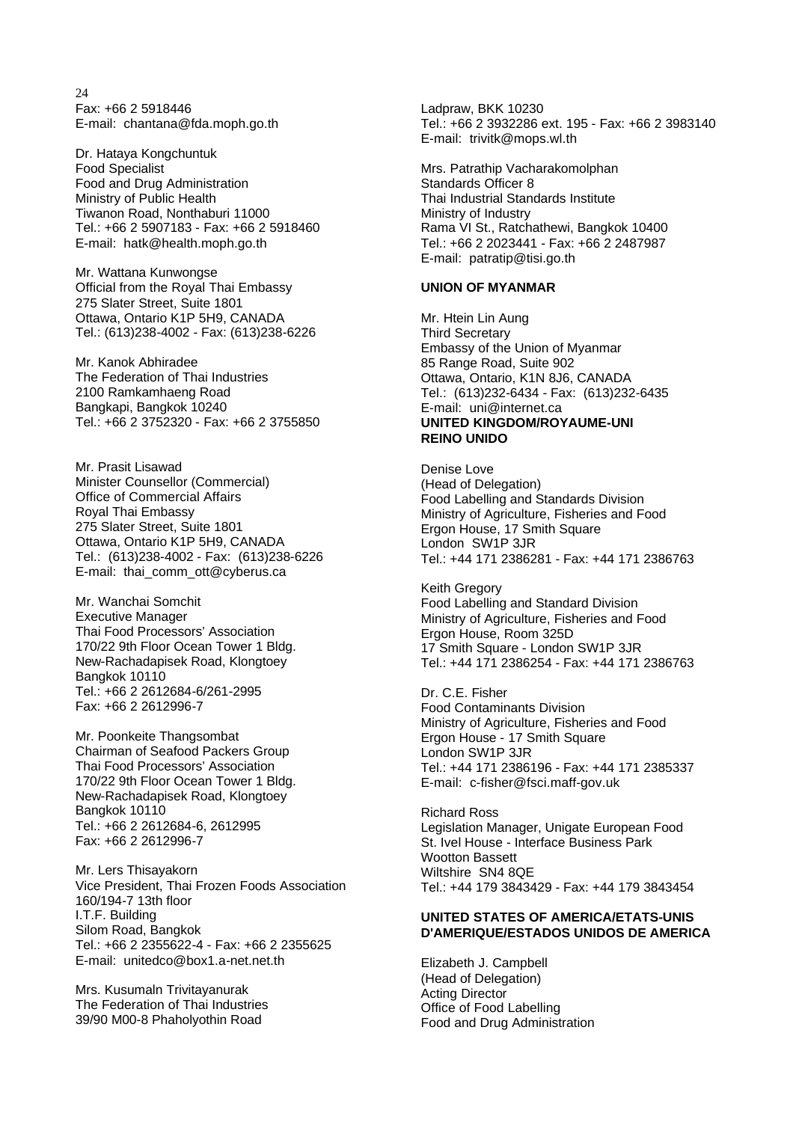24 Fax: +66 2 5918446 E-mail: chantana@fda.moph.go.th

Dr. Hataya Kongchuntuk Food Specialist Food and Drug Administration Ministry of Public Health Tiwanon Road, Nonthaburi 11000 Tel.: +66 2 5907183 - Fax: +66 2 5918460 E-mail: hatk@health.moph.go.th

Mr. Wattana Kunwongse Official from the Royal Thai Embassy 275 Slater Street, Suite 1801 Ottawa, Ontario K1P 5H9, CANADA Tel.: (613)238-4002 - Fax: (613)238-6226

Mr. Kanok Abhiradee The Federation of Thai Industries 2100 Ramkamhaeng Road Bangkapi, Bangkok 10240 Tel.: +66 2 3752320 - Fax: +66 2 3755850

Mr. Prasit Lisawad Minister Counsellor (Commercial) Office of Commercial Affairs Royal Thai Embassy 275 Slater Street, Suite 1801 Ottawa, Ontario K1P 5H9, CANADA Tel.: (613)238-4002 - Fax: (613)238-6226 E-mail: thai\_comm\_ott@cyberus.ca

Mr. Wanchai Somchit Executive Manager Thai Food Processors' Association 170/22 9th Floor Ocean Tower 1 Bldg. New-Rachadapisek Road, Klongtoey Bangkok 10110 Tel.: +66 2 2612684-6/261-2995 Fax: +66 2 2612996-7

Mr. Poonkeite Thangsombat Chairman of Seafood Packers Group Thai Food Processors' Association 170/22 9th Floor Ocean Tower 1 Bldg. New-Rachadapisek Road, Klongtoey Bangkok 10110 Tel.: +66 2 2612684-6, 2612995 Fax: +66 2 2612996-7

Mr. Lers Thisayakorn Vice President, Thai Frozen Foods Association 160/194-7 13th floor I.T.F. Building Silom Road, Bangkok Tel.: +66 2 2355622-4 - Fax: +66 2 2355625 E-mail: unitedco@box1.a-net.net.th

Mrs. Kusumaln Trivitayanurak The Federation of Thai Industries 39/90 M00-8 Phaholyothin Road

Ladpraw, BKK 10230 Tel.: +66 2 3932286 ext. 195 - Fax: +66 2 3983140 E-mail: trivitk@mops.wl.th

Mrs. Patrathip Vacharakomolphan Standards Officer 8 Thai Industrial Standards Institute Ministry of Industry Rama VI St., Ratchathewi, Bangkok 10400 Tel.: +66 2 2023441 - Fax: +66 2 2487987 E-mail: patratip@tisi.go.th

#### **UNION OF MYANMAR**

Mr. Htein Lin Aung Third Secretary Embassy of the Union of Myanmar 85 Range Road, Suite 902 Ottawa, Ontario, K1N 8J6, CANADA Tel.: (613)232-6434 - Fax: (613)232-6435 E-mail: uni@internet.ca **UNITED KINGDOM/ROYAUME-UNI REINO UNIDO**

Denise Love (Head of Delegation) Food Labelling and Standards Division Ministry of Agriculture, Fisheries and Food Ergon House, 17 Smith Square London SW1P 3JR Tel.: +44 171 2386281 - Fax: +44 171 2386763

Keith Gregory Food Labelling and Standard Division Ministry of Agriculture, Fisheries and Food Ergon House, Room 325D 17 Smith Square - London SW1P 3JR Tel.: +44 171 2386254 - Fax: +44 171 2386763

Dr. C.E. Fisher Food Contaminants Division Ministry of Agriculture, Fisheries and Food Ergon House - 17 Smith Square London SW1P 3JR Tel.: +44 171 2386196 - Fax: +44 171 2385337 E-mail: c-fisher@fsci.maff-gov.uk

Richard Ross Legislation Manager, Unigate European Food St. Ivel House - Interface Business Park Wootton Bassett Wiltshire SN4 8QE Tel.: +44 179 3843429 - Fax: +44 179 3843454

#### **UNITED STATES OF AMERICA/ETATS-UNIS D'AMERIQUE/ESTADOS UNIDOS DE AMERICA**

Elizabeth J. Campbell (Head of Delegation) Acting Director Office of Food Labelling Food and Drug Administration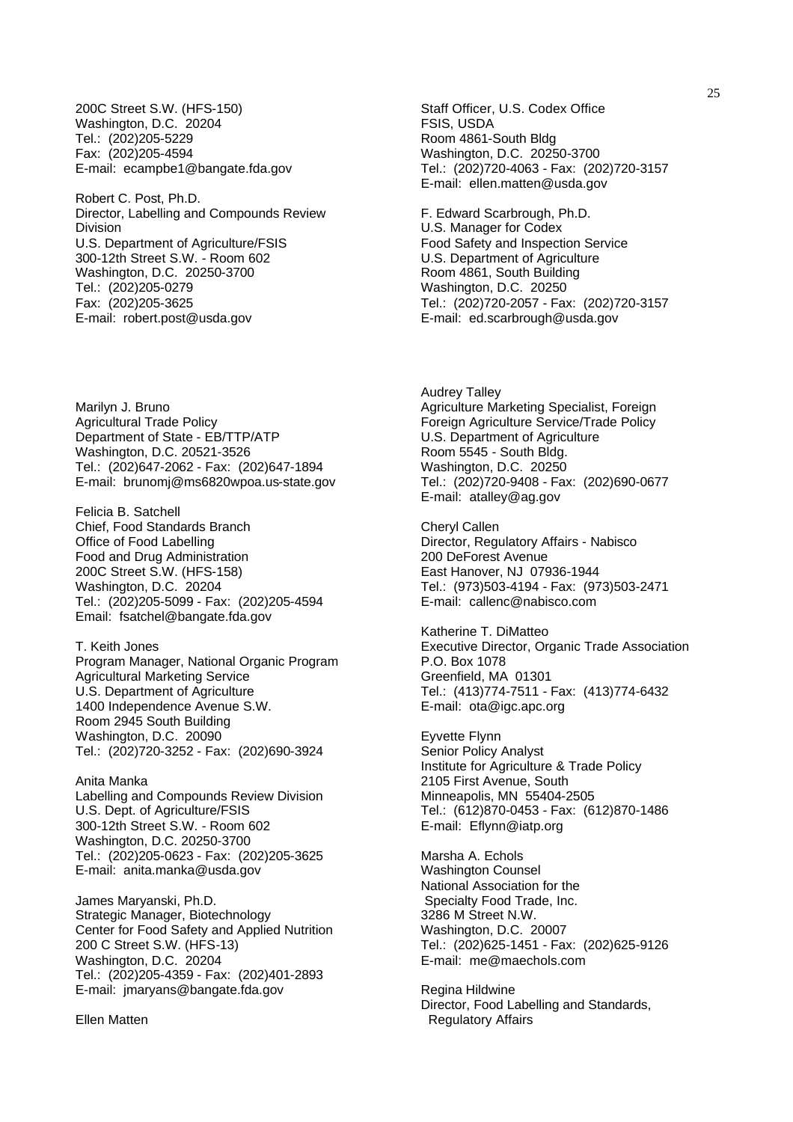200C Street S.W. (HFS-150) Washington, D.C. 20204 Tel.: (202)205-5229 Fax: (202)205-4594 E-mail: ecampbe1@bangate.fda.gov

Robert C. Post, Ph.D. Director, Labelling and Compounds Review Division U.S. Department of Agriculture/FSIS 300-12th Street S.W. - Room 602 Washington, D.C. 20250-3700 Tel.: (202)205-0279 Fax: (202)205-3625 E-mail: robert.post@usda.gov

Marilyn J. Bruno Agricultural Trade Policy Department of State - EB/TTP/ATP Washington, D.C. 20521-3526 Tel.: (202)647-2062 - Fax: (202)647-1894 E-mail: brunomj@ms6820wpoa.us-state.gov

Felicia B. Satchell Chief, Food Standards Branch Office of Food Labelling Food and Drug Administration 200C Street S.W. (HFS-158) Washington, D.C. 20204 Tel.: (202)205-5099 - Fax: (202)205-4594 Email: fsatchel@bangate.fda.gov

T. Keith Jones Program Manager, National Organic Program Agricultural Marketing Service U.S. Department of Agriculture 1400 Independence Avenue S.W. Room 2945 South Building Washington, D.C. 20090 Tel.: (202)720-3252 - Fax: (202)690-3924

Anita Manka Labelling and Compounds Review Division U.S. Dept. of Agriculture/FSIS 300-12th Street S.W. - Room 602 Washington, D.C. 20250-3700 Tel.: (202)205-0623 - Fax: (202)205-3625 E-mail: anita.manka@usda.gov

James Maryanski, Ph.D. Strategic Manager, Biotechnology Center for Food Safety and Applied Nutrition 200 C Street S.W. (HFS-13) Washington, D.C. 20204 Tel.: (202)205-4359 - Fax: (202)401-2893 E-mail: jmaryans@bangate.fda.gov

Ellen Matten

Staff Officer, U.S. Codex Office FSIS, USDA Room 4861-South Bldg Washington, D.C. 20250-3700 Tel.: (202)720-4063 - Fax: (202)720-3157 E-mail: ellen.matten@usda.gov

F. Edward Scarbrough, Ph.D. U.S. Manager for Codex Food Safety and Inspection Service U.S. Department of Agriculture Room 4861, South Building Washington, D.C. 20250 Tel.: (202)720-2057 - Fax: (202)720-3157 E-mail: ed.scarbrough@usda.gov

Audrey Talley Agriculture Marketing Specialist, Foreign Foreign Agriculture Service/Trade Policy U.S. Department of Agriculture Room 5545 - South Bldg. Washington, D.C. 20250 Tel.: (202)720-9408 - Fax: (202)690-0677 E-mail: atalley@ag.gov

Cheryl Callen Director, Regulatory Affairs - Nabisco 200 DeForest Avenue East Hanover, NJ 07936-1944 Tel.: (973)503-4194 - Fax: (973)503-2471 E-mail: callenc@nabisco.com

Katherine T. DiMatteo Executive Director, Organic Trade Association P.O. Box 1078 Greenfield, MA 01301 Tel.: (413)774-7511 - Fax: (413)774-6432 E-mail: ota@igc.apc.org

Eyvette Flynn Senior Policy Analyst Institute for Agriculture & Trade Policy 2105 First Avenue, South Minneapolis, MN 55404-2505 Tel.: (612)870-0453 - Fax: (612)870-1486 E-mail: Eflynn@iatp.org

Marsha A. Echols Washington Counsel National Association for the Specialty Food Trade, Inc. 3286 M Street N.W. Washington, D.C. 20007 Tel.: (202)625-1451 - Fax: (202)625-9126 E-mail: me@maechols.com

Regina Hildwine Director, Food Labelling and Standards, Regulatory Affairs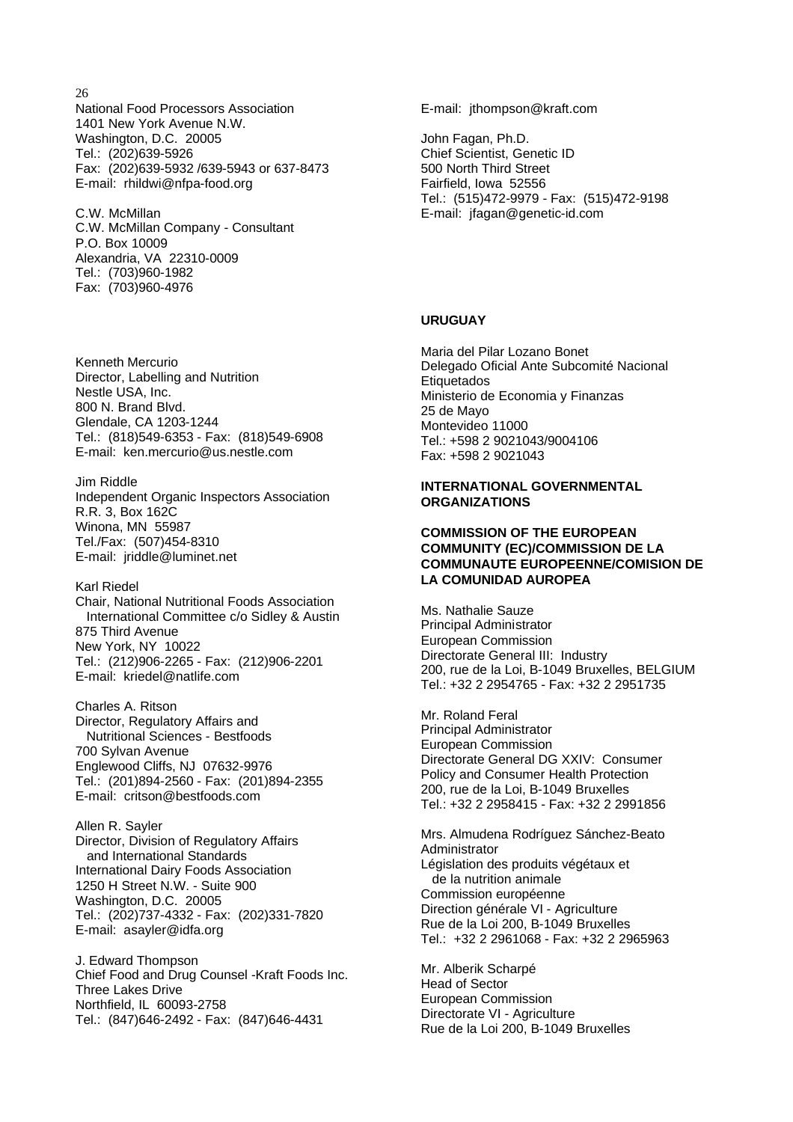26 National Food Processors Association 1401 New York Avenue N.W. Washington, D.C. 20005 Tel.: (202)639-5926 Fax: (202)639-5932 /639-5943 or 637-8473 E-mail: rhildwi@nfpa-food.org

C.W. McMillan C.W. McMillan Company - Consultant P.O. Box 10009 Alexandria, VA 22310-0009 Tel.: (703)960-1982 Fax: (703)960-4976

Kenneth Mercurio Director, Labelling and Nutrition Nestle USA, Inc. 800 N. Brand Blvd. Glendale, CA 1203-1244 Tel.: (818)549-6353 - Fax: (818)549-6908 E-mail: ken.mercurio@us.nestle.com

Jim Riddle Independent Organic Inspectors Association R.R. 3, Box 162C Winona, MN 55987 Tel./Fax: (507)454-8310 E-mail: jriddle@luminet.net

Karl Riedel Chair, National Nutritional Foods Association International Committee c/o Sidley & Austin 875 Third Avenue New York, NY 10022 Tel.: (212)906-2265 - Fax: (212)906-2201 E-mail: kriedel@natlife.com

Charles A. Ritson Director, Regulatory Affairs and Nutritional Sciences - Bestfoods 700 Sylvan Avenue Englewood Cliffs, NJ 07632-9976 Tel.: (201)894-2560 - Fax: (201)894-2355 E-mail: critson@bestfoods.com

Allen R. Sayler Director, Division of Regulatory Affairs and International Standards International Dairy Foods Association 1250 H Street N.W. - Suite 900 Washington, D.C. 20005 Tel.: (202)737-4332 - Fax: (202)331-7820 E-mail: asayler@idfa.org

J. Edward Thompson Chief Food and Drug Counsel -Kraft Foods Inc. Three Lakes Drive Northfield, IL 60093-2758 Tel.: (847)646-2492 - Fax: (847)646-4431

E-mail: jthompson@kraft.com

John Fagan, Ph.D. Chief Scientist, Genetic ID 500 North Third Street Fairfield, Iowa 52556 Tel.: (515)472-9979 - Fax: (515)472-9198 E-mail: jfagan@genetic-id.com

#### **URUGUAY**

Maria del Pilar Lozano Bonet Delegado Oficial Ante Subcomité Nacional **Etiquetados** Ministerio de Economia y Finanzas 25 de Mayo Montevideo 11000 Tel.: +598 2 9021043/9004106 Fax: +598 2 9021043

#### **INTERNATIONAL GOVERNMENTAL ORGANIZATIONS**

## **COMMISSION OF THE EUROPEAN COMMUNITY (EC)/COMMISSION DE LA COMMUNAUTE EUROPEENNE/COMISION DE LA COMUNIDAD AUROPEA**

Ms. Nathalie Sauze Principal Administrator European Commission Directorate General III: Industry 200, rue de la Loi, B-1049 Bruxelles, BELGIUM Tel.: +32 2 2954765 - Fax: +32 2 2951735

Mr. Roland Feral Principal Administrator European Commission Directorate General DG XXIV: Consumer Policy and Consumer Health Protection 200, rue de la Loi, B-1049 Bruxelles Tel.: +32 2 2958415 - Fax: +32 2 2991856

Mrs. Almudena Rodríguez Sánchez-Beato **Administrator** Législation des produits végétaux et de la nutrition animale Commission européenne Direction générale VI - Agriculture Rue de la Loi 200, B-1049 Bruxelles Tel.: +32 2 2961068 - Fax: +32 2 2965963

Mr. Alberik Scharpé Head of Sector European Commission Directorate VI - Agriculture Rue de la Loi 200, B-1049 Bruxelles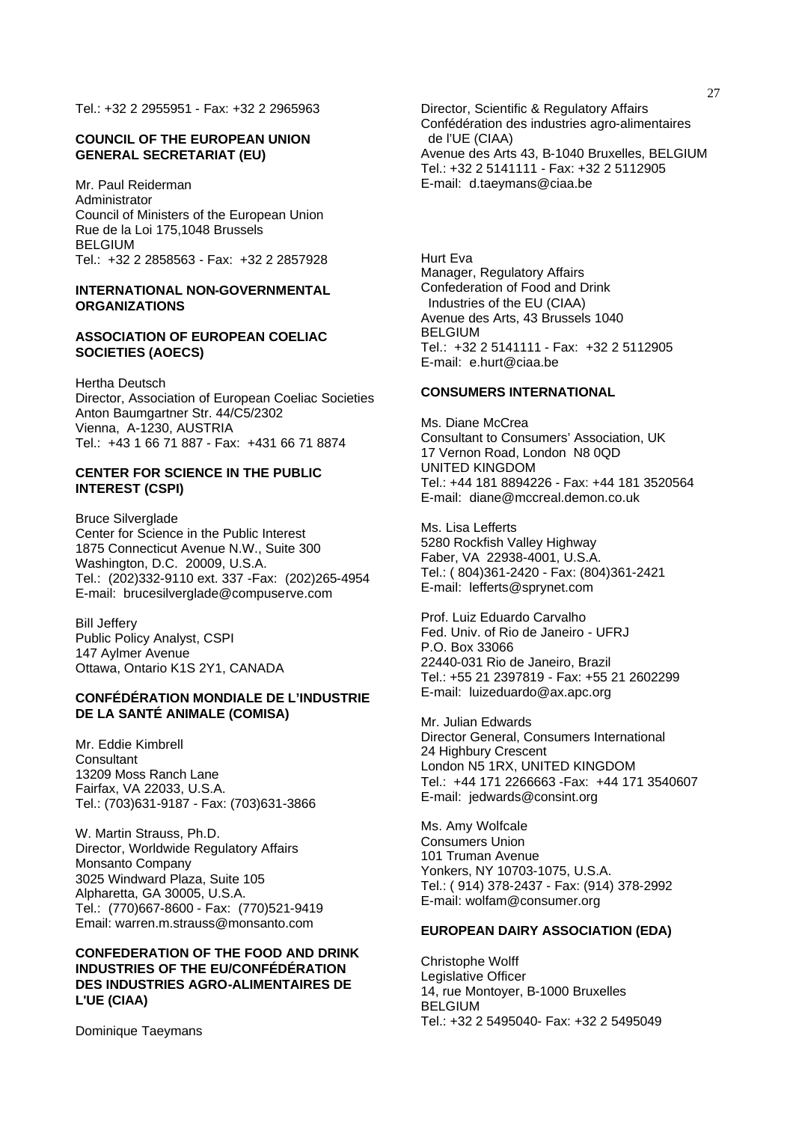Tel.: +32 2 2955951 - Fax: +32 2 2965963

## **COUNCIL OF THE EUROPEAN UNION GENERAL SECRETARIAT (EU)**

Mr. Paul Reiderman Administrator Council of Ministers of the European Union Rue de la Loi 175,1048 Brussels BELGIUM Tel.: +32 2 2858563 - Fax: +32 2 2857928

#### **INTERNATIONAL NON-GOVERNMENTAL ORGANIZATIONS**

#### **ASSOCIATION OF EUROPEAN COELIAC SOCIETIES (AOECS)**

Hertha Deutsch Director, Association of European Coeliac Societies Anton Baumgartner Str. 44/C5/2302 Vienna, A-1230, AUSTRIA Tel.: +43 1 66 71 887 - Fax: +431 66 71 8874

## **CENTER FOR SCIENCE IN THE PUBLIC INTEREST (CSPI)**

Bruce Silverglade Center for Science in the Public Interest 1875 Connecticut Avenue N.W., Suite 300 Washington, D.C. 20009, U.S.A. Tel.: (202)332-9110 ext. 337 -Fax: (202)265-4954 E-mail: brucesilverglade@compuserve.com

Bill Jeffery Public Policy Analyst, CSPI 147 Aylmer Avenue Ottawa, Ontario K1S 2Y1, CANADA

# **CONFÉDÉRATION MONDIALE DE L'INDUSTRIE DE LA SANTÉ ANIMALE (COMISA)**

Mr. Eddie Kimbrell **Consultant** 13209 Moss Ranch Lane Fairfax, VA 22033, U.S.A. Tel.: (703)631-9187 - Fax: (703)631-3866

W. Martin Strauss, Ph.D. Director, Worldwide Regulatory Affairs Monsanto Company 3025 Windward Plaza, Suite 105 Alpharetta, GA 30005, U.S.A. Tel.: (770)667-8600 - Fax: (770)521-9419 Email: warren.m.strauss@monsanto.com

## **CONFEDERATION OF THE FOOD AND DRINK INDUSTRIES OF THE EU/CONFÉDÉRATION DES INDUSTRIES AGRO-ALIMENTAIRES DE L'UE (CIAA)**

Dominique Taeymans

Director, Scientific & Regulatory Affairs Confédération des industries agro-alimentaires de l'UE (CIAA) Avenue des Arts 43, B-1040 Bruxelles, BELGIUM Tel.: +32 2 5141111 - Fax: +32 2 5112905 E-mail: d.taeymans@ciaa.be

Hurt Eva Manager, Regulatory Affairs Confederation of Food and Drink Industries of the EU (CIAA) Avenue des Arts, 43 Brussels 1040 BELGIUM Tel.: +32 2 5141111 - Fax: +32 2 5112905 E-mail: e.hurt@ciaa.be

## **CONSUMERS INTERNATIONAL**

Ms. Diane McCrea Consultant to Consumers' Association, UK 17 Vernon Road, London N8 0QD UNITED KINGDOM Tel.: +44 181 8894226 - Fax: +44 181 3520564 E-mail: diane@mccreal.demon.co.uk

Ms. Lisa Lefferts 5280 Rockfish Valley Highway Faber, VA 22938-4001, U.S.A. Tel.: ( 804)361-2420 - Fax: (804)361-2421 E-mail: lefferts@sprynet.com

Prof. Luiz Eduardo Carvalho Fed. Univ. of Rio de Janeiro - UFRJ P.O. Box 33066 22440-031 Rio de Janeiro, Brazil Tel.: +55 21 2397819 - Fax: +55 21 2602299 E-mail: luizeduardo@ax.apc.org

Mr. Julian Edwards Director General, Consumers International 24 Highbury Crescent London N5 1RX, UNITED KINGDOM Tel.: +44 171 2266663 -Fax: +44 171 3540607 E-mail: jedwards@consint.org

Ms. Amy Wolfcale Consumers Union 101 Truman Avenue Yonkers, NY 10703-1075, U.S.A. Tel.: ( 914) 378-2437 - Fax: (914) 378-2992 E-mail: wolfam@consumer.org

#### **EUROPEAN DAIRY ASSOCIATION (EDA)**

Christophe Wolff Legislative Officer 14, rue Montoyer, B-1000 Bruxelles BELGIUM Tel.: +32 2 5495040- Fax: +32 2 5495049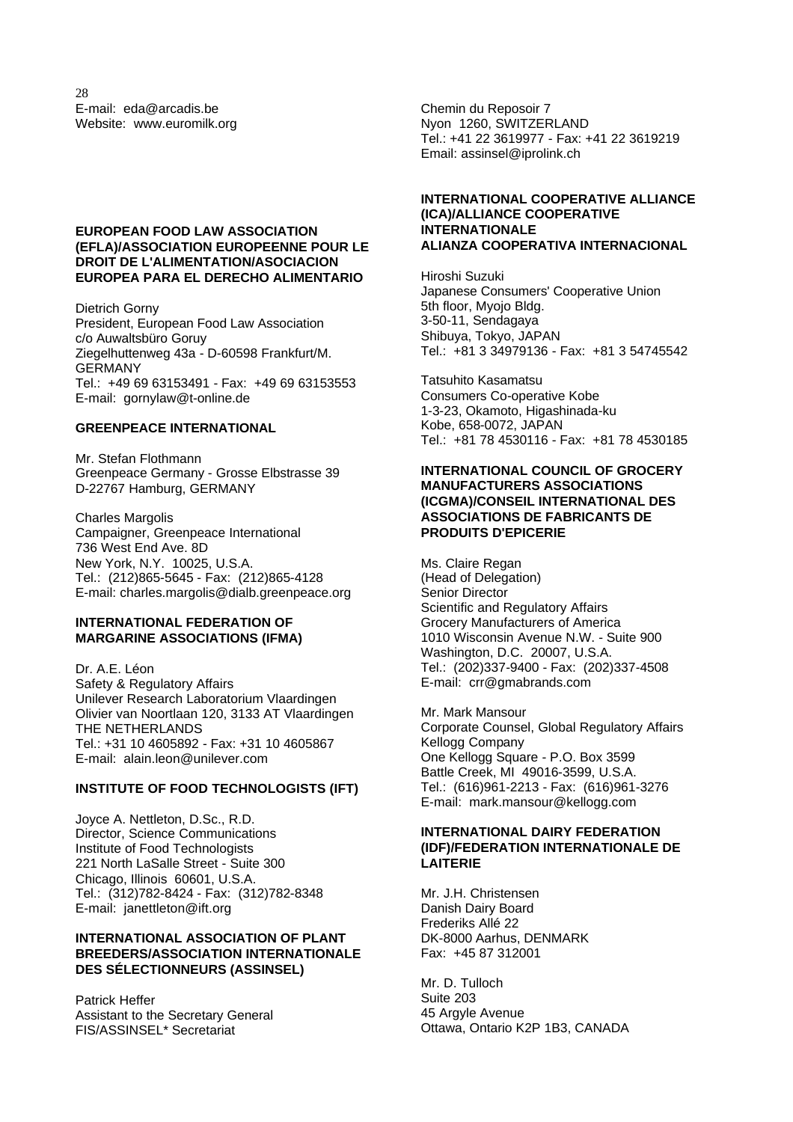## **EUROPEAN FOOD LAW ASSOCIATION (EFLA)/ASSOCIATION EUROPEENNE POUR LE DROIT DE L'ALIMENTATION/ASOCIACION EUROPEA PARA EL DERECHO ALIMENTARIO**

Dietrich Gorny President, European Food Law Association c/o Auwaltsbüro Goruy Ziegelhuttenweg 43a - D-60598 Frankfurt/M. GERMANY Tel.: +49 69 63153491 - Fax: +49 69 63153553 E-mail: gornylaw@t-online.de

## **GREENPEACE INTERNATIONAL**

Mr. Stefan Flothmann Greenpeace Germany - Grosse Elbstrasse 39 D-22767 Hamburg, GERMANY

Charles Margolis Campaigner, Greenpeace International 736 West End Ave. 8D New York, N.Y. 10025, U.S.A. Tel.: (212)865-5645 - Fax: (212)865-4128 E-mail: charles.margolis@dialb.greenpeace.org

#### **INTERNATIONAL FEDERATION OF MARGARINE ASSOCIATIONS (IFMA)**

Dr. A.E. Léon Safety & Regulatory Affairs Unilever Research Laboratorium Vlaardingen Olivier van Noortlaan 120, 3133 AT Vlaardingen THE NETHERLANDS Tel.: +31 10 4605892 - Fax: +31 10 4605867 E-mail: alain.leon@unilever.com

## **INSTITUTE OF FOOD TECHNOLOGISTS (IFT)**

Joyce A. Nettleton, D.Sc., R.D. Director, Science Communications Institute of Food Technologists 221 North LaSalle Street - Suite 300 Chicago, Illinois 60601, U.S.A. Tel.: (312)782-8424 - Fax: (312)782-8348 E-mail: janettleton@ift.org

## **INTERNATIONAL ASSOCIATION OF PLANT BREEDERS/ASSOCIATION INTERNATIONALE DES SÉLECTIONNEURS (ASSINSEL)**

Patrick Heffer Assistant to the Secretary General FIS/ASSINSEL\* Secretariat

Chemin du Reposoir 7 Nyon 1260, SWITZERLAND Tel.: +41 22 3619977 - Fax: +41 22 3619219 Email: assinsel@iprolink.ch

## **INTERNATIONAL COOPERATIVE ALLIANCE (ICA)/ALLIANCE COOPERATIVE INTERNATIONALE ALIANZA COOPERATIVA INTERNACIONAL**

Hiroshi Suzuki Japanese Consumers' Cooperative Union 5th floor, Myojo Bldg. 3-50-11, Sendagaya Shibuya, Tokyo, JAPAN Tel.: +81 3 34979136 - Fax: +81 3 54745542

Tatsuhito Kasamatsu Consumers Co-operative Kobe 1-3-23, Okamoto, Higashinada-ku Kobe, 658-0072, JAPAN Tel.: +81 78 4530116 - Fax: +81 78 4530185

## **INTERNATIONAL COUNCIL OF GROCERY MANUFACTURERS ASSOCIATIONS (ICGMA)/CONSEIL INTERNATIONAL DES ASSOCIATIONS DE FABRICANTS DE PRODUITS D'EPICERIE**

Ms. Claire Regan (Head of Delegation) Senior Director Scientific and Regulatory Affairs Grocery Manufacturers of America 1010 Wisconsin Avenue N.W. - Suite 900 Washington, D.C. 20007, U.S.A. Tel.: (202)337-9400 - Fax: (202)337-4508 E-mail: crr@gmabrands.com

Mr. Mark Mansour Corporate Counsel, Global Regulatory Affairs Kellogg Company One Kellogg Square - P.O. Box 3599 Battle Creek, MI 49016-3599, U.S.A. Tel.: (616)961-2213 - Fax: (616)961-3276 E-mail: mark.mansour@kellogg.com

## **INTERNATIONAL DAIRY FEDERATION (IDF)/FEDERATION INTERNATIONALE DE LAITERIE**

Mr. J.H. Christensen Danish Dairy Board Frederiks Allé 22 DK-8000 Aarhus, DENMARK Fax: +45 87 312001

Mr. D. Tulloch Suite 203 45 Argyle Avenue Ottawa, Ontario K2P 1B3, CANADA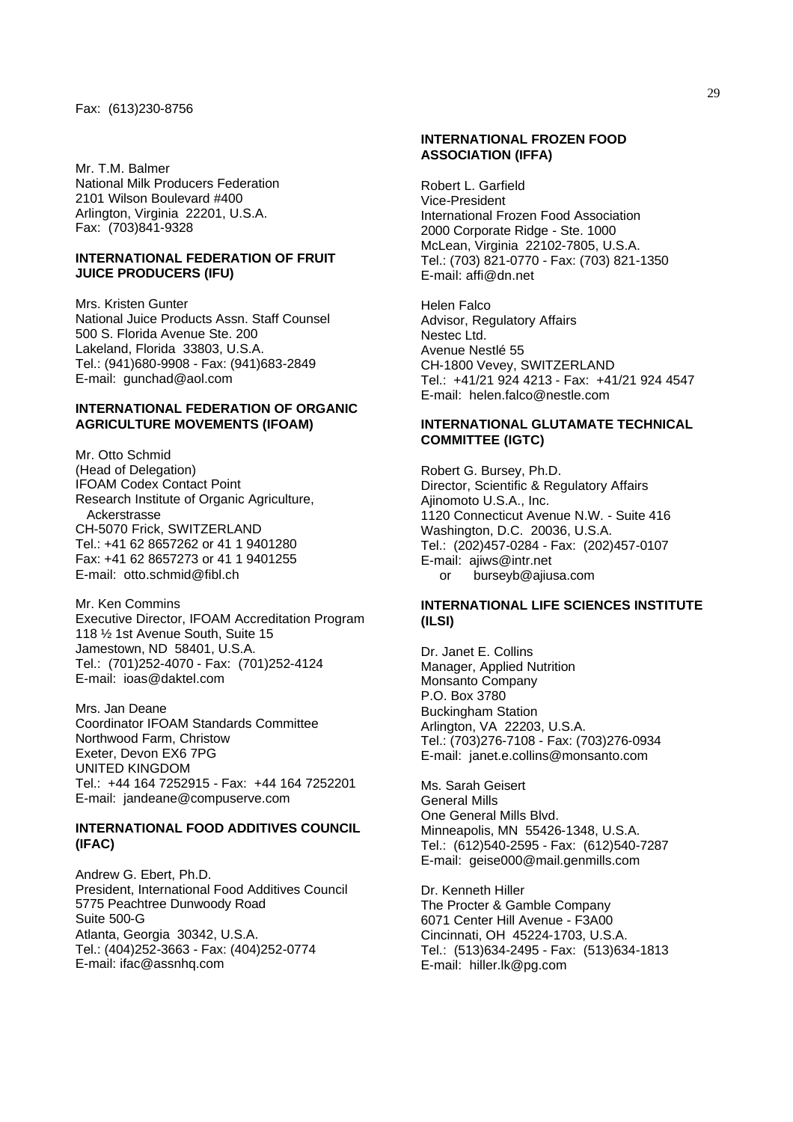Mr. T.M. Balmer National Milk Producers Federation 2101 Wilson Boulevard #400 Arlington, Virginia 22201, U.S.A. Fax: (703)841-9328

#### **INTERNATIONAL FEDERATION OF FRUIT JUICE PRODUCERS (IFU)**

Mrs. Kristen Gunter National Juice Products Assn. Staff Counsel 500 S. Florida Avenue Ste. 200 Lakeland, Florida 33803, U.S.A. Tel.: (941)680-9908 - Fax: (941)683-2849 E-mail: gunchad@aol.com

#### **INTERNATIONAL FEDERATION OF ORGANIC AGRICULTURE MOVEMENTS (IFOAM)**

Mr. Otto Schmid (Head of Delegation) IFOAM Codex Contact Point Research Institute of Organic Agriculture, Ackerstrasse CH-5070 Frick, SWITZERLAND Tel.: +41 62 8657262 or 41 1 9401280 Fax: +41 62 8657273 or 41 1 9401255 E-mail: otto.schmid@fibl.ch

Mr. Ken Commins Executive Director, IFOAM Accreditation Program 118 ½ 1st Avenue South, Suite 15 Jamestown, ND 58401, U.S.A. Tel.: (701)252-4070 - Fax: (701)252-4124 E-mail: ioas@daktel.com

Mrs. Jan Deane Coordinator IFOAM Standards Committee Northwood Farm, Christow Exeter, Devon EX6 7PG UNITED KINGDOM Tel.: +44 164 7252915 - Fax: +44 164 7252201 E-mail: jandeane@compuserve.com

#### **INTERNATIONAL FOOD ADDITIVES COUNCIL (IFAC)**

Andrew G. Ebert, Ph.D. President, International Food Additives Council 5775 Peachtree Dunwoody Road Suite 500-G Atlanta, Georgia 30342, U.S.A. Tel.: (404)252-3663 - Fax: (404)252-0774 E-mail: ifac@assnhq.com

## **INTERNATIONAL FROZEN FOOD ASSOCIATION (IFFA)**

Robert L. Garfield Vice-President International Frozen Food Association 2000 Corporate Ridge - Ste. 1000 McLean, Virginia 22102-7805, U.S.A. Tel.: (703) 821-0770 - Fax: (703) 821-1350 E-mail: affi@dn.net

Helen Falco Advisor, Regulatory Affairs Nestec Ltd. Avenue Nestlé 55 CH-1800 Vevey, SWITZERLAND Tel.: +41/21 924 4213 - Fax: +41/21 924 4547 E-mail: helen.falco@nestle.com

## **INTERNATIONAL GLUTAMATE TECHNICAL COMMITTEE (IGTC)**

Robert G. Bursey, Ph.D. Director, Scientific & Regulatory Affairs Ajinomoto U.S.A., Inc. 1120 Connecticut Avenue N.W. - Suite 416 Washington, D.C. 20036, U.S.A. Tel.: (202)457-0284 - Fax: (202)457-0107 E-mail: ajiws@intr.net or burseyb@ajiusa.com

# **INTERNATIONAL LIFE SCIENCES INSTITUTE (ILSI)**

Dr. Janet E. Collins Manager, Applied Nutrition Monsanto Company P.O. Box 3780 Buckingham Station Arlington, VA 22203, U.S.A. Tel.: (703)276-7108 - Fax: (703)276-0934 E-mail: janet.e.collins@monsanto.com

Ms. Sarah Geisert General Mills One General Mills Blvd. Minneapolis, MN 55426-1348, U.S.A. Tel.: (612)540-2595 - Fax: (612)540-7287 E-mail: geise000@mail.genmills.com

Dr. Kenneth Hiller The Procter & Gamble Company 6071 Center Hill Avenue - F3A00 Cincinnati, OH 45224-1703, U.S.A. Tel.: (513)634-2495 - Fax: (513)634-1813 E-mail: hiller.lk@pg.com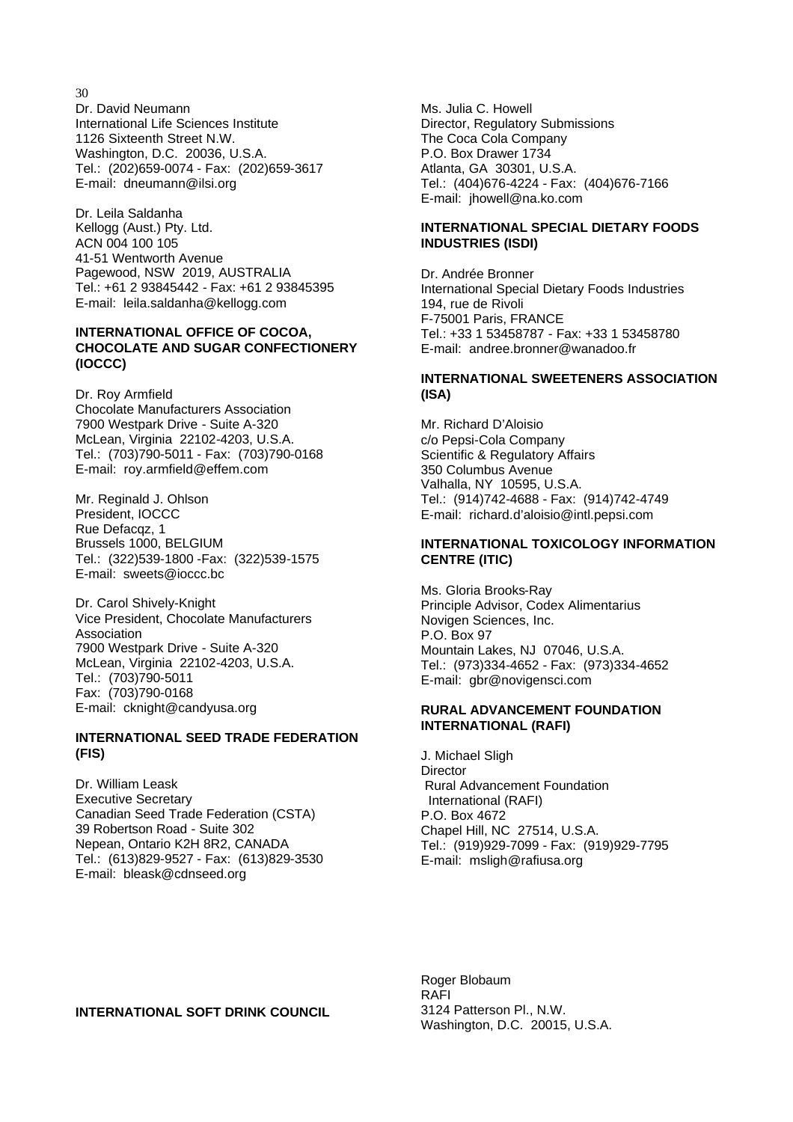30

Dr. David Neumann International Life Sciences Institute 1126 Sixteenth Street N.W. Washington, D.C. 20036, U.S.A. Tel.: (202)659-0074 - Fax: (202)659-3617 E-mail: dneumann@ilsi.org

Dr. Leila Saldanha Kellogg (Aust.) Pty. Ltd. ACN 004 100 105 41-51 Wentworth Avenue Pagewood, NSW 2019, AUSTRALIA Tel.: +61 2 93845442 - Fax: +61 2 93845395 E-mail: leila.saldanha@kellogg.com

## **INTERNATIONAL OFFICE OF COCOA, CHOCOLATE AND SUGAR CONFECTIONERY (IOCCC)**

Dr. Roy Armfield Chocolate Manufacturers Association 7900 Westpark Drive - Suite A-320 McLean, Virginia 22102-4203, U.S.A. Tel.: (703)790-5011 - Fax: (703)790-0168 E-mail: roy.armfield@effem.com

Mr. Reginald J. Ohlson President, IOCCC Rue Defacqz, 1 Brussels 1000, BELGIUM Tel.: (322)539-1800 -Fax: (322)539-1575 E-mail: sweets@ioccc.bc

Dr. Carol Shively-Knight Vice President, Chocolate Manufacturers Association 7900 Westpark Drive - Suite A-320 McLean, Virginia 22102-4203, U.S.A. Tel.: (703)790-5011 Fax: (703)790-0168 E-mail: cknight@candyusa.org

# **INTERNATIONAL SEED TRADE FEDERATION (FIS)**

Dr. William Leask Executive Secretary Canadian Seed Trade Federation (CSTA) 39 Robertson Road - Suite 302 Nepean, Ontario K2H 8R2, CANADA Tel.: (613)829-9527 - Fax: (613)829-3530 E-mail: bleask@cdnseed.org

Ms. Julia C. Howell Director, Regulatory Submissions The Coca Cola Company P.O. Box Drawer 1734 Atlanta, GA 30301, U.S.A. Tel.: (404)676-4224 - Fax: (404)676-7166 E-mail: jhowell@na.ko.com

## **INTERNATIONAL SPECIAL DIETARY FOODS INDUSTRIES (ISDI)**

Dr. Andrée Bronner International Special Dietary Foods Industries 194, rue de Rivoli F-75001 Paris, FRANCE Tel.: +33 1 53458787 - Fax: +33 1 53458780 E-mail: andree.bronner@wanadoo.fr

# **INTERNATIONAL SWEETENERS ASSOCIATION (ISA)**

Mr. Richard D'Aloisio c/o Pepsi-Cola Company Scientific & Regulatory Affairs 350 Columbus Avenue Valhalla, NY 10595, U.S.A. Tel.: (914)742-4688 - Fax: (914)742-4749 E-mail: richard.d'aloisio@intl.pepsi.com

## **INTERNATIONAL TOXICOLOGY INFORMATION CENTRE (ITIC)**

Ms. Gloria Brooks-Ray Principle Advisor, Codex Alimentarius Novigen Sciences, Inc. P.O. Box 97 Mountain Lakes, NJ 07046, U.S.A. Tel.: (973)334-4652 - Fax: (973)334-4652 E-mail: gbr@novigensci.com

## **RURAL ADVANCEMENT FOUNDATION INTERNATIONAL (RAFI)**

J. Michael Sligh Director Rural Advancement Foundation International (RAFI) P.O. Box 4672 Chapel Hill, NC 27514, U.S.A. Tel.: (919)929-7099 - Fax: (919)929-7795 E-mail: msligh@rafiusa.org

#### **INTERNATIONAL SOFT DRINK COUNCIL**

Roger Blobaum RAFI 3124 Patterson Pl., N.W. Washington, D.C. 20015, U.S.A.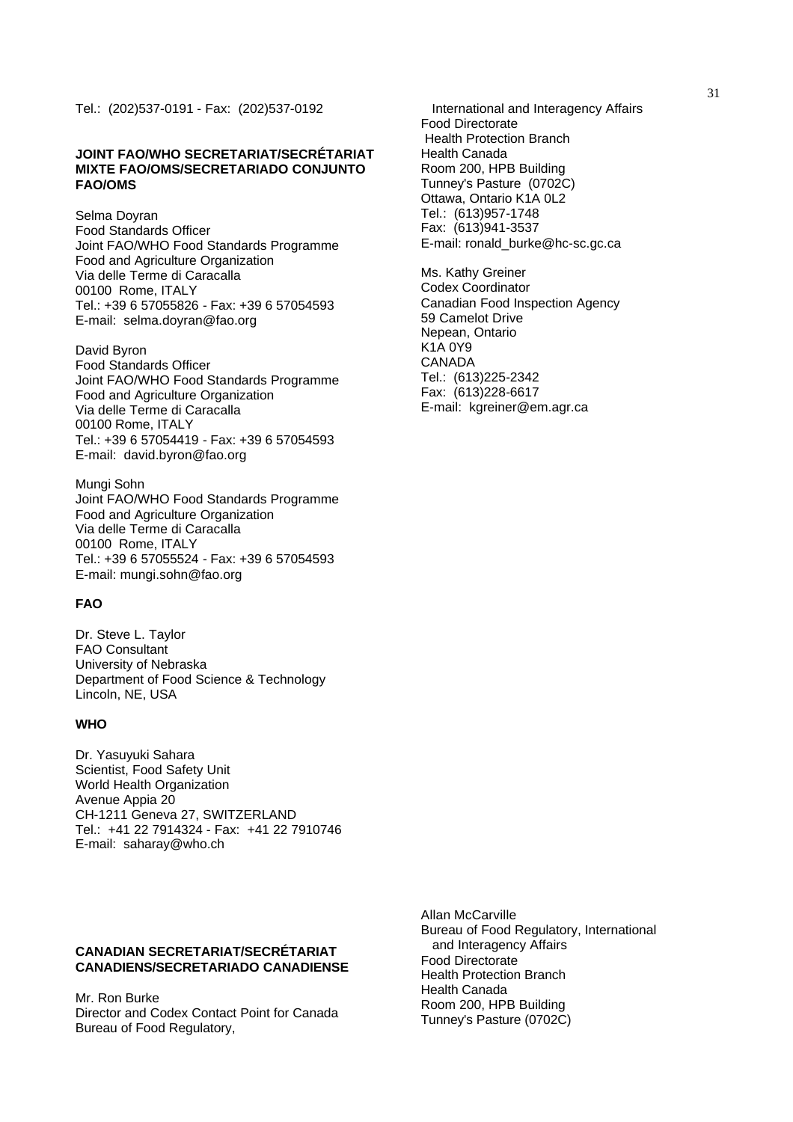#### **JOINT FAO/WHO SECRETARIAT/SECRÉTARIAT MIXTE FAO/OMS/SECRETARIADO CONJUNTO FAO/OMS**

Selma Doyran Food Standards Officer Joint FAO/WHO Food Standards Programme Food and Agriculture Organization Via delle Terme di Caracalla 00100 Rome, ITALY Tel.: +39 6 57055826 - Fax: +39 6 57054593 E-mail: selma.doyran@fao.org

David Byron Food Standards Officer Joint FAO/WHO Food Standards Programme Food and Agriculture Organization Via delle Terme di Caracalla 00100 Rome, ITALY Tel.: +39 6 57054419 - Fax: +39 6 57054593 E-mail: david.byron@fao.org

Mungi Sohn Joint FAO/WHO Food Standards Programme Food and Agriculture Organization Via delle Terme di Caracalla 00100 Rome, ITALY Tel.: +39 6 57055524 - Fax: +39 6 57054593 E-mail: mungi.sohn@fao.org

### **FAO**

Dr. Steve L. Taylor FAO Consultant University of Nebraska Department of Food Science & Technology Lincoln, NE, USA

#### **WHO**

Dr. Yasuyuki Sahara Scientist, Food Safety Unit World Health Organization Avenue Appia 20 CH-1211 Geneva 27, SWITZERLAND Tel.: +41 22 7914324 - Fax: +41 22 7910746 E-mail: saharay@who.ch

#### **CANADIAN SECRETARIAT/SECRÉTARIAT CANADIENS/SECRETARIADO CANADIENSE**

Mr. Ron Burke Director and Codex Contact Point for Canada Bureau of Food Regulatory,

 International and Interagency Affairs Food Directorate Health Protection Branch Health Canada Room 200, HPB Building Tunney's Pasture (0702C) Ottawa, Ontario K1A 0L2 Tel.: (613)957-1748 Fax: (613)941-3537 E-mail: ronald\_burke@hc-sc.gc.ca

Ms. Kathy Greiner Codex Coordinator Canadian Food Inspection Agency 59 Camelot Drive Nepean, Ontario K1A 0Y9 CANADA Tel.: (613)225-2342 Fax: (613)228-6617 E-mail: kgreiner@em.agr.ca

Allan McCarville Bureau of Food Regulatory, International and Interagency Affairs Food Directorate Health Protection Branch Health Canada Room 200, HPB Building Tunney's Pasture (0702C)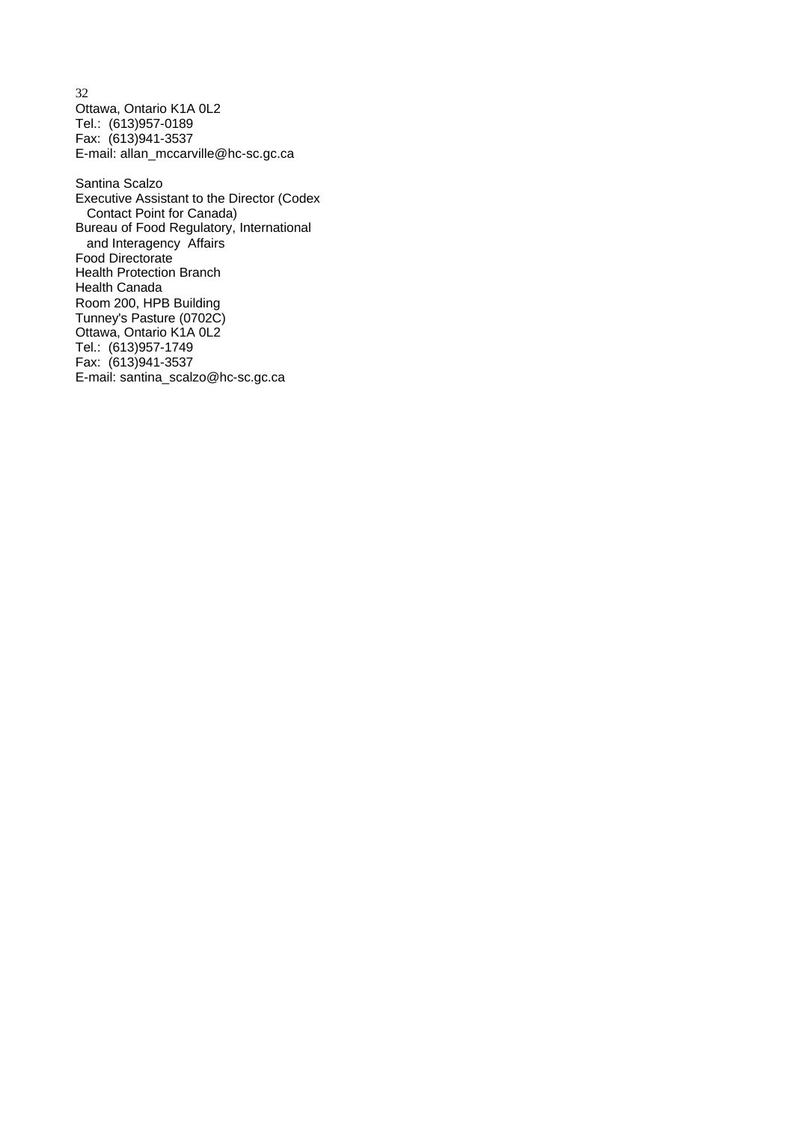32 Ottawa, Ontario K1A 0L2 Tel.: (613)957-0189 Fax: (613)941-3537 E-mail: allan\_mccarville@hc-sc.gc.ca

Santina Scalzo Executive Assistant to the Director (Codex Contact Point for Canada) Bureau of Food Regulatory, International and Interagency Affairs Food Directorate Health Protection Branch Health Canada Room 200, HPB Building Tunney's Pasture (0702C) Ottawa, Ontario K1A 0L2 Tel.: (613)957-1749 Fax: (613)941-3537 E-mail: santina\_scalzo@hc-sc.gc.ca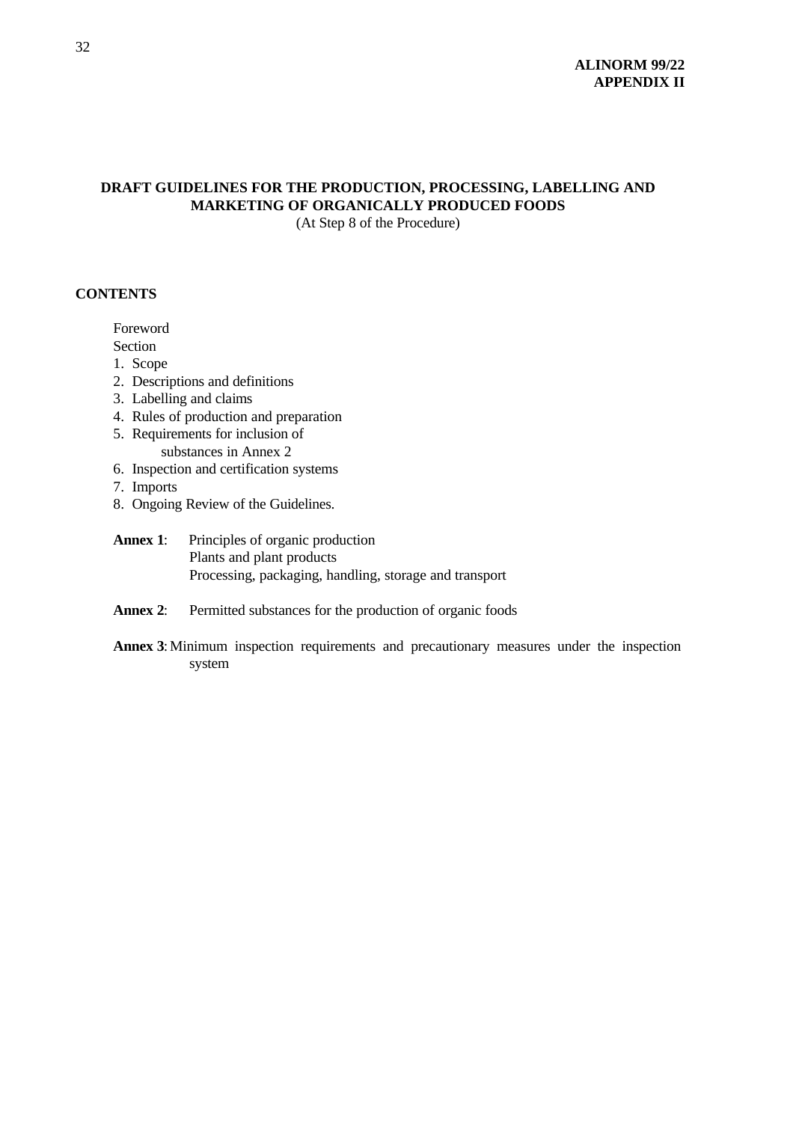### **ALINORM 99/22 APPENDIX II**

# **DRAFT GUIDELINES FOR THE PRODUCTION, PROCESSING, LABELLING AND MARKETING OF ORGANICALLY PRODUCED FOODS**

(At Step 8 of the Procedure)

## **CONTENTS**

Foreword

- Section
- 1. Scope
- 2. Descriptions and definitions
- 3. Labelling and claims
- 4. Rules of production and preparation
- 5. Requirements for inclusion of substances in Annex 2
- 6. Inspection and certification systems
- 7. Imports
- 8. Ongoing Review of the Guidelines.
- **Annex 1**: Principles of organic production Plants and plant products Processing, packaging, handling, storage and transport
- Annex 2: Permitted substances for the production of organic foods
- **Annex 3**:Minimum inspection requirements and precautionary measures under the inspection system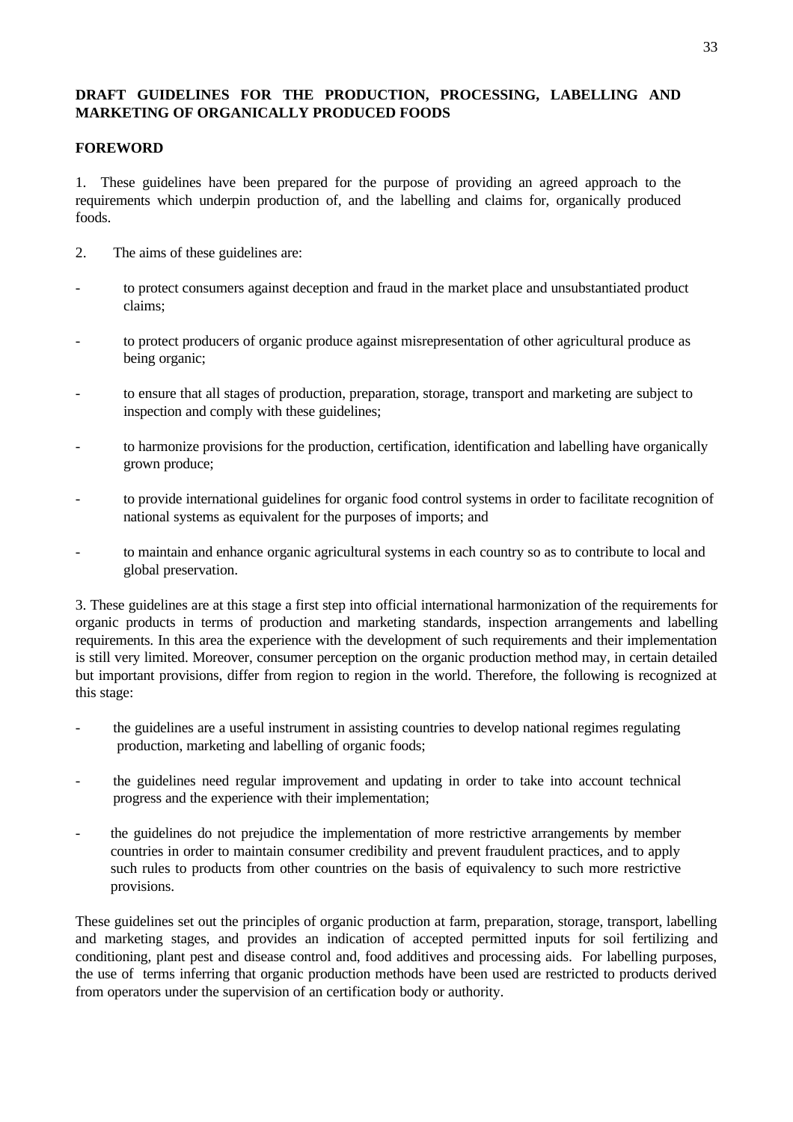## **DRAFT GUIDELINES FOR THE PRODUCTION, PROCESSING, LABELLING AND MARKETING OF ORGANICALLY PRODUCED FOODS**

#### **FOREWORD**

1. These guidelines have been prepared for the purpose of providing an agreed approach to the requirements which underpin production of, and the labelling and claims for, organically produced foods.

- 2. The aims of these guidelines are:
- to protect consumers against deception and fraud in the market place and unsubstantiated product claims;
- to protect producers of organic produce against misrepresentation of other agricultural produce as being organic;
- to ensure that all stages of production, preparation, storage, transport and marketing are subject to inspection and comply with these guidelines;
- to harmonize provisions for the production, certification, identification and labelling have organically grown produce;
- to provide international guidelines for organic food control systems in order to facilitate recognition of national systems as equivalent for the purposes of imports; and
- to maintain and enhance organic agricultural systems in each country so as to contribute to local and global preservation.

3. These guidelines are at this stage a first step into official international harmonization of the requirements for organic products in terms of production and marketing standards, inspection arrangements and labelling requirements. In this area the experience with the development of such requirements and their implementation is still very limited. Moreover, consumer perception on the organic production method may, in certain detailed but important provisions, differ from region to region in the world. Therefore, the following is recognized at this stage:

- the guidelines are a useful instrument in assisting countries to develop national regimes regulating production, marketing and labelling of organic foods;
- the guidelines need regular improvement and updating in order to take into account technical progress and the experience with their implementation;
- the guidelines do not prejudice the implementation of more restrictive arrangements by member countries in order to maintain consumer credibility and prevent fraudulent practices, and to apply such rules to products from other countries on the basis of equivalency to such more restrictive provisions.

These guidelines set out the principles of organic production at farm, preparation, storage, transport, labelling and marketing stages, and provides an indication of accepted permitted inputs for soil fertilizing and conditioning, plant pest and disease control and, food additives and processing aids. For labelling purposes, the use of terms inferring that organic production methods have been used are restricted to products derived from operators under the supervision of an certification body or authority.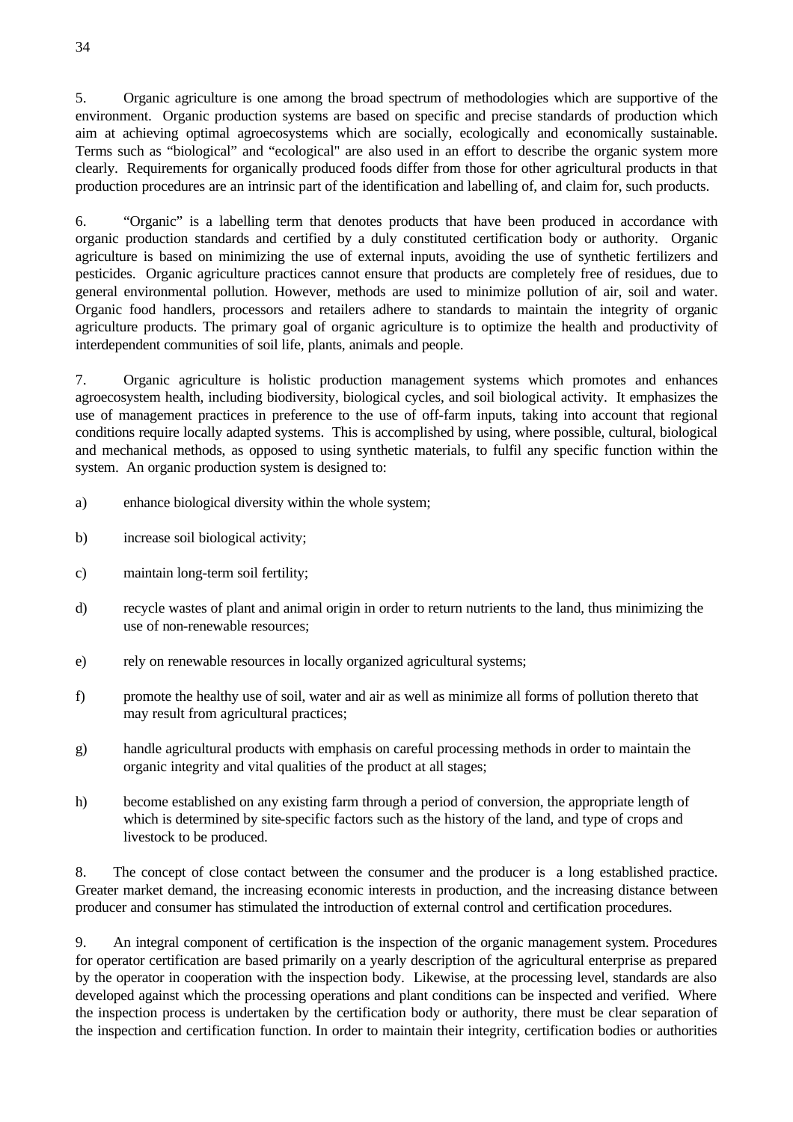5. Organic agriculture is one among the broad spectrum of methodologies which are supportive of the environment. Organic production systems are based on specific and precise standards of production which aim at achieving optimal agroecosystems which are socially, ecologically and economically sustainable. Terms such as "biological" and "ecological" are also used in an effort to describe the organic system more clearly. Requirements for organically produced foods differ from those for other agricultural products in that production procedures are an intrinsic part of the identification and labelling of, and claim for, such products.

6. "Organic" is a labelling term that denotes products that have been produced in accordance with organic production standards and certified by a duly constituted certification body or authority. Organic agriculture is based on minimizing the use of external inputs, avoiding the use of synthetic fertilizers and pesticides. Organic agriculture practices cannot ensure that products are completely free of residues, due to general environmental pollution. However, methods are used to minimize pollution of air, soil and water. Organic food handlers, processors and retailers adhere to standards to maintain the integrity of organic agriculture products. The primary goal of organic agriculture is to optimize the health and productivity of interdependent communities of soil life, plants, animals and people.

7. Organic agriculture is holistic production management systems which promotes and enhances agroecosystem health, including biodiversity, biological cycles, and soil biological activity. It emphasizes the use of management practices in preference to the use of off-farm inputs, taking into account that regional conditions require locally adapted systems. This is accomplished by using, where possible, cultural, biological and mechanical methods, as opposed to using synthetic materials, to fulfil any specific function within the system. An organic production system is designed to:

- a) enhance biological diversity within the whole system;
- b) increase soil biological activity;
- c) maintain long-term soil fertility;
- d) recycle wastes of plant and animal origin in order to return nutrients to the land, thus minimizing the use of non-renewable resources;
- e) rely on renewable resources in locally organized agricultural systems;
- f) promote the healthy use of soil, water and air as well as minimize all forms of pollution thereto that may result from agricultural practices;
- g) handle agricultural products with emphasis on careful processing methods in order to maintain the organic integrity and vital qualities of the product at all stages;
- h) become established on any existing farm through a period of conversion, the appropriate length of which is determined by site-specific factors such as the history of the land, and type of crops and livestock to be produced.

8. The concept of close contact between the consumer and the producer is a long established practice. Greater market demand, the increasing economic interests in production, and the increasing distance between producer and consumer has stimulated the introduction of external control and certification procedures.

9. An integral component of certification is the inspection of the organic management system. Procedures for operator certification are based primarily on a yearly description of the agricultural enterprise as prepared by the operator in cooperation with the inspection body. Likewise, at the processing level, standards are also developed against which the processing operations and plant conditions can be inspected and verified. Where the inspection process is undertaken by the certification body or authority, there must be clear separation of the inspection and certification function. In order to maintain their integrity, certification bodies or authorities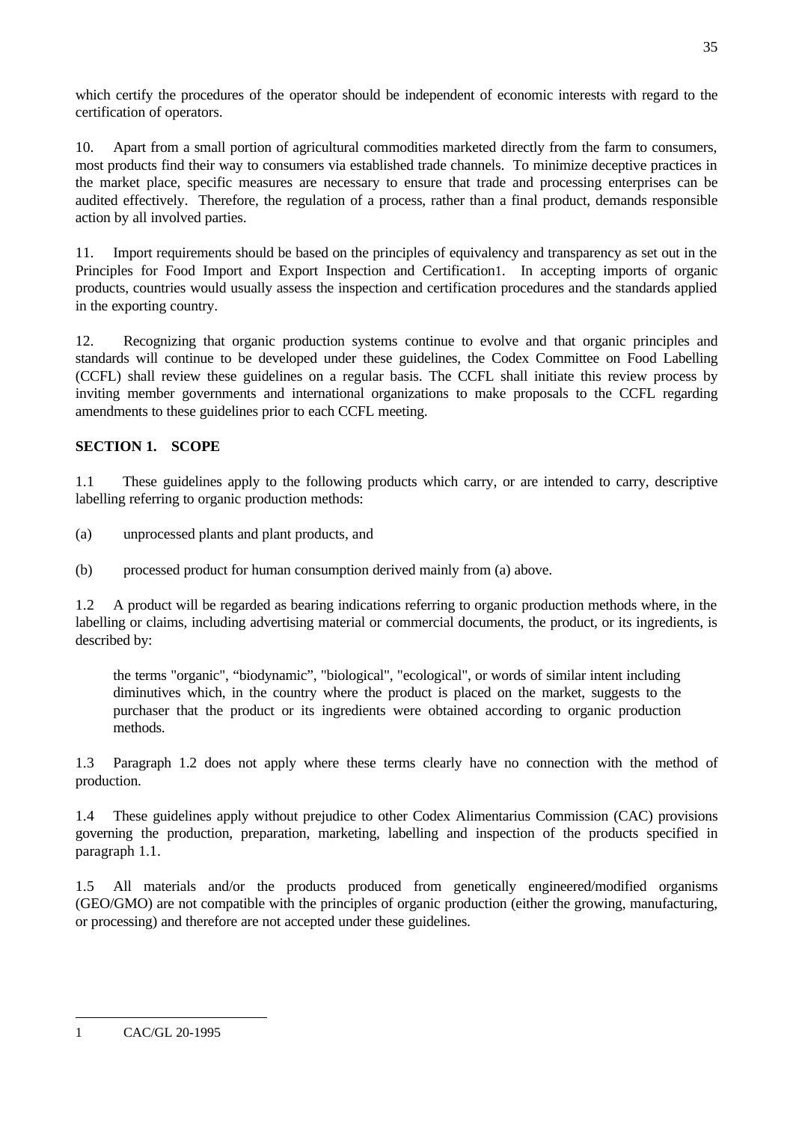which certify the procedures of the operator should be independent of economic interests with regard to the certification of operators.

10. Apart from a small portion of agricultural commodities marketed directly from the farm to consumers, most products find their way to consumers via established trade channels. To minimize deceptive practices in the market place, specific measures are necessary to ensure that trade and processing enterprises can be audited effectively. Therefore, the regulation of a process, rather than a final product, demands responsible action by all involved parties.

11. Import requirements should be based on the principles of equivalency and transparency as set out in the Principles for Food Import and Export Inspection and Certification1. In accepting imports of organic products, countries would usually assess the inspection and certification procedures and the standards applied in the exporting country.

12. Recognizing that organic production systems continue to evolve and that organic principles and standards will continue to be developed under these guidelines, the Codex Committee on Food Labelling (CCFL) shall review these guidelines on a regular basis. The CCFL shall initiate this review process by inviting member governments and international organizations to make proposals to the CCFL regarding amendments to these guidelines prior to each CCFL meeting.

## **SECTION 1. SCOPE**

1.1 These guidelines apply to the following products which carry, or are intended to carry, descriptive labelling referring to organic production methods:

(a) unprocessed plants and plant products, and

(b) processed product for human consumption derived mainly from (a) above.

1.2 A product will be regarded as bearing indications referring to organic production methods where, in the labelling or claims, including advertising material or commercial documents, the product, or its ingredients, is described by:

the terms "organic", "biodynamic", "biological", "ecological", or words of similar intent including diminutives which, in the country where the product is placed on the market, suggests to the purchaser that the product or its ingredients were obtained according to organic production methods.

1.3 Paragraph 1.2 does not apply where these terms clearly have no connection with the method of production.

1.4 These guidelines apply without prejudice to other Codex Alimentarius Commission (CAC) provisions governing the production, preparation, marketing, labelling and inspection of the products specified in paragraph 1.1.

1.5 All materials and/or the products produced from genetically engineered/modified organisms (GEO/GMO) are not compatible with the principles of organic production (either the growing, manufacturing, or processing) and therefore are not accepted under these guidelines.

l 1 CAC/GL 20-1995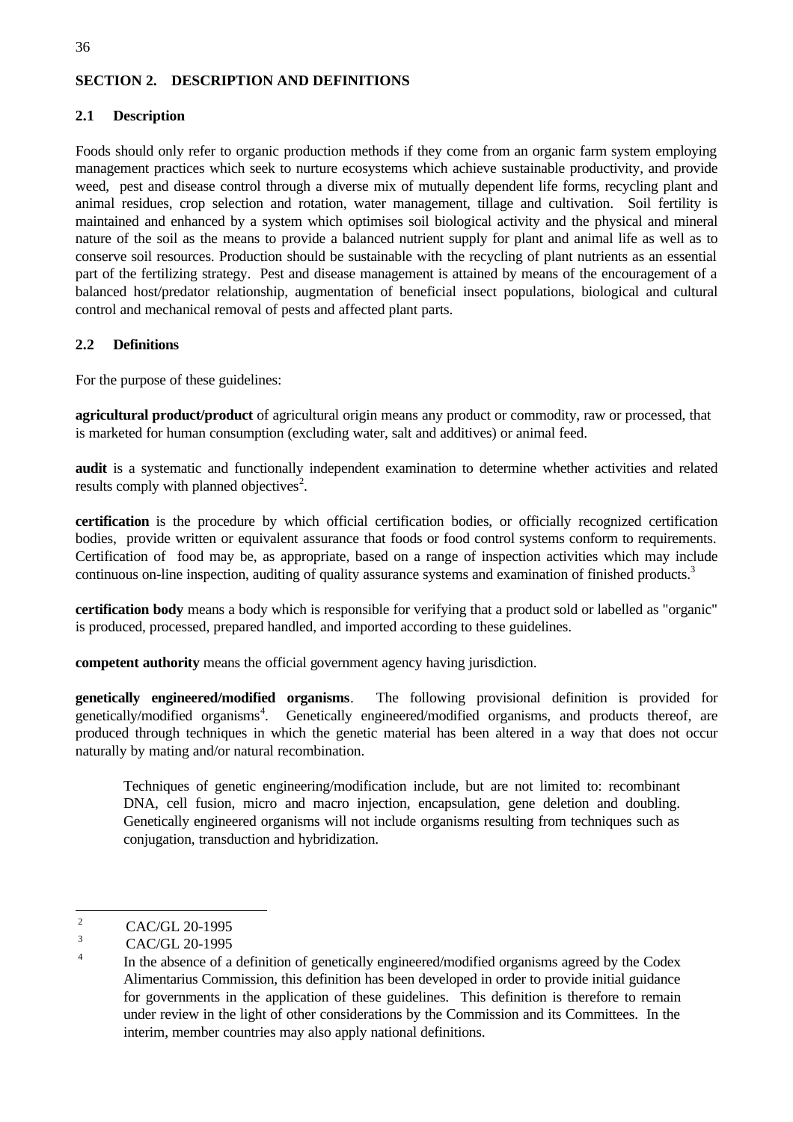## **SECTION 2. DESCRIPTION AND DEFINITIONS**

## **2.1 Description**

Foods should only refer to organic production methods if they come from an organic farm system employing management practices which seek to nurture ecosystems which achieve sustainable productivity, and provide weed, pest and disease control through a diverse mix of mutually dependent life forms, recycling plant and animal residues, crop selection and rotation, water management, tillage and cultivation. Soil fertility is maintained and enhanced by a system which optimises soil biological activity and the physical and mineral nature of the soil as the means to provide a balanced nutrient supply for plant and animal life as well as to conserve soil resources. Production should be sustainable with the recycling of plant nutrients as an essential part of the fertilizing strategy. Pest and disease management is attained by means of the encouragement of a balanced host/predator relationship, augmentation of beneficial insect populations, biological and cultural control and mechanical removal of pests and affected plant parts.

## **2.2 Definitions**

For the purpose of these guidelines:

**agricultural product/product** of agricultural origin means any product or commodity, raw or processed, that is marketed for human consumption (excluding water, salt and additives) or animal feed.

**audit** is a systematic and functionally independent examination to determine whether activities and related results comply with planned objectives<sup>2</sup>.

**certification** is the procedure by which official certification bodies, or officially recognized certification bodies, provide written or equivalent assurance that foods or food control systems conform to requirements. Certification of food may be, as appropriate, based on a range of inspection activities which may include continuous on-line inspection, auditing of quality assurance systems and examination of finished products.<sup>3</sup>

**certification body** means a body which is responsible for verifying that a product sold or labelled as "organic" is produced, processed, prepared handled, and imported according to these guidelines.

**competent authority** means the official government agency having jurisdiction.

**genetically engineered/modified organisms**. The following provisional definition is provided for genetically/modified organisms<sup>4</sup>. Genetically engineered/modified organisms, and products thereof, are produced through techniques in which the genetic material has been altered in a way that does not occur naturally by mating and/or natural recombination.

Techniques of genetic engineering/modification include, but are not limited to: recombinant DNA, cell fusion, micro and macro injection, encapsulation, gene deletion and doubling. Genetically engineered organisms will not include organisms resulting from techniques such as conjugation, transduction and hybridization.

l

 $CAC/GL$  20-1995

<sup>3</sup> CAC/GL 20-1995

<sup>4</sup> In the absence of a definition of genetically engineered/modified organisms agreed by the Codex Alimentarius Commission, this definition has been developed in order to provide initial guidance for governments in the application of these guidelines. This definition is therefore to remain under review in the light of other considerations by the Commission and its Committees. In the interim, member countries may also apply national definitions.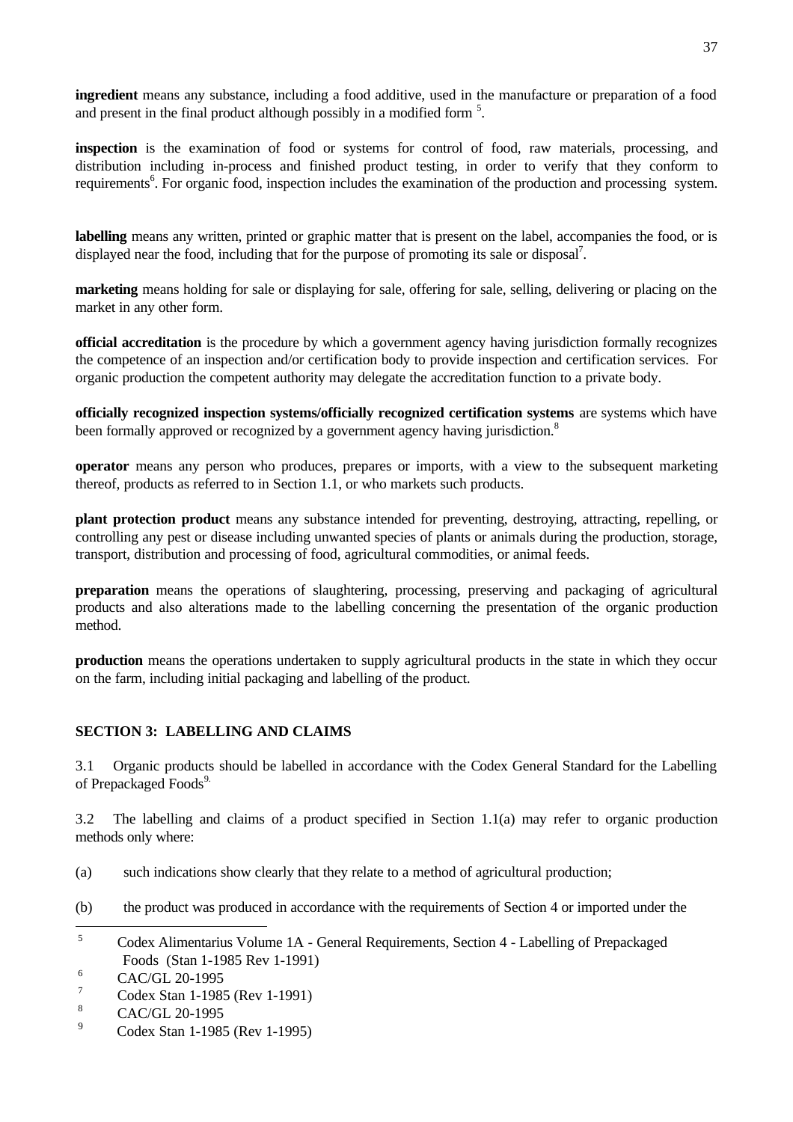**ingredient** means any substance, including a food additive, used in the manufacture or preparation of a food and present in the final product although possibly in a modified form <sup>5</sup>.

**inspection** is the examination of food or systems for control of food, raw materials, processing, and distribution including in-process and finished product testing, in order to verify that they conform to requirements<sup>6</sup>. For organic food, inspection includes the examination of the production and processing system.

**labelling** means any written, printed or graphic matter that is present on the label, accompanies the food, or is displayed near the food, including that for the purpose of promoting its sale or disposal<sup>7</sup>.

**marketing** means holding for sale or displaying for sale, offering for sale, selling, delivering or placing on the market in any other form.

**official accreditation** is the procedure by which a government agency having jurisdiction formally recognizes the competence of an inspection and/or certification body to provide inspection and certification services. For organic production the competent authority may delegate the accreditation function to a private body.

**officially recognized inspection systems/officially recognized certification systems** are systems which have been formally approved or recognized by a government agency having jurisdiction.<sup>8</sup>

**operator** means any person who produces, prepares or imports, with a view to the subsequent marketing thereof, products as referred to in Section 1.1, or who markets such products.

**plant protection product** means any substance intended for preventing, destroying, attracting, repelling, or controlling any pest or disease including unwanted species of plants or animals during the production, storage, transport, distribution and processing of food, agricultural commodities, or animal feeds.

**preparation** means the operations of slaughtering, processing, preserving and packaging of agricultural products and also alterations made to the labelling concerning the presentation of the organic production method.

**production** means the operations undertaken to supply agricultural products in the state in which they occur on the farm, including initial packaging and labelling of the product.

## **SECTION 3: LABELLING AND CLAIMS**

3.1 Organic products should be labelled in accordance with the Codex General Standard for the Labelling of Prepackaged Foods<sup>9.</sup>

3.2 The labelling and claims of a product specified in Section 1.1(a) may refer to organic production methods only where:

- (a) such indications show clearly that they relate to a method of agricultural production;
- (b) the product was produced in accordance with the requirements of Section 4 or imported under the
- $\overline{5}$ <sup>5</sup> Codex Alimentarius Volume 1A - General Requirements, Section 4 - Labelling of Prepackaged Foods (Stan 1-1985 Rev 1-1991)

- $\frac{7}{8}$  Codex Stan 1-1985 (Rev 1-1991)
- CAC/GL 20-1995
- 9 Codex Stan 1-1985 (Rev 1-1995)

 $\frac{6}{7}$  CAC/GL 20-1995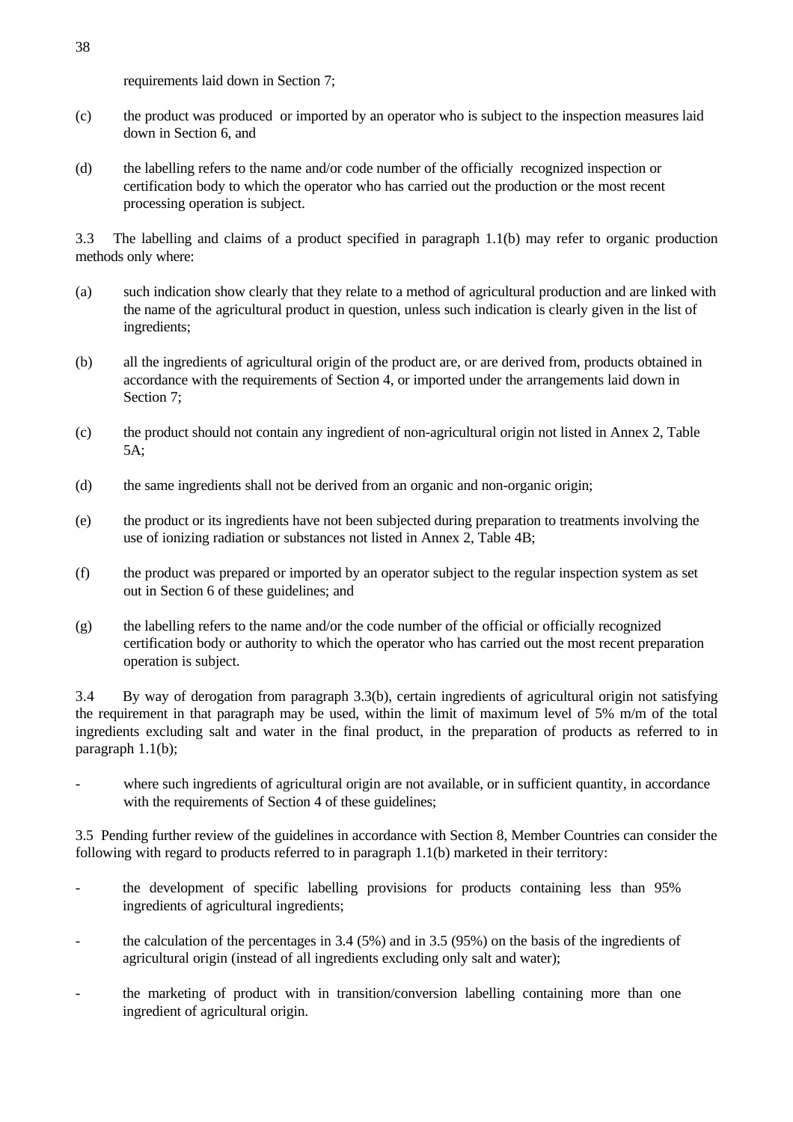requirements laid down in Section 7;

- (c) the product was produced or imported by an operator who is subject to the inspection measures laid down in Section 6, and
- (d) the labelling refers to the name and/or code number of the officially recognized inspection or certification body to which the operator who has carried out the production or the most recent processing operation is subject.

3.3 The labelling and claims of a product specified in paragraph 1.1(b) may refer to organic production methods only where:

- (a) such indication show clearly that they relate to a method of agricultural production and are linked with the name of the agricultural product in question, unless such indication is clearly given in the list of ingredients;
- (b) all the ingredients of agricultural origin of the product are, or are derived from, products obtained in accordance with the requirements of Section 4, or imported under the arrangements laid down in Section 7:
- (c) the product should not contain any ingredient of non-agricultural origin not listed in Annex 2, Table 5A;
- (d) the same ingredients shall not be derived from an organic and non-organic origin;
- (e) the product or its ingredients have not been subjected during preparation to treatments involving the use of ionizing radiation or substances not listed in Annex 2, Table 4B;
- (f) the product was prepared or imported by an operator subject to the regular inspection system as set out in Section 6 of these guidelines; and
- (g) the labelling refers to the name and/or the code number of the official or officially recognized certification body or authority to which the operator who has carried out the most recent preparation operation is subject.

3.4 By way of derogation from paragraph 3.3(b), certain ingredients of agricultural origin not satisfying the requirement in that paragraph may be used, within the limit of maximum level of 5% m/m of the total ingredients excluding salt and water in the final product, in the preparation of products as referred to in paragraph 1.1(b);

where such ingredients of agricultural origin are not available, or in sufficient quantity, in accordance with the requirements of Section 4 of these guidelines;

3.5 Pending further review of the guidelines in accordance with Section 8, Member Countries can consider the following with regard to products referred to in paragraph 1.1(b) marketed in their territory:

- the development of specific labelling provisions for products containing less than 95% ingredients of agricultural ingredients;
- the calculation of the percentages in 3.4 (5%) and in 3.5 (95%) on the basis of the ingredients of agricultural origin (instead of all ingredients excluding only salt and water);
- the marketing of product with in transition/conversion labelling containing more than one ingredient of agricultural origin.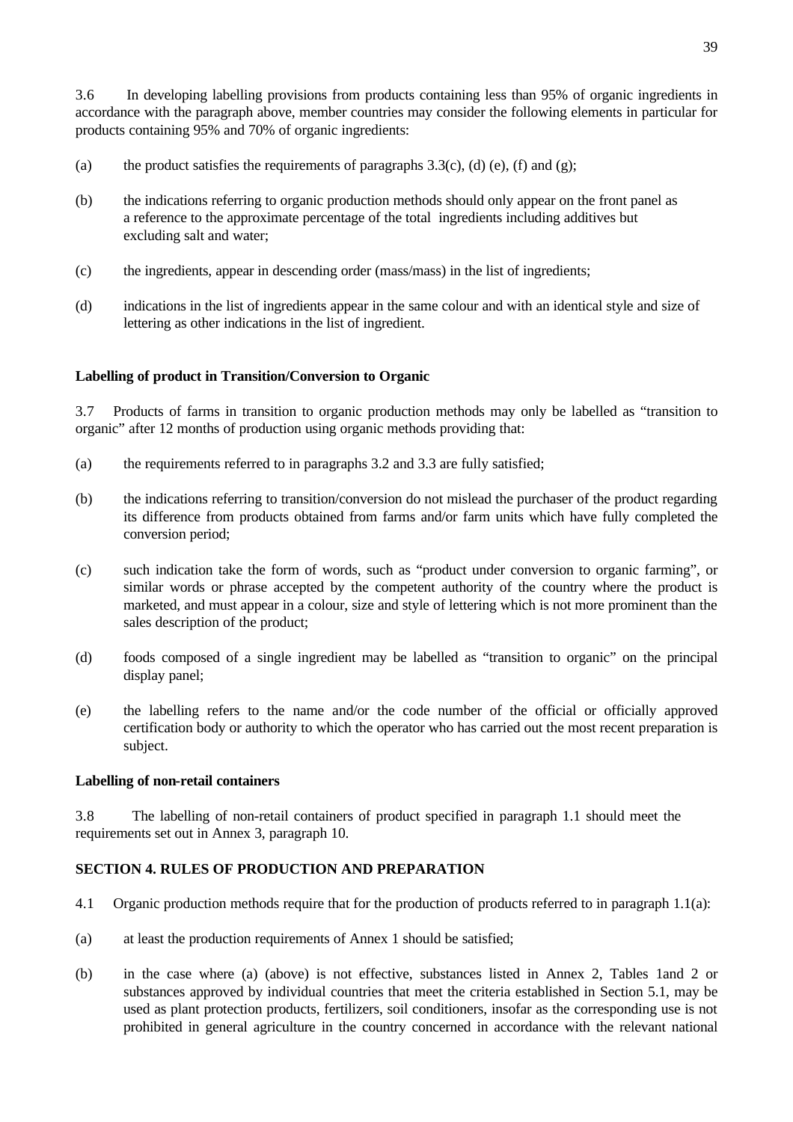3.6 In developing labelling provisions from products containing less than 95% of organic ingredients in accordance with the paragraph above, member countries may consider the following elements in particular for products containing 95% and 70% of organic ingredients:

- (a) the product satisfies the requirements of paragraphs  $3.3(c)$ , (d) (e), (f) and (g);
- (b) the indications referring to organic production methods should only appear on the front panel as a reference to the approximate percentage of the total ingredients including additives but excluding salt and water;
- (c) the ingredients, appear in descending order (mass/mass) in the list of ingredients;
- (d) indications in the list of ingredients appear in the same colour and with an identical style and size of lettering as other indications in the list of ingredient.

### **Labelling of product in Transition/Conversion to Organic**

3.7 Products of farms in transition to organic production methods may only be labelled as "transition to organic" after 12 months of production using organic methods providing that:

- (a) the requirements referred to in paragraphs 3.2 and 3.3 are fully satisfied;
- (b) the indications referring to transition/conversion do not mislead the purchaser of the product regarding its difference from products obtained from farms and/or farm units which have fully completed the conversion period;
- (c) such indication take the form of words, such as "product under conversion to organic farming", or similar words or phrase accepted by the competent authority of the country where the product is marketed, and must appear in a colour, size and style of lettering which is not more prominent than the sales description of the product;
- (d) foods composed of a single ingredient may be labelled as "transition to organic" on the principal display panel;
- (e) the labelling refers to the name and/or the code number of the official or officially approved certification body or authority to which the operator who has carried out the most recent preparation is subject.

#### **Labelling of non-retail containers**

3.8 The labelling of non-retail containers of product specified in paragraph 1.1 should meet the requirements set out in Annex 3, paragraph 10.

## **SECTION 4. RULES OF PRODUCTION AND PREPARATION**

- 4.1 Organic production methods require that for the production of products referred to in paragraph 1.1(a):
- (a) at least the production requirements of Annex 1 should be satisfied;
- (b) in the case where (a) (above) is not effective, substances listed in Annex 2, Tables 1and 2 or substances approved by individual countries that meet the criteria established in Section 5.1, may be used as plant protection products, fertilizers, soil conditioners, insofar as the corresponding use is not prohibited in general agriculture in the country concerned in accordance with the relevant national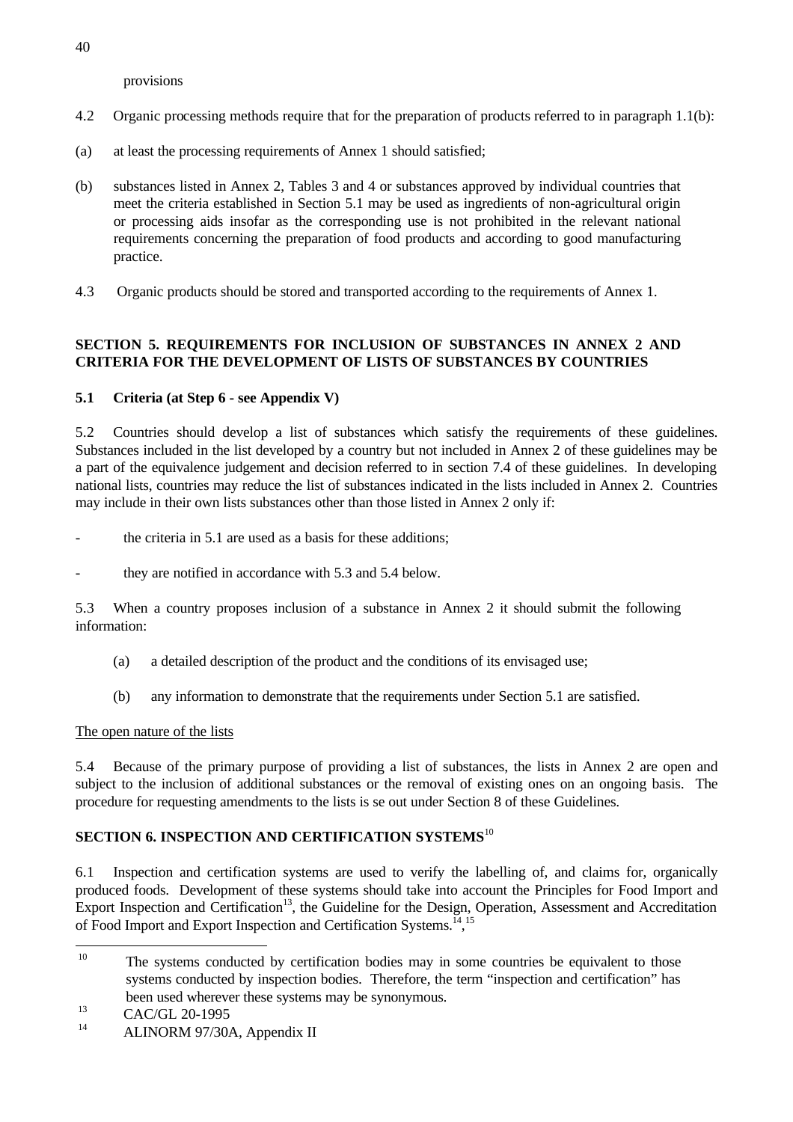provisions

- 4.2 Organic processing methods require that for the preparation of products referred to in paragraph 1.1(b):
- (a) at least the processing requirements of Annex 1 should satisfied;
- (b) substances listed in Annex 2, Tables 3 and 4 or substances approved by individual countries that meet the criteria established in Section 5.1 may be used as ingredients of non-agricultural origin or processing aids insofar as the corresponding use is not prohibited in the relevant national requirements concerning the preparation of food products and according to good manufacturing practice.
- 4.3 Organic products should be stored and transported according to the requirements of Annex 1.

## **SECTION 5. REQUIREMENTS FOR INCLUSION OF SUBSTANCES IN ANNEX 2 AND CRITERIA FOR THE DEVELOPMENT OF LISTS OF SUBSTANCES BY COUNTRIES**

## **5.1 Criteria (at Step 6 - see Appendix V)**

5.2 Countries should develop a list of substances which satisfy the requirements of these guidelines. Substances included in the list developed by a country but not included in Annex 2 of these guidelines may be a part of the equivalence judgement and decision referred to in section 7.4 of these guidelines. In developing national lists, countries may reduce the list of substances indicated in the lists included in Annex 2. Countries may include in their own lists substances other than those listed in Annex 2 only if:

- the criteria in 5.1 are used as a basis for these additions:
- they are notified in accordance with 5.3 and 5.4 below.

5.3 When a country proposes inclusion of a substance in Annex 2 it should submit the following information:

- (a) a detailed description of the product and the conditions of its envisaged use;
- (b) any information to demonstrate that the requirements under Section 5.1 are satisfied.

## The open nature of the lists

5.4 Because of the primary purpose of providing a list of substances, the lists in Annex 2 are open and subject to the inclusion of additional substances or the removal of existing ones on an ongoing basis. The procedure for requesting amendments to the lists is se out under Section 8 of these Guidelines.

## **SECTION 6. INSPECTION AND CERTIFICATION SYSTEMS**<sup>10</sup>

6.1 Inspection and certification systems are used to verify the labelling of, and claims for, organically produced foods. Development of these systems should take into account the Principles for Food Import and Export Inspection and Certification<sup>13</sup>, the Guideline for the Design, Operation, Assessment and Accreditation of Food Import and Export Inspection and Certification Systems.<sup>14</sup>,<sup>15</sup>

40

<sup>10</sup> The systems conducted by certification bodies may in some countries be equivalent to those systems conducted by inspection bodies. Therefore, the term "inspection and certification" has been used wherever these systems may be synonymous.

 $CAC/GL$  20-1995

ALINORM 97/30A, Appendix II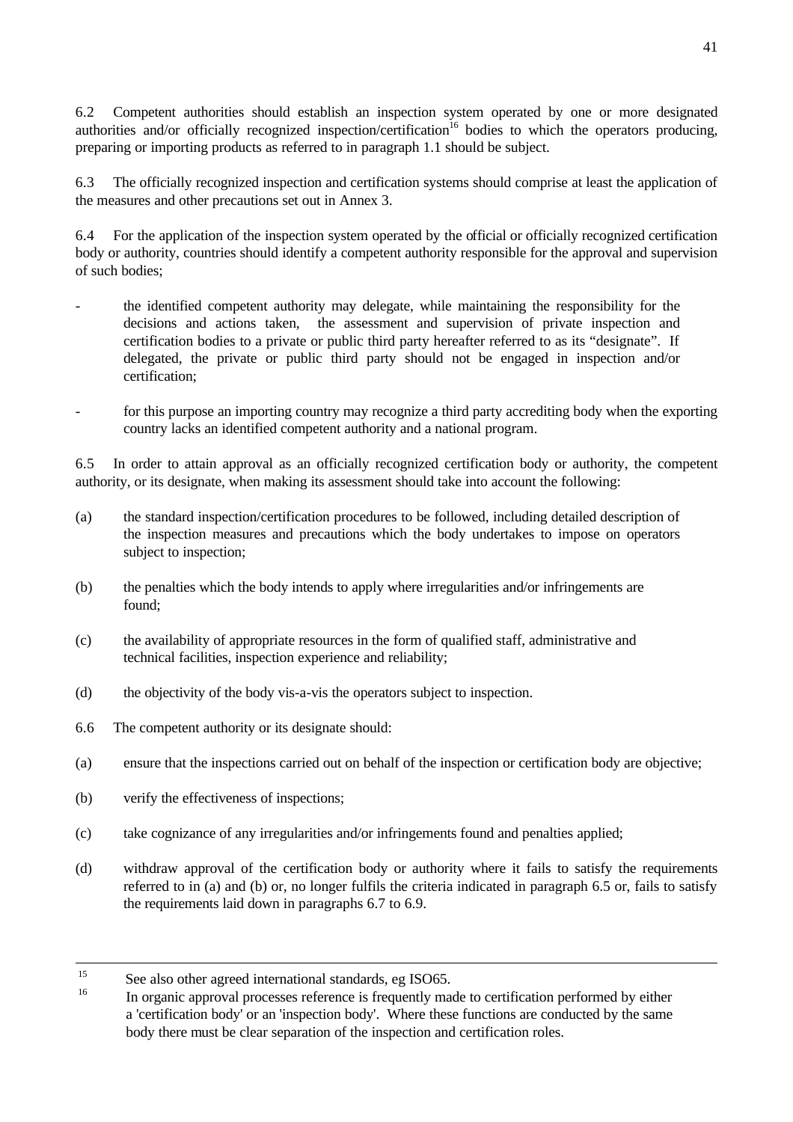6.2 Competent authorities should establish an inspection system operated by one or more designated authorities and/or officially recognized inspection/certification<sup>16</sup> bodies to which the operators producing, preparing or importing products as referred to in paragraph 1.1 should be subject.

6.3 The officially recognized inspection and certification systems should comprise at least the application of the measures and other precautions set out in Annex 3.

6.4 For the application of the inspection system operated by the official or officially recognized certification body or authority, countries should identify a competent authority responsible for the approval and supervision of such bodies;

- the identified competent authority may delegate, while maintaining the responsibility for the decisions and actions taken, the assessment and supervision of private inspection and certification bodies to a private or public third party hereafter referred to as its "designate". If delegated, the private or public third party should not be engaged in inspection and/or certification;
- for this purpose an importing country may recognize a third party accrediting body when the exporting country lacks an identified competent authority and a national program.

6.5 In order to attain approval as an officially recognized certification body or authority, the competent authority, or its designate, when making its assessment should take into account the following:

- (a) the standard inspection/certification procedures to be followed, including detailed description of the inspection measures and precautions which the body undertakes to impose on operators subject to inspection;
- (b) the penalties which the body intends to apply where irregularities and/or infringements are found;
- (c) the availability of appropriate resources in the form of qualified staff, administrative and technical facilities, inspection experience and reliability;
- (d) the objectivity of the body vis-a-vis the operators subject to inspection.
- 6.6 The competent authority or its designate should:
- (a) ensure that the inspections carried out on behalf of the inspection or certification body are objective;
- (b) verify the effectiveness of inspections;
- (c) take cognizance of any irregularities and/or infringements found and penalties applied;
- (d) withdraw approval of the certification body or authority where it fails to satisfy the requirements referred to in (a) and (b) or, no longer fulfils the criteria indicated in paragraph 6.5 or, fails to satisfy the requirements laid down in paragraphs 6.7 to 6.9.

 $15$ <sup>15</sup> See also other agreed international standards, eg ISO65.

<sup>16</sup> In organic approval processes reference is frequently made to certification performed by either a 'certification body' or an 'inspection body'. Where these functions are conducted by the same body there must be clear separation of the inspection and certification roles.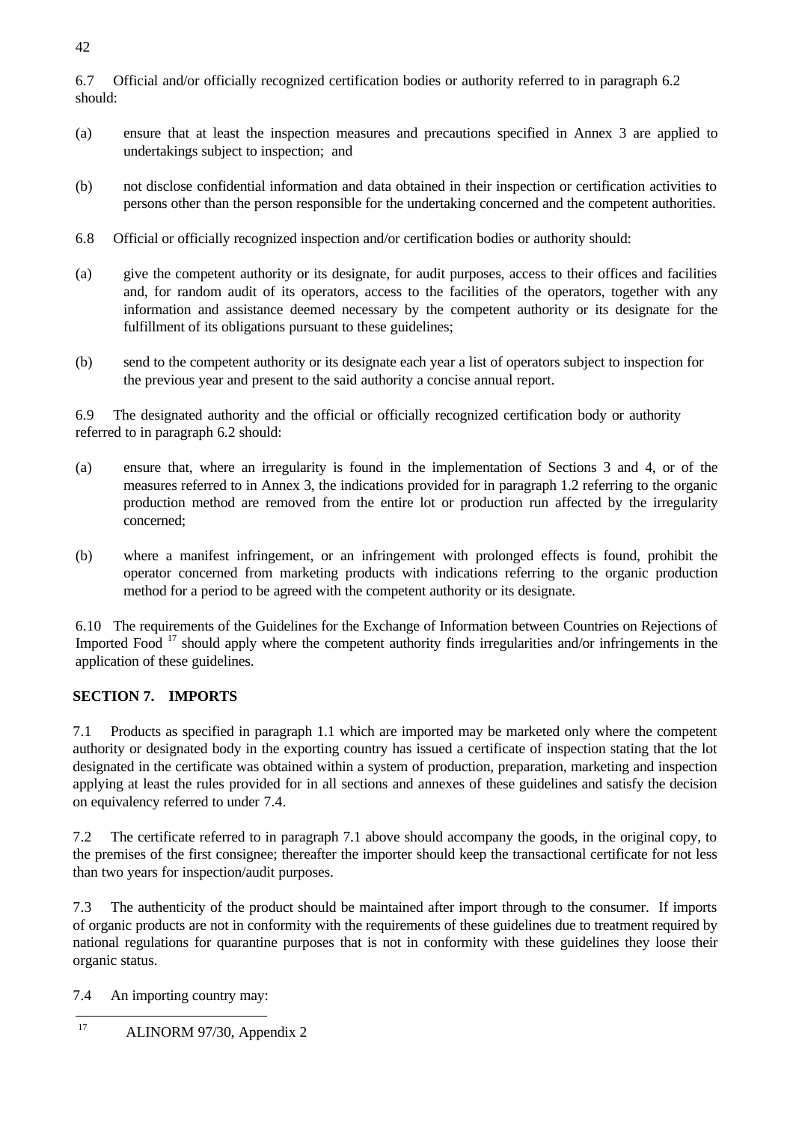6.7 Official and/or officially recognized certification bodies or authority referred to in paragraph 6.2 should:

- (a) ensure that at least the inspection measures and precautions specified in Annex 3 are applied to undertakings subject to inspection; and
- (b) not disclose confidential information and data obtained in their inspection or certification activities to persons other than the person responsible for the undertaking concerned and the competent authorities.
- 6.8 Official or officially recognized inspection and/or certification bodies or authority should:
- (a) give the competent authority or its designate, for audit purposes, access to their offices and facilities and, for random audit of its operators, access to the facilities of the operators, together with any information and assistance deemed necessary by the competent authority or its designate for the fulfillment of its obligations pursuant to these guidelines;
- (b) send to the competent authority or its designate each year a list of operators subject to inspection for the previous year and present to the said authority a concise annual report.

6.9 The designated authority and the official or officially recognized certification body or authority referred to in paragraph 6.2 should:

- (a) ensure that, where an irregularity is found in the implementation of Sections 3 and 4, or of the measures referred to in Annex 3, the indications provided for in paragraph 1.2 referring to the organic production method are removed from the entire lot or production run affected by the irregularity concerned;
- (b) where a manifest infringement, or an infringement with prolonged effects is found, prohibit the operator concerned from marketing products with indications referring to the organic production method for a period to be agreed with the competent authority or its designate.

6.10 The requirements of the Guidelines for the Exchange of Information between Countries on Rejections of Imported Food <sup>17</sup> should apply where the competent authority finds irregularities and/or infringements in the application of these guidelines.

## **SECTION 7. IMPORTS**

7.1 Products as specified in paragraph 1.1 which are imported may be marketed only where the competent authority or designated body in the exporting country has issued a certificate of inspection stating that the lot designated in the certificate was obtained within a system of production, preparation, marketing and inspection applying at least the rules provided for in all sections and annexes of these guidelines and satisfy the decision on equivalency referred to under 7.4.

7.2 The certificate referred to in paragraph 7.1 above should accompany the goods, in the original copy, to the premises of the first consignee; thereafter the importer should keep the transactional certificate for not less than two years for inspection/audit purposes.

7.3 The authenticity of the product should be maintained after import through to the consumer. If imports of organic products are not in conformity with the requirements of these guidelines due to treatment required by national regulations for quarantine purposes that is not in conformity with these guidelines they loose their organic status.

7.4 An importing country may:

<sup>17</sup> ALINORM 97/30, Appendix 2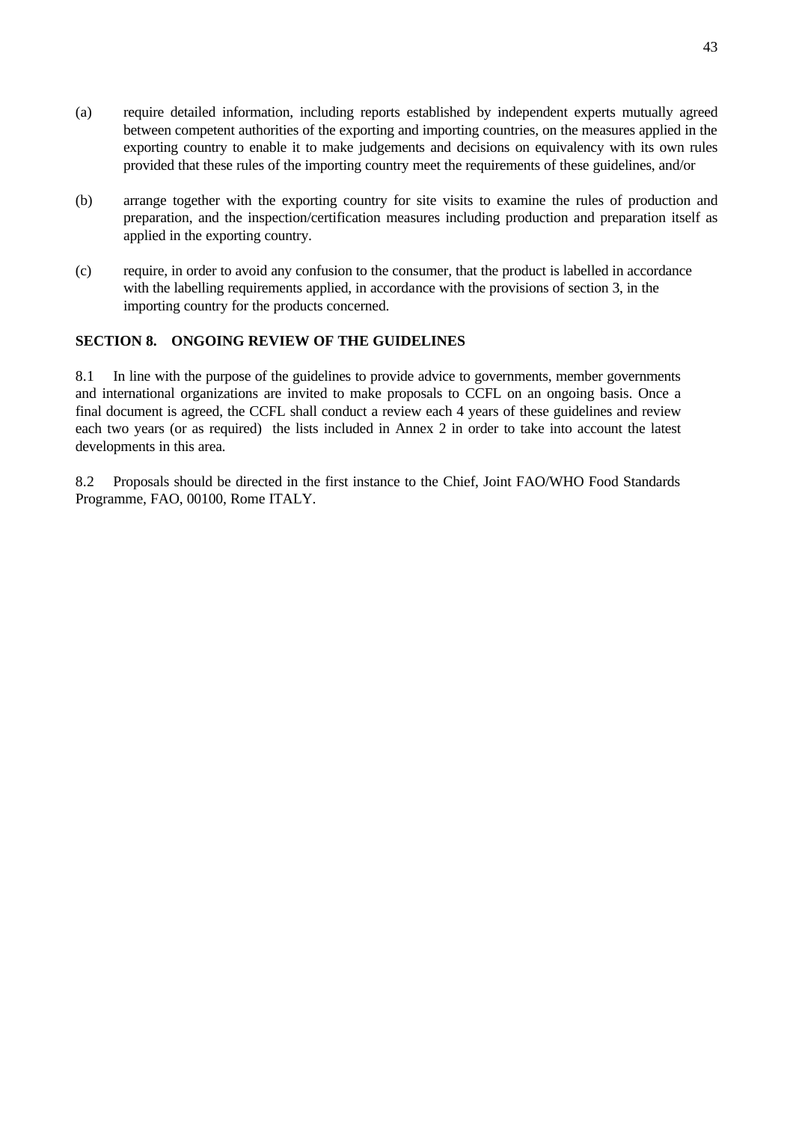- (a) require detailed information, including reports established by independent experts mutually agreed between competent authorities of the exporting and importing countries, on the measures applied in the exporting country to enable it to make judgements and decisions on equivalency with its own rules provided that these rules of the importing country meet the requirements of these guidelines, and/or
- (b) arrange together with the exporting country for site visits to examine the rules of production and preparation, and the inspection/certification measures including production and preparation itself as applied in the exporting country.
- (c) require, in order to avoid any confusion to the consumer, that the product is labelled in accordance with the labelling requirements applied, in accordance with the provisions of section 3, in the importing country for the products concerned.

## **SECTION 8. ONGOING REVIEW OF THE GUIDELINES**

8.1 In line with the purpose of the guidelines to provide advice to governments, member governments and international organizations are invited to make proposals to CCFL on an ongoing basis. Once a final document is agreed, the CCFL shall conduct a review each 4 years of these guidelines and review each two years (or as required) the lists included in Annex 2 in order to take into account the latest developments in this area.

8.2 Proposals should be directed in the first instance to the Chief, Joint FAO/WHO Food Standards Programme, FAO, 00100, Rome ITALY.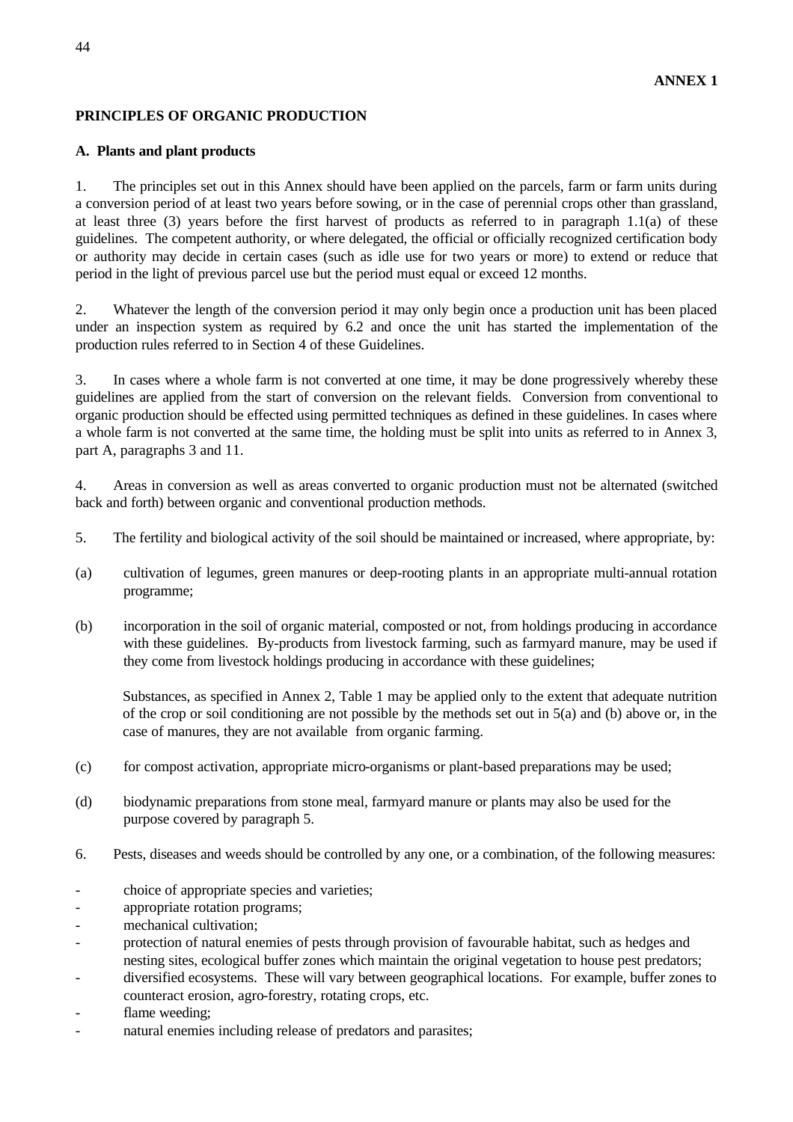### **PRINCIPLES OF ORGANIC PRODUCTION**

### **A. Plants and plant products**

1. The principles set out in this Annex should have been applied on the parcels, farm or farm units during a conversion period of at least two years before sowing, or in the case of perennial crops other than grassland, at least three (3) years before the first harvest of products as referred to in paragraph 1.1(a) of these guidelines. The competent authority, or where delegated, the official or officially recognized certification body or authority may decide in certain cases (such as idle use for two years or more) to extend or reduce that period in the light of previous parcel use but the period must equal or exceed 12 months.

2. Whatever the length of the conversion period it may only begin once a production unit has been placed under an inspection system as required by 6.2 and once the unit has started the implementation of the production rules referred to in Section 4 of these Guidelines.

3. In cases where a whole farm is not converted at one time, it may be done progressively whereby these guidelines are applied from the start of conversion on the relevant fields. Conversion from conventional to organic production should be effected using permitted techniques as defined in these guidelines. In cases where a whole farm is not converted at the same time, the holding must be split into units as referred to in Annex 3, part A, paragraphs 3 and 11.

4. Areas in conversion as well as areas converted to organic production must not be alternated (switched back and forth) between organic and conventional production methods.

- 5. The fertility and biological activity of the soil should be maintained or increased, where appropriate, by:
- (a) cultivation of legumes, green manures or deep-rooting plants in an appropriate multi-annual rotation programme;
- (b) incorporation in the soil of organic material, composted or not, from holdings producing in accordance with these guidelines. By-products from livestock farming, such as farmyard manure, may be used if they come from livestock holdings producing in accordance with these guidelines;

Substances, as specified in Annex 2, Table 1 may be applied only to the extent that adequate nutrition of the crop or soil conditioning are not possible by the methods set out in 5(a) and (b) above or, in the case of manures, they are not available from organic farming.

- (c) for compost activation, appropriate micro-organisms or plant-based preparations may be used;
- (d) biodynamic preparations from stone meal, farmyard manure or plants may also be used for the purpose covered by paragraph 5.
- 6. Pests, diseases and weeds should be controlled by any one, or a combination, of the following measures:
- choice of appropriate species and varieties;
- appropriate rotation programs;
- mechanical cultivation:
- protection of natural enemies of pests through provision of favourable habitat, such as hedges and nesting sites, ecological buffer zones which maintain the original vegetation to house pest predators;
- diversified ecosystems. These will vary between geographical locations. For example, buffer zones to counteract erosion, agro-forestry, rotating crops, etc.
- flame weeding;
- natural enemies including release of predators and parasites;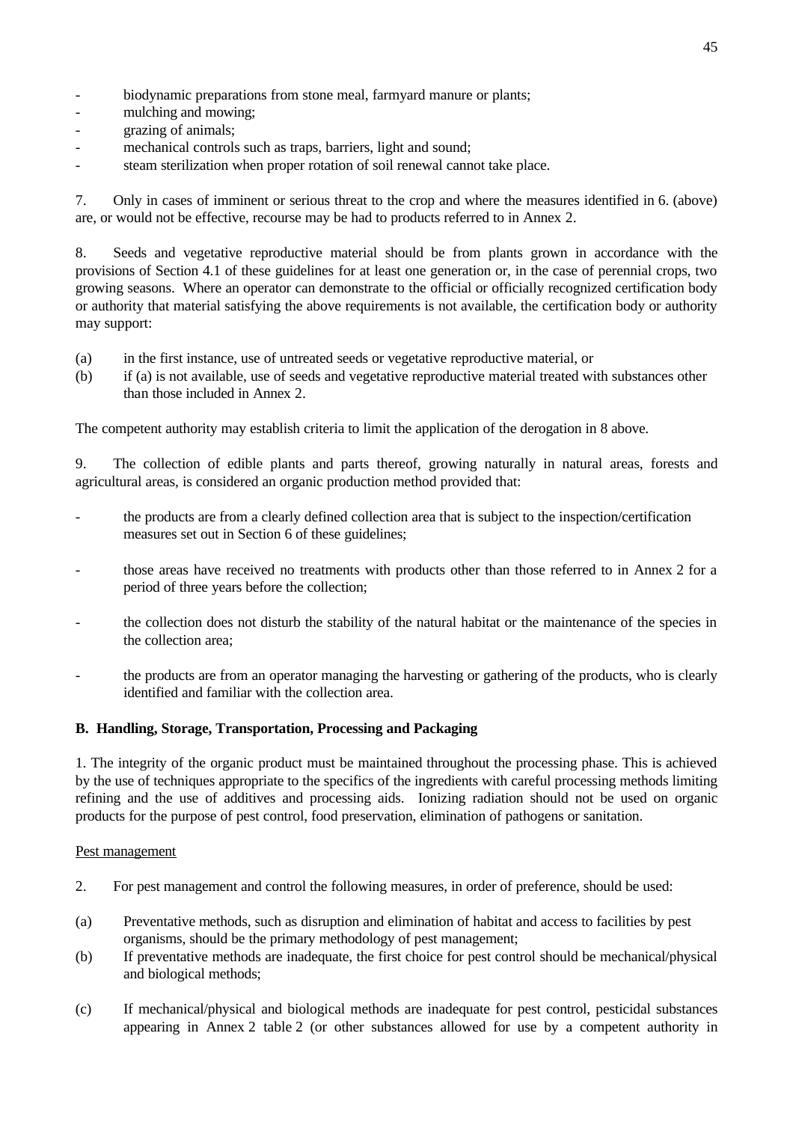- biodynamic preparations from stone meal, farmyard manure or plants;
- mulching and mowing;
- grazing of animals;
- mechanical controls such as traps, barriers, light and sound;
- steam sterilization when proper rotation of soil renewal cannot take place.

7. Only in cases of imminent or serious threat to the crop and where the measures identified in 6. (above) are, or would not be effective, recourse may be had to products referred to in Annex 2.

8. Seeds and vegetative reproductive material should be from plants grown in accordance with the provisions of Section 4.1 of these guidelines for at least one generation or, in the case of perennial crops, two growing seasons. Where an operator can demonstrate to the official or officially recognized certification body or authority that material satisfying the above requirements is not available, the certification body or authority may support:

- (a) in the first instance, use of untreated seeds or vegetative reproductive material, or
- (b) if (a) is not available, use of seeds and vegetative reproductive material treated with substances other than those included in Annex 2.

The competent authority may establish criteria to limit the application of the derogation in 8 above.

9. The collection of edible plants and parts thereof, growing naturally in natural areas, forests and agricultural areas, is considered an organic production method provided that:

- the products are from a clearly defined collection area that is subject to the inspection/certification measures set out in Section 6 of these guidelines;
- those areas have received no treatments with products other than those referred to in Annex 2 for a period of three years before the collection;
- the collection does not disturb the stability of the natural habitat or the maintenance of the species in the collection area;
- the products are from an operator managing the harvesting or gathering of the products, who is clearly identified and familiar with the collection area.

## **B. Handling, Storage, Transportation, Processing and Packaging**

1. The integrity of the organic product must be maintained throughout the processing phase. This is achieved by the use of techniques appropriate to the specifics of the ingredients with careful processing methods limiting refining and the use of additives and processing aids. Ionizing radiation should not be used on organic products for the purpose of pest control, food preservation, elimination of pathogens or sanitation.

### Pest management

- 2. For pest management and control the following measures, in order of preference, should be used:
- (a) Preventative methods, such as disruption and elimination of habitat and access to facilities by pest organisms, should be the primary methodology of pest management;
- (b) If preventative methods are inadequate, the first choice for pest control should be mechanical/physical and biological methods;
- (c) If mechanical/physical and biological methods are inadequate for pest control, pesticidal substances appearing in Annex 2 table 2 (or other substances allowed for use by a competent authority in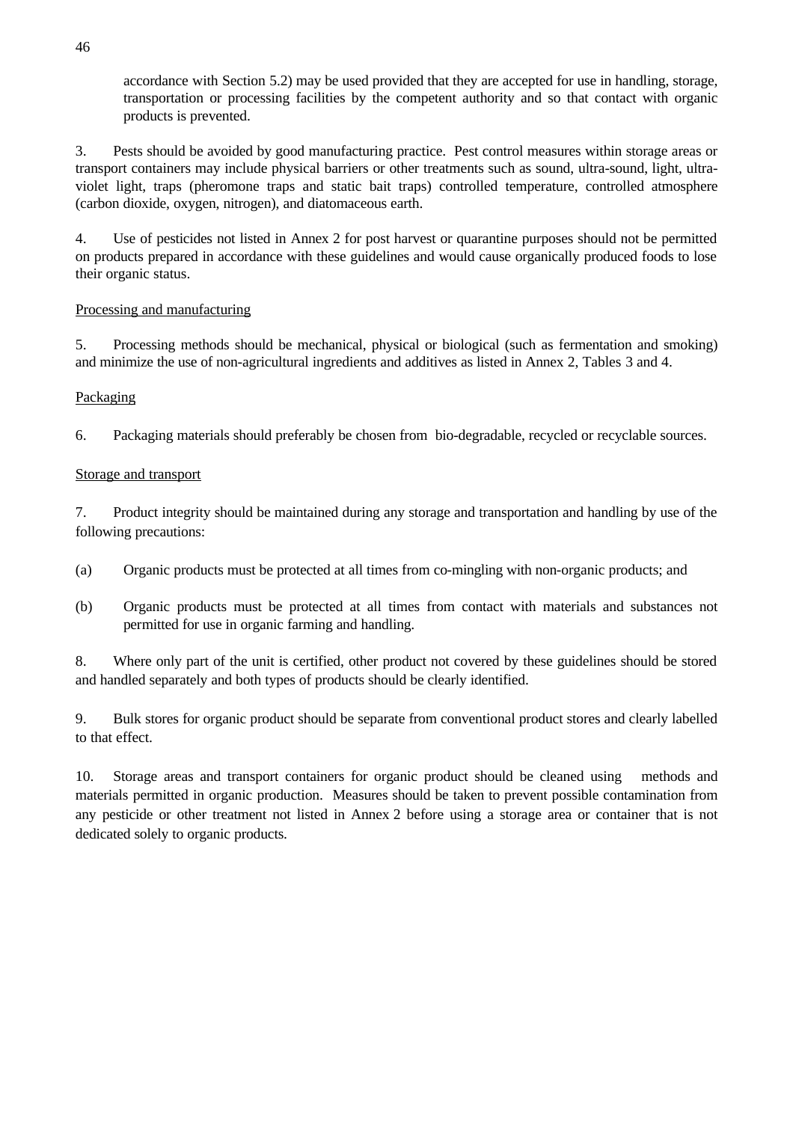accordance with Section 5.2) may be used provided that they are accepted for use in handling, storage, transportation or processing facilities by the competent authority and so that contact with organic products is prevented.

3. Pests should be avoided by good manufacturing practice. Pest control measures within storage areas or transport containers may include physical barriers or other treatments such as sound, ultra-sound, light, ultraviolet light, traps (pheromone traps and static bait traps) controlled temperature, controlled atmosphere (carbon dioxide, oxygen, nitrogen), and diatomaceous earth.

4. Use of pesticides not listed in Annex 2 for post harvest or quarantine purposes should not be permitted on products prepared in accordance with these guidelines and would cause organically produced foods to lose their organic status.

## Processing and manufacturing

5. Processing methods should be mechanical, physical or biological (such as fermentation and smoking) and minimize the use of non-agricultural ingredients and additives as listed in Annex 2, Tables 3 and 4.

## Packaging

6. Packaging materials should preferably be chosen from bio-degradable, recycled or recyclable sources.

## Storage and transport

7. Product integrity should be maintained during any storage and transportation and handling by use of the following precautions:

(a) Organic products must be protected at all times from co-mingling with non-organic products; and

(b) Organic products must be protected at all times from contact with materials and substances not permitted for use in organic farming and handling.

8. Where only part of the unit is certified, other product not covered by these guidelines should be stored and handled separately and both types of products should be clearly identified.

9. Bulk stores for organic product should be separate from conventional product stores and clearly labelled to that effect.

10. Storage areas and transport containers for organic product should be cleaned using methods and materials permitted in organic production. Measures should be taken to prevent possible contamination from any pesticide or other treatment not listed in Annex 2 before using a storage area or container that is not dedicated solely to organic products.

46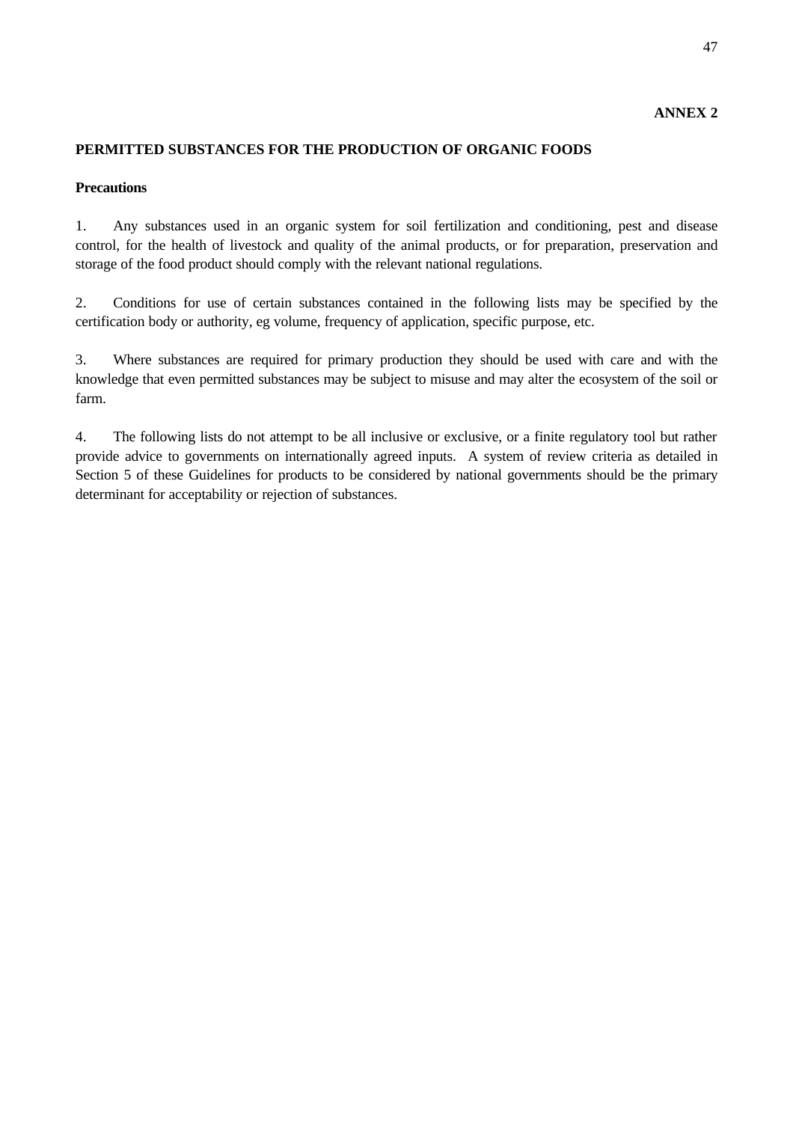## **ANNEX 2**

#### **PERMITTED SUBSTANCES FOR THE PRODUCTION OF ORGANIC FOODS**

#### **Precautions**

1. Any substances used in an organic system for soil fertilization and conditioning, pest and disease control, for the health of livestock and quality of the animal products, or for preparation, preservation and storage of the food product should comply with the relevant national regulations.

2. Conditions for use of certain substances contained in the following lists may be specified by the certification body or authority, eg volume, frequency of application, specific purpose, etc.

3. Where substances are required for primary production they should be used with care and with the knowledge that even permitted substances may be subject to misuse and may alter the ecosystem of the soil or farm.

4. The following lists do not attempt to be all inclusive or exclusive, or a finite regulatory tool but rather provide advice to governments on internationally agreed inputs. A system of review criteria as detailed in Section 5 of these Guidelines for products to be considered by national governments should be the primary determinant for acceptability or rejection of substances.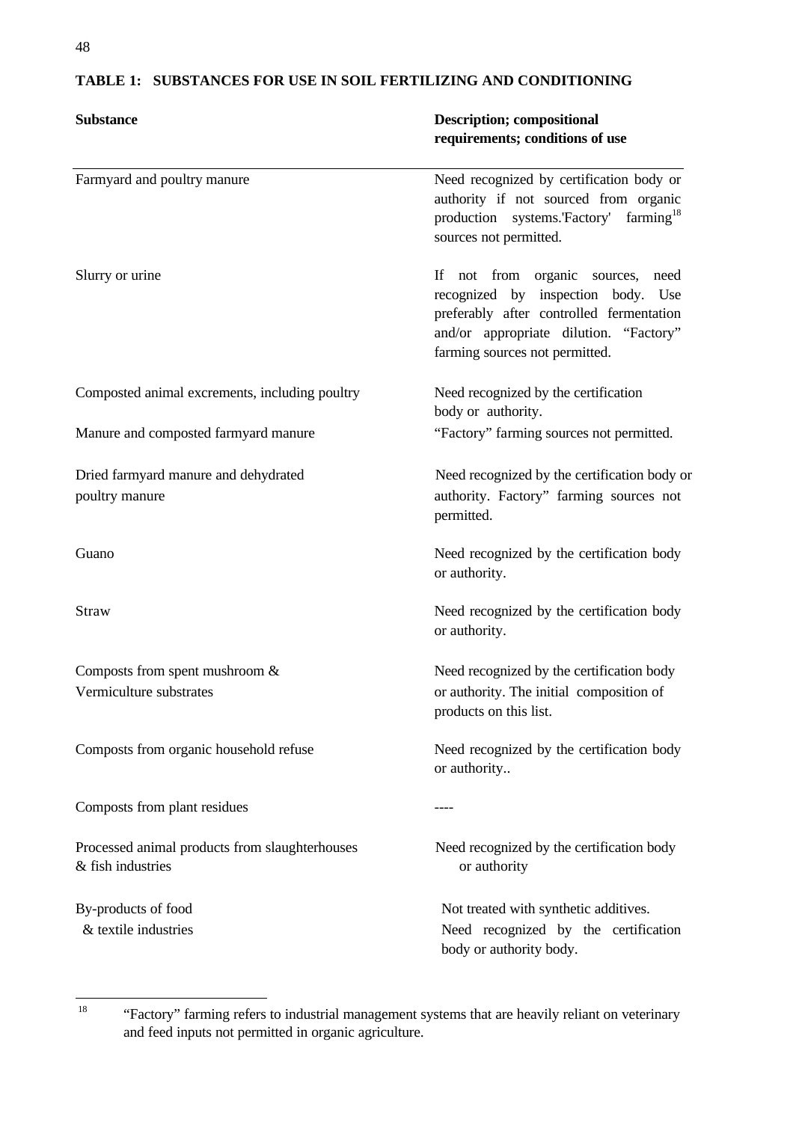## **TABLE 1: SUBSTANCES FOR USE IN SOIL FERTILIZING AND CONDITIONING**

| <b>Substance</b>                                                    | <b>Description; compositional</b><br>requirements; conditions of use                                                                                                                                  |
|---------------------------------------------------------------------|-------------------------------------------------------------------------------------------------------------------------------------------------------------------------------------------------------|
| Farmyard and poultry manure                                         | Need recognized by certification body or<br>authority if not sourced from organic<br>production systems. Factory' farming <sup>18</sup><br>sources not permitted.                                     |
| Slurry or urine                                                     | not from organic sources,<br>If<br>need<br>recognized by inspection body. Use<br>preferably after controlled fermentation<br>and/or appropriate dilution. "Factory"<br>farming sources not permitted. |
| Composted animal excrements, including poultry                      | Need recognized by the certification<br>body or authority.                                                                                                                                            |
| Manure and composted farmyard manure                                | "Factory" farming sources not permitted.                                                                                                                                                              |
| Dried farmyard manure and dehydrated<br>poultry manure              | Need recognized by the certification body or<br>authority. Factory" farming sources not<br>permitted.                                                                                                 |
| Guano                                                               | Need recognized by the certification body<br>or authority.                                                                                                                                            |
| <b>Straw</b>                                                        | Need recognized by the certification body<br>or authority.                                                                                                                                            |
| Composts from spent mushroom $\&$<br>Vermiculture substrates        | Need recognized by the certification body<br>or authority. The initial composition of<br>products on this list.                                                                                       |
| Composts from organic household refuse                              | Need recognized by the certification body<br>or authority                                                                                                                                             |
| Composts from plant residues                                        | ----                                                                                                                                                                                                  |
| Processed animal products from slaughterhouses<br>& fish industries | Need recognized by the certification body<br>or authority                                                                                                                                             |
| By-products of food<br>& textile industries                         | Not treated with synthetic additives.<br>Need recognized by the certification<br>body or authority body.                                                                                              |

<sup>18</sup> 

48

<sup>&</sup>quot;Factory" farming refers to industrial management systems that are heavily reliant on veterinary and feed inputs not permitted in organic agriculture.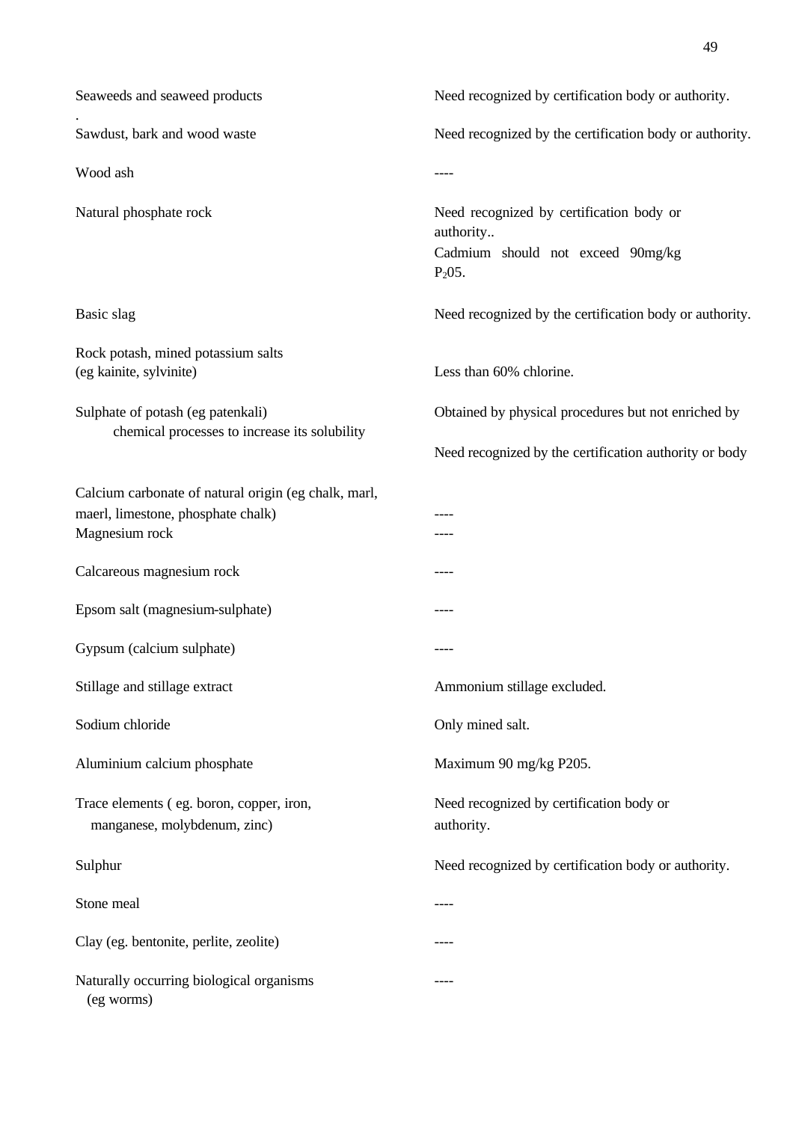Seaweeds and seaweed products Need recognized by certification body or authority. . Sawdust, bark and wood waste Need recognized by the certification body or authority.  $Wood$  ash  $---$ Natural phosphate rock Need recognized by certification body or authority.. Cadmium should not exceed 90mg/kg  $P_205.$ Basic slag Need recognized by the certification body or authority. Rock potash, mined potassium salts (eg kainite, sylvinite) Less than 60% chlorine. Sulphate of potash (eg patenkali) Obtained by physical procedures but not enriched by chemical processes to increase its solubility Need recognized by the certification authority or body Calcium carbonate of natural origin (eg chalk, marl, maerl, limestone, phosphate chalk) ----Magnesium rock and the state of the state of the state of the state of the state of the state of the state of the state of the state of the state of the state of the state of the state of the state of the state of the stat Calcareous magnesium rock Epsom salt (magnesium-sulphate) Gypsum (calcium sulphate) ----Stillage and stillage extract Ammonium stillage excluded. Sodium chloride Only mined salt. Aluminium calcium phosphate Maximum 90 mg/kg P205. Trace elements ( eg. boron, copper, iron, Need recognized by certification body or manganese, molybdenum, zinc) authority. Sulphur Need recognized by certification body or authority. Stone meal Clay (eg. bentonite, perlite, zeolite) Naturally occurring biological organisms ---- (eg worms)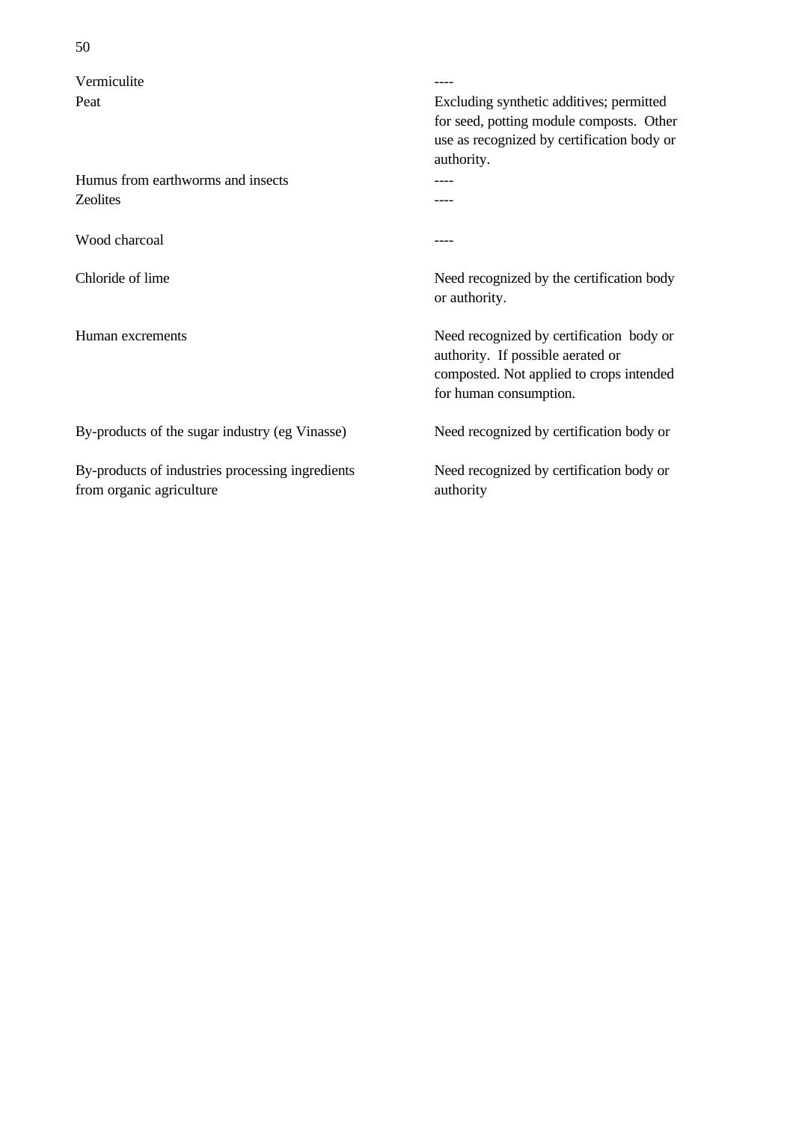| Vermiculite                                                                  |                                                                                                                                                     |
|------------------------------------------------------------------------------|-----------------------------------------------------------------------------------------------------------------------------------------------------|
| Peat                                                                         | Excluding synthetic additives; permitted<br>for seed, potting module composts. Other<br>use as recognized by certification body or<br>authority.    |
| Humus from earthworms and insects                                            |                                                                                                                                                     |
| Zeolites                                                                     |                                                                                                                                                     |
| Wood charcoal                                                                |                                                                                                                                                     |
| Chloride of lime                                                             | Need recognized by the certification body<br>or authority.                                                                                          |
| Human excrements                                                             | Need recognized by certification body or<br>authority. If possible aerated or<br>composted. Not applied to crops intended<br>for human consumption. |
| By-products of the sugar industry (eg Vinasse)                               | Need recognized by certification body or                                                                                                            |
| By-products of industries processing ingredients<br>from organic agriculture | Need recognized by certification body or<br>authority                                                                                               |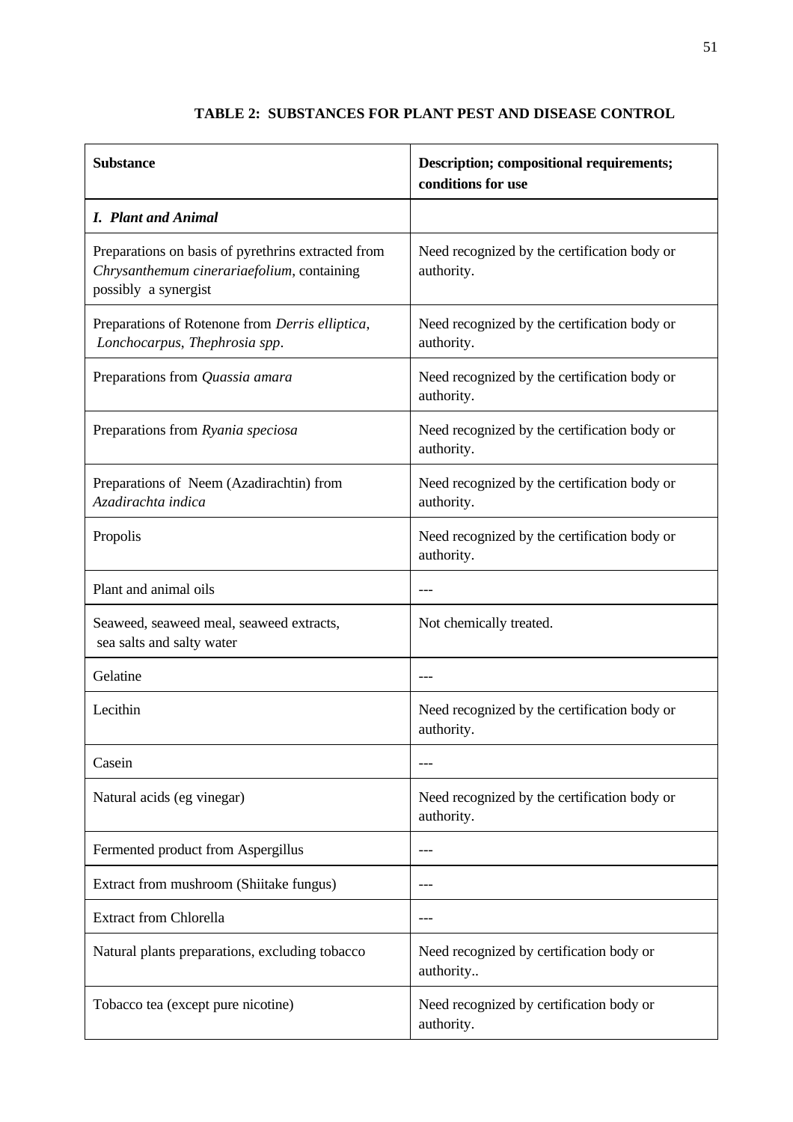| <b>Substance</b>                                                                                                         | <b>Description; compositional requirements;</b><br>conditions for use |
|--------------------------------------------------------------------------------------------------------------------------|-----------------------------------------------------------------------|
| <b>I.</b> Plant and Animal                                                                                               |                                                                       |
| Preparations on basis of pyrethrins extracted from<br>Chrysanthemum cinerariaefolium, containing<br>possibly a synergist | Need recognized by the certification body or<br>authority.            |
| Preparations of Rotenone from Derris elliptica,<br>Lonchocarpus, Thephrosia spp.                                         | Need recognized by the certification body or<br>authority.            |
| Preparations from Quassia amara                                                                                          | Need recognized by the certification body or<br>authority.            |
| Preparations from Ryania speciosa                                                                                        | Need recognized by the certification body or<br>authority.            |
| Preparations of Neem (Azadirachtin) from<br>Azadirachta indica                                                           | Need recognized by the certification body or<br>authority.            |
| Propolis                                                                                                                 | Need recognized by the certification body or<br>authority.            |
| Plant and animal oils                                                                                                    | $---$                                                                 |
| Seaweed, seaweed meal, seaweed extracts,<br>sea salts and salty water                                                    | Not chemically treated.                                               |
| Gelatine                                                                                                                 | $---$                                                                 |
| Lecithin                                                                                                                 | Need recognized by the certification body or<br>authority.            |
| Casein                                                                                                                   |                                                                       |
| Natural acids (eg vinegar)                                                                                               | Need recognized by the certification body or<br>authority.            |
| Fermented product from Aspergillus                                                                                       | $---$                                                                 |
| Extract from mushroom (Shiitake fungus)                                                                                  |                                                                       |
| <b>Extract from Chlorella</b>                                                                                            |                                                                       |
| Natural plants preparations, excluding tobacco                                                                           | Need recognized by certification body or<br>authority                 |
| Tobacco tea (except pure nicotine)                                                                                       | Need recognized by certification body or<br>authority.                |

## **TABLE 2: SUBSTANCES FOR PLANT PEST AND DISEASE CONTROL**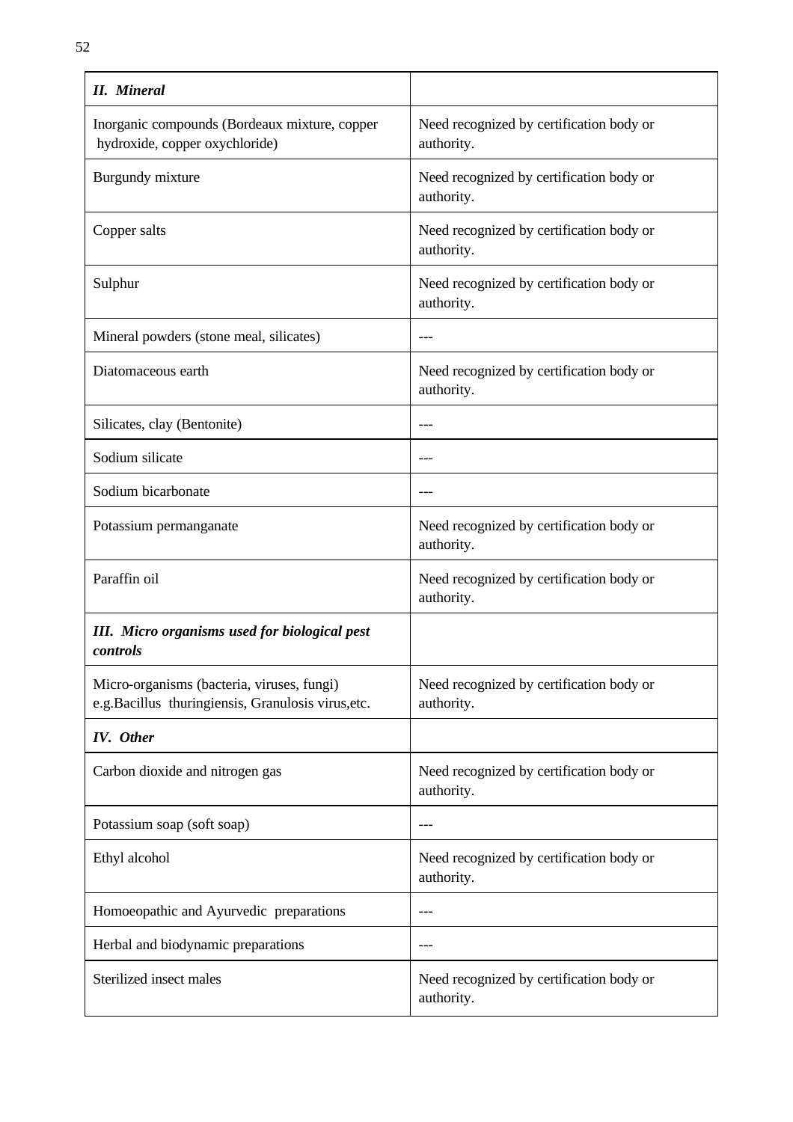| <b>II.</b> Mineral                                                                               |                                                        |
|--------------------------------------------------------------------------------------------------|--------------------------------------------------------|
| Inorganic compounds (Bordeaux mixture, copper<br>hydroxide, copper oxychloride)                  | Need recognized by certification body or<br>authority. |
| Burgundy mixture                                                                                 | Need recognized by certification body or<br>authority. |
| Copper salts                                                                                     | Need recognized by certification body or<br>authority. |
| Sulphur                                                                                          | Need recognized by certification body or<br>authority. |
| Mineral powders (stone meal, silicates)                                                          | $---$                                                  |
| Diatomaceous earth                                                                               | Need recognized by certification body or<br>authority. |
| Silicates, clay (Bentonite)                                                                      | $---$                                                  |
| Sodium silicate                                                                                  | $---$                                                  |
| Sodium bicarbonate                                                                               | $---$                                                  |
| Potassium permanganate                                                                           | Need recognized by certification body or<br>authority. |
| Paraffin oil                                                                                     | Need recognized by certification body or<br>authority. |
| <b>III.</b> Micro organisms used for biological pest<br>controls                                 |                                                        |
| Micro-organisms (bacteria, viruses, fungi)<br>e.g.Bacillus thuringiensis, Granulosis virus, etc. | Need recognized by certification body or<br>authority. |
| IV. Other                                                                                        |                                                        |
| Carbon dioxide and nitrogen gas                                                                  | Need recognized by certification body or<br>authority. |
| Potassium soap (soft soap)                                                                       | $---$                                                  |
| Ethyl alcohol                                                                                    | Need recognized by certification body or<br>authority. |
| Homoeopathic and Ayurvedic preparations                                                          | $---$                                                  |
| Herbal and biodynamic preparations                                                               | $---$                                                  |
| Sterilized insect males                                                                          | Need recognized by certification body or<br>authority. |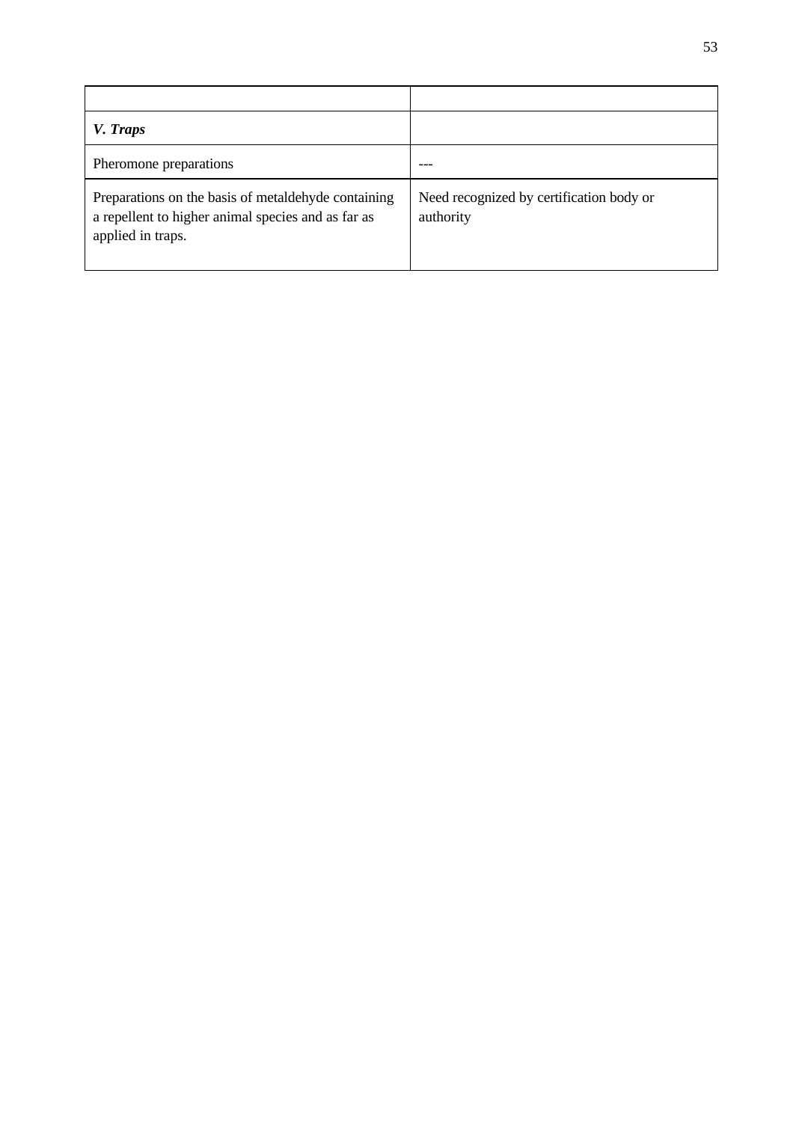| V. Traps                                                                                                                       |                                                       |
|--------------------------------------------------------------------------------------------------------------------------------|-------------------------------------------------------|
| Pheromone preparations                                                                                                         |                                                       |
| Preparations on the basis of metaldehyde containing<br>a repellent to higher animal species and as far as<br>applied in traps. | Need recognized by certification body or<br>authority |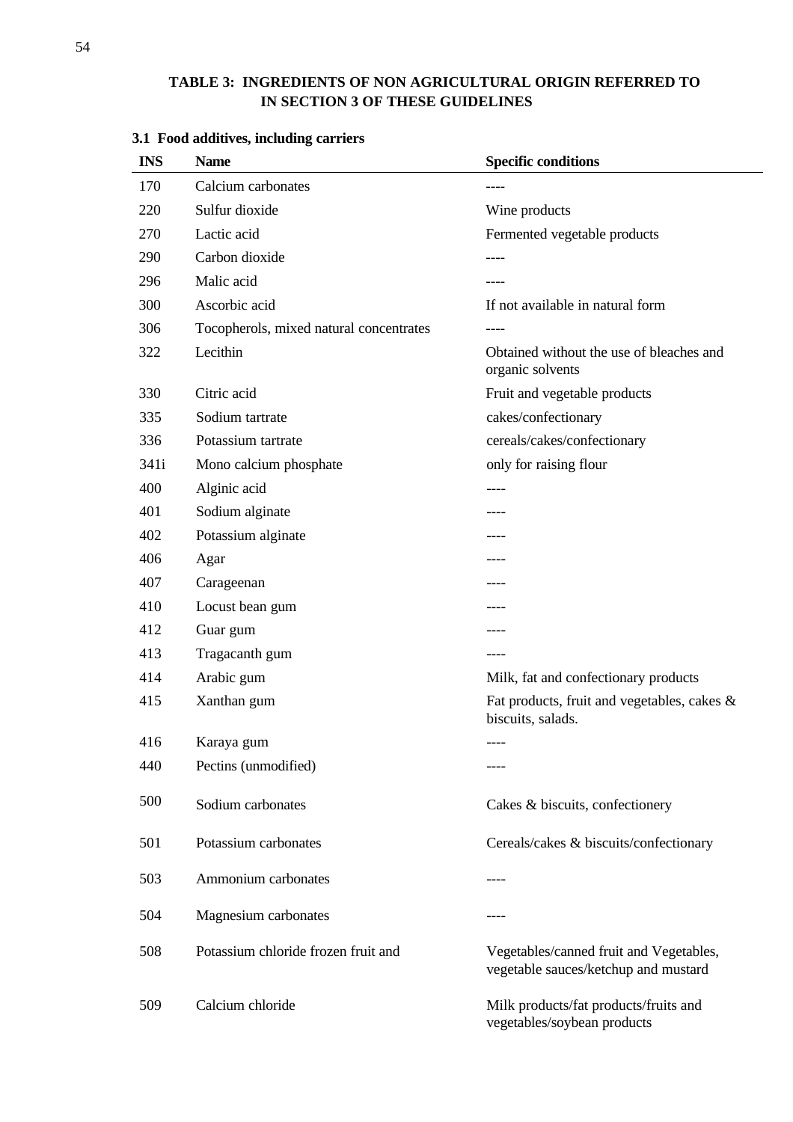## **TABLE 3: INGREDIENTS OF NON AGRICULTURAL ORIGIN REFERRED TO IN SECTION 3 OF THESE GUIDELINES**

| <b>INS</b> | <b>Name</b>                             | <b>Specific conditions</b>                                                      |
|------------|-----------------------------------------|---------------------------------------------------------------------------------|
| 170        | Calcium carbonates                      |                                                                                 |
| 220        | Sulfur dioxide                          | Wine products                                                                   |
| 270        | Lactic acid                             | Fermented vegetable products                                                    |
| 290        | Carbon dioxide                          | ----                                                                            |
| 296        | Malic acid                              | ----                                                                            |
| 300        | Ascorbic acid                           | If not available in natural form                                                |
| 306        | Tocopherols, mixed natural concentrates | ----                                                                            |
| 322        | Lecithin                                | Obtained without the use of bleaches and<br>organic solvents                    |
| 330        | Citric acid                             | Fruit and vegetable products                                                    |
| 335        | Sodium tartrate                         | cakes/confectionary                                                             |
| 336        | Potassium tartrate                      | cereals/cakes/confectionary                                                     |
| 341i       | Mono calcium phosphate                  | only for raising flour                                                          |
| 400        | Alginic acid                            | ----                                                                            |
| 401        | Sodium alginate                         |                                                                                 |
| 402        | Potassium alginate                      |                                                                                 |
| 406        | Agar                                    |                                                                                 |
| 407        | Carageenan                              | ----                                                                            |
| 410        | Locust bean gum                         | ----                                                                            |
| 412        | Guar gum                                |                                                                                 |
| 413        | Tragacanth gum                          |                                                                                 |
| 414        | Arabic gum                              | Milk, fat and confectionary products                                            |
| 415        | Xanthan gum                             | Fat products, fruit and vegetables, cakes $\&$<br>biscuits, salads.             |
| 416        | Karaya gum                              | ----                                                                            |
| 440        | Pectins (unmodified)                    | ----                                                                            |
| 500        | Sodium carbonates                       | Cakes & biscuits, confectionery                                                 |
| 501        | Potassium carbonates                    | Cereals/cakes & biscuits/confectionary                                          |
| 503        | Ammonium carbonates                     |                                                                                 |
| 504        | Magnesium carbonates                    |                                                                                 |
| 508        | Potassium chloride frozen fruit and     | Vegetables/canned fruit and Vegetables,<br>vegetable sauces/ketchup and mustard |
| 509        | Calcium chloride                        | Milk products/fat products/fruits and<br>vegetables/soybean products            |

## **3.1 Food additives, including carriers**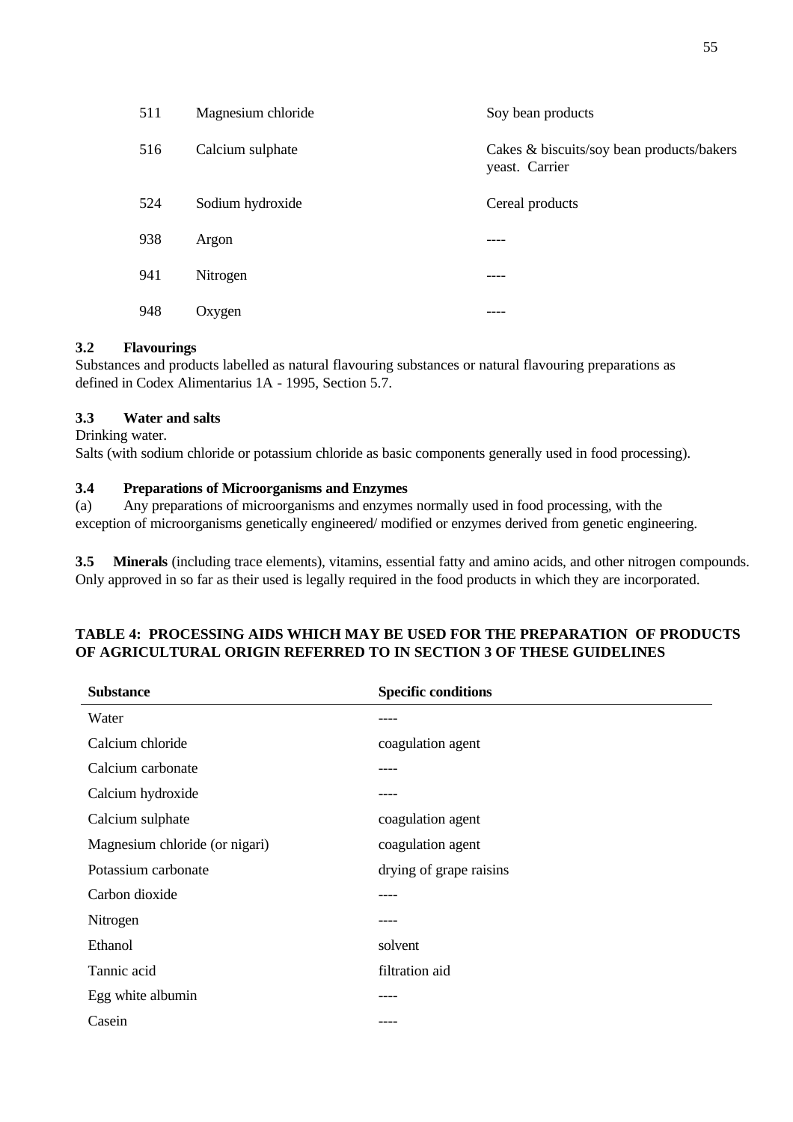| 511 | Magnesium chloride | Soy bean products                                           |
|-----|--------------------|-------------------------------------------------------------|
| 516 | Calcium sulphate   | Cakes & biscuits/soy bean products/bakers<br>yeast. Carrier |
| 524 | Sodium hydroxide   | Cereal products                                             |
| 938 | Argon              |                                                             |
| 941 | Nitrogen           | ----                                                        |
| 948 | Oxygen             |                                                             |

## **3.2 Flavourings**

Substances and products labelled as natural flavouring substances or natural flavouring preparations as defined in Codex Alimentarius 1A - 1995, Section 5.7.

## **3.3 Water and salts**

Drinking water.

Salts (with sodium chloride or potassium chloride as basic components generally used in food processing).

## **3.4 Preparations of Microorganisms and Enzymes**

(a) Any preparations of microorganisms and enzymes normally used in food processing, with the exception of microorganisms genetically engineered/ modified or enzymes derived from genetic engineering.

**3.5 Minerals** (including trace elements), vitamins, essential fatty and amino acids, and other nitrogen compounds. Only approved in so far as their used is legally required in the food products in which they are incorporated.

## **TABLE 4: PROCESSING AIDS WHICH MAY BE USED FOR THE PREPARATION OF PRODUCTS OF AGRICULTURAL ORIGIN REFERRED TO IN SECTION 3 OF THESE GUIDELINES**

| <b>Substance</b>               | <b>Specific conditions</b> |
|--------------------------------|----------------------------|
| Water                          | ----                       |
| Calcium chloride               | coagulation agent          |
| Calcium carbonate              | ----                       |
| Calcium hydroxide              | ----                       |
| Calcium sulphate               | coagulation agent          |
| Magnesium chloride (or nigari) | coagulation agent          |
| Potassium carbonate            | drying of grape raisins    |
| Carbon dioxide                 | ----                       |
| Nitrogen                       | ----                       |
| Ethanol                        | solvent                    |
| Tannic acid                    | filtration aid             |
| Egg white albumin              | ----                       |
| Casein                         | ----                       |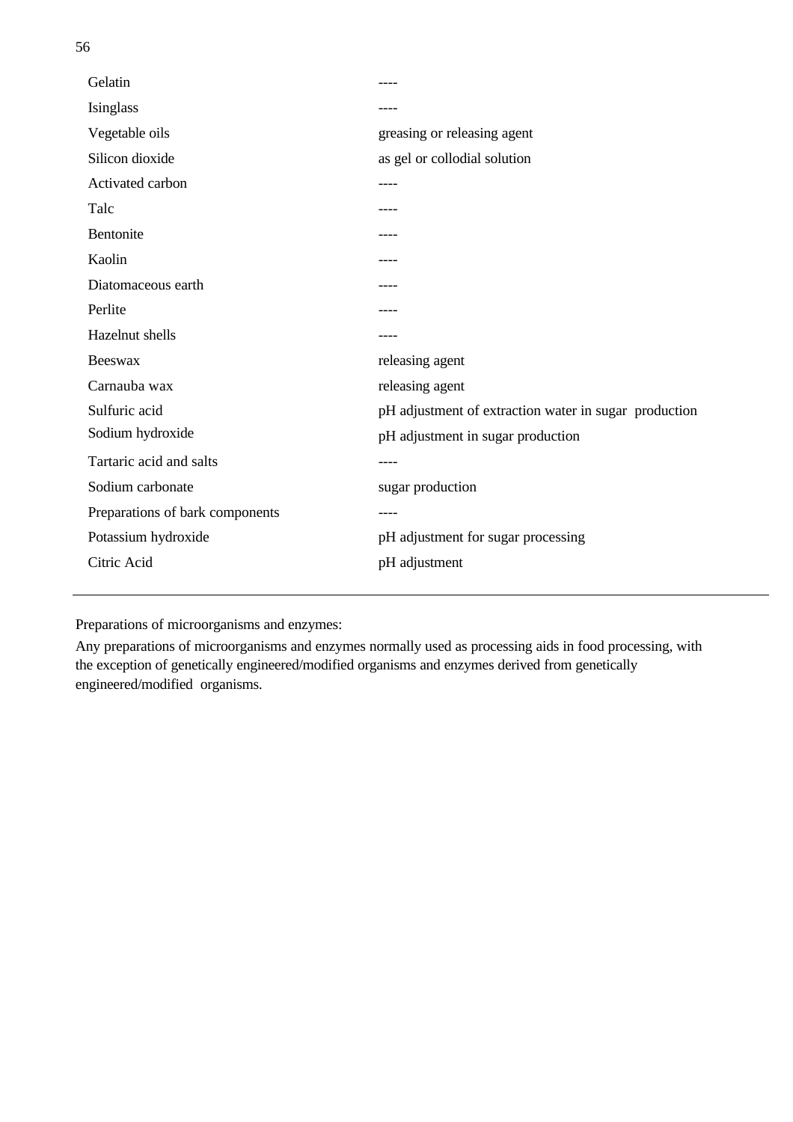| Gelatin                         | ----                                                  |
|---------------------------------|-------------------------------------------------------|
| Isinglass                       |                                                       |
| Vegetable oils                  | greasing or releasing agent                           |
| Silicon dioxide                 | as gel or collodial solution                          |
| Activated carbon                |                                                       |
| Talc                            | ----                                                  |
| Bentonite                       | ----                                                  |
| Kaolin                          | ----                                                  |
| Diatomaceous earth              |                                                       |
| Perlite                         | ----                                                  |
| Hazelnut shells                 | ----                                                  |
| Beeswax                         | releasing agent                                       |
| Carnauba wax                    | releasing agent                                       |
| Sulfuric acid                   | pH adjustment of extraction water in sugar production |
| Sodium hydroxide                | pH adjustment in sugar production                     |
| Tartaric acid and salts         | ----                                                  |
| Sodium carbonate                | sugar production                                      |
| Preparations of bark components | ----                                                  |
| Potassium hydroxide             | pH adjustment for sugar processing                    |
| Citric Acid                     | pH adjustment                                         |
|                                 |                                                       |

Preparations of microorganisms and enzymes:

Any preparations of microorganisms and enzymes normally used as processing aids in food processing, with the exception of genetically engineered/modified organisms and enzymes derived from genetically engineered/modified organisms.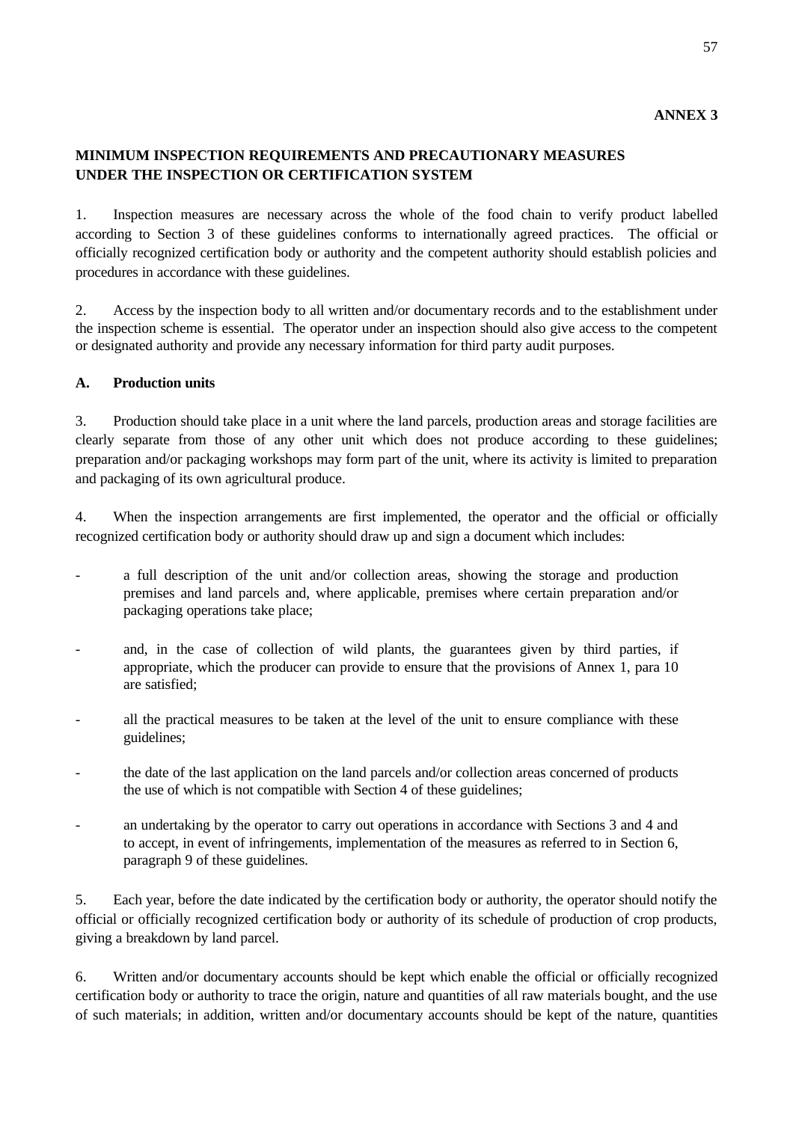### **ANNEX 3**

## **MINIMUM INSPECTION REQUIREMENTS AND PRECAUTIONARY MEASURES UNDER THE INSPECTION OR CERTIFICATION SYSTEM**

1. Inspection measures are necessary across the whole of the food chain to verify product labelled according to Section 3 of these guidelines conforms to internationally agreed practices. The official or officially recognized certification body or authority and the competent authority should establish policies and procedures in accordance with these guidelines.

2. Access by the inspection body to all written and/or documentary records and to the establishment under the inspection scheme is essential. The operator under an inspection should also give access to the competent or designated authority and provide any necessary information for third party audit purposes.

### **A. Production units**

3. Production should take place in a unit where the land parcels, production areas and storage facilities are clearly separate from those of any other unit which does not produce according to these guidelines; preparation and/or packaging workshops may form part of the unit, where its activity is limited to preparation and packaging of its own agricultural produce.

4. When the inspection arrangements are first implemented, the operator and the official or officially recognized certification body or authority should draw up and sign a document which includes:

- a full description of the unit and/or collection areas, showing the storage and production premises and land parcels and, where applicable, premises where certain preparation and/or packaging operations take place;
- and, in the case of collection of wild plants, the guarantees given by third parties, if appropriate, which the producer can provide to ensure that the provisions of Annex 1, para 10 are satisfied;
- all the practical measures to be taken at the level of the unit to ensure compliance with these guidelines;
- the date of the last application on the land parcels and/or collection areas concerned of products the use of which is not compatible with Section 4 of these guidelines;
- an undertaking by the operator to carry out operations in accordance with Sections 3 and 4 and to accept, in event of infringements, implementation of the measures as referred to in Section 6, paragraph 9 of these guidelines.

5. Each year, before the date indicated by the certification body or authority, the operator should notify the official or officially recognized certification body or authority of its schedule of production of crop products, giving a breakdown by land parcel.

6. Written and/or documentary accounts should be kept which enable the official or officially recognized certification body or authority to trace the origin, nature and quantities of all raw materials bought, and the use of such materials; in addition, written and/or documentary accounts should be kept of the nature, quantities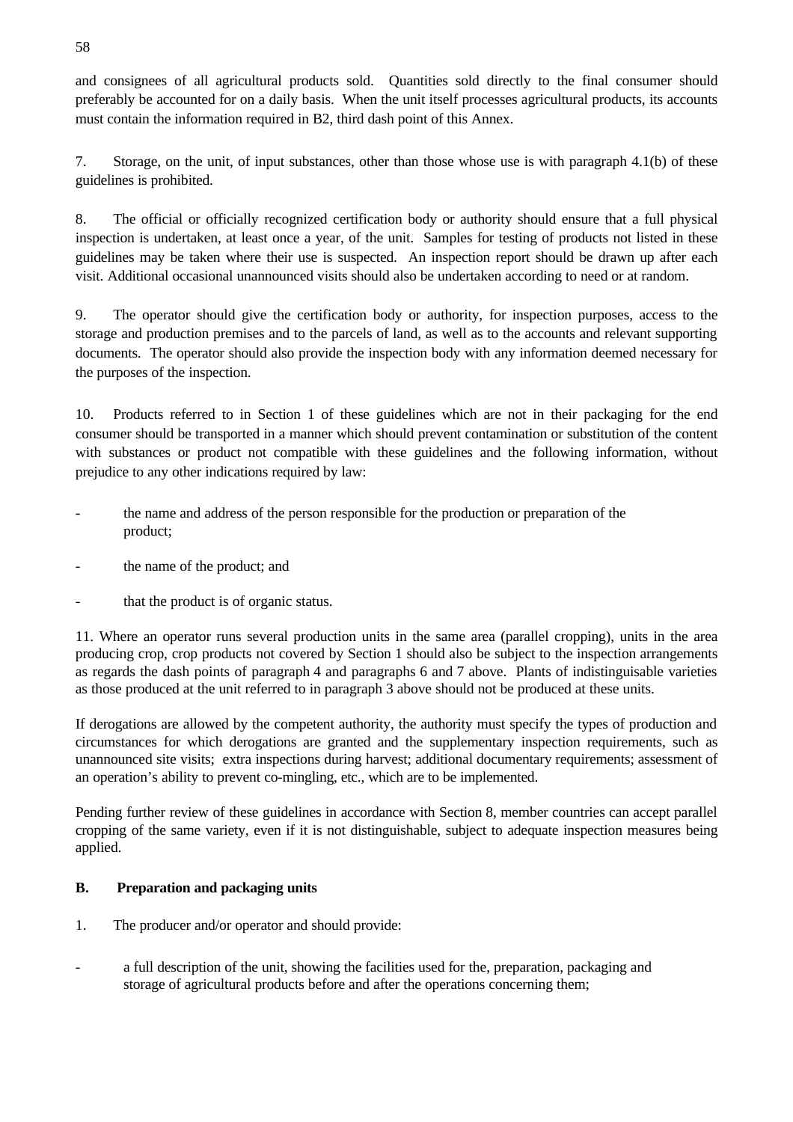and consignees of all agricultural products sold. Quantities sold directly to the final consumer should preferably be accounted for on a daily basis. When the unit itself processes agricultural products, its accounts must contain the information required in B2, third dash point of this Annex.

7. Storage, on the unit, of input substances, other than those whose use is with paragraph 4.1(b) of these guidelines is prohibited.

8. The official or officially recognized certification body or authority should ensure that a full physical inspection is undertaken, at least once a year, of the unit. Samples for testing of products not listed in these guidelines may be taken where their use is suspected. An inspection report should be drawn up after each visit. Additional occasional unannounced visits should also be undertaken according to need or at random.

9. The operator should give the certification body or authority, for inspection purposes, access to the storage and production premises and to the parcels of land, as well as to the accounts and relevant supporting documents. The operator should also provide the inspection body with any information deemed necessary for the purposes of the inspection.

10. Products referred to in Section 1 of these guidelines which are not in their packaging for the end consumer should be transported in a manner which should prevent contamination or substitution of the content with substances or product not compatible with these guidelines and the following information, without prejudice to any other indications required by law:

- the name and address of the person responsible for the production or preparation of the product;
- the name of the product; and
- that the product is of organic status.

11. Where an operator runs several production units in the same area (parallel cropping), units in the area producing crop, crop products not covered by Section 1 should also be subject to the inspection arrangements as regards the dash points of paragraph 4 and paragraphs 6 and 7 above. Plants of indistinguisable varieties as those produced at the unit referred to in paragraph 3 above should not be produced at these units.

If derogations are allowed by the competent authority, the authority must specify the types of production and circumstances for which derogations are granted and the supplementary inspection requirements, such as unannounced site visits; extra inspections during harvest; additional documentary requirements; assessment of an operation's ability to prevent co-mingling, etc., which are to be implemented.

Pending further review of these guidelines in accordance with Section 8, member countries can accept parallel cropping of the same variety, even if it is not distinguishable, subject to adequate inspection measures being applied.

## **B. Preparation and packaging units**

- 1. The producer and/or operator and should provide:
- a full description of the unit, showing the facilities used for the, preparation, packaging and storage of agricultural products before and after the operations concerning them;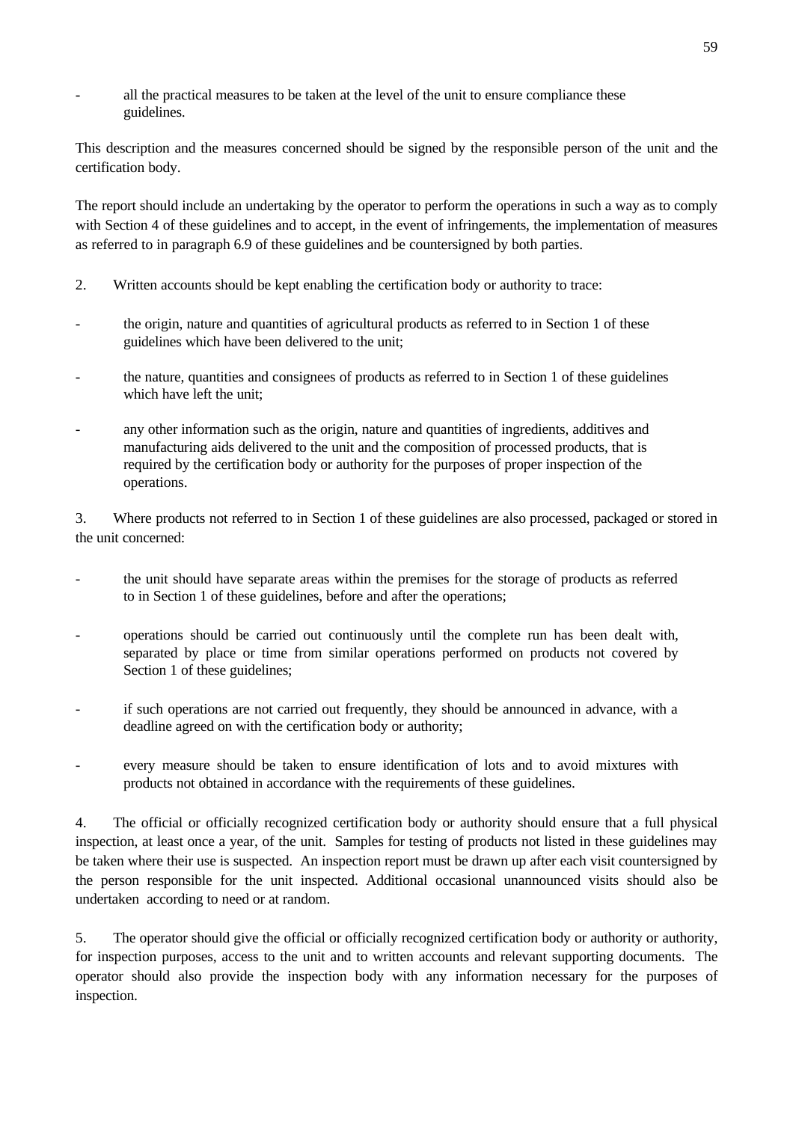all the practical measures to be taken at the level of the unit to ensure compliance these guidelines.

This description and the measures concerned should be signed by the responsible person of the unit and the certification body.

The report should include an undertaking by the operator to perform the operations in such a way as to comply with Section 4 of these guidelines and to accept, in the event of infringements, the implementation of measures as referred to in paragraph 6.9 of these guidelines and be countersigned by both parties.

- 2. Written accounts should be kept enabling the certification body or authority to trace:
- the origin, nature and quantities of agricultural products as referred to in Section 1 of these guidelines which have been delivered to the unit;
- the nature, quantities and consignees of products as referred to in Section 1 of these guidelines which have left the unit;
- any other information such as the origin, nature and quantities of ingredients, additives and manufacturing aids delivered to the unit and the composition of processed products, that is required by the certification body or authority for the purposes of proper inspection of the operations.

3. Where products not referred to in Section 1 of these guidelines are also processed, packaged or stored in the unit concerned:

- the unit should have separate areas within the premises for the storage of products as referred to in Section 1 of these guidelines, before and after the operations;
- operations should be carried out continuously until the complete run has been dealt with, separated by place or time from similar operations performed on products not covered by Section 1 of these guidelines;
- if such operations are not carried out frequently, they should be announced in advance, with a deadline agreed on with the certification body or authority;
- every measure should be taken to ensure identification of lots and to avoid mixtures with products not obtained in accordance with the requirements of these guidelines.

4. The official or officially recognized certification body or authority should ensure that a full physical inspection, at least once a year, of the unit. Samples for testing of products not listed in these guidelines may be taken where their use is suspected. An inspection report must be drawn up after each visit countersigned by the person responsible for the unit inspected. Additional occasional unannounced visits should also be undertaken according to need or at random.

5. The operator should give the official or officially recognized certification body or authority or authority, for inspection purposes, access to the unit and to written accounts and relevant supporting documents. The operator should also provide the inspection body with any information necessary for the purposes of inspection.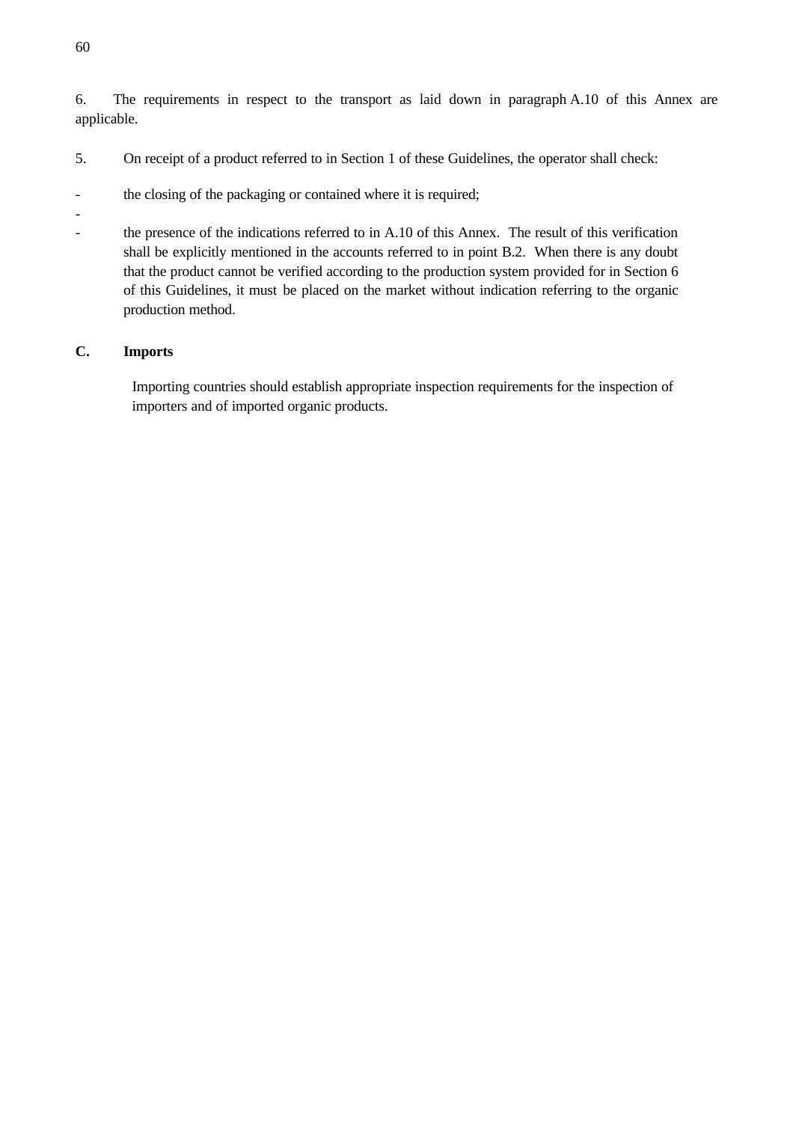6. The requirements in respect to the transport as laid down in paragraph A.10 of this Annex are applicable.

- 5. On receipt of a product referred to in Section 1 of these Guidelines, the operator shall check:
- the closing of the packaging or contained where it is required;
- -
- the presence of the indications referred to in A.10 of this Annex. The result of this verification shall be explicitly mentioned in the accounts referred to in point B.2. When there is any doubt that the product cannot be verified according to the production system provided for in Section 6 of this Guidelines, it must be placed on the market without indication referring to the organic production method.

## **C. Imports**

Importing countries should establish appropriate inspection requirements for the inspection of importers and of imported organic products.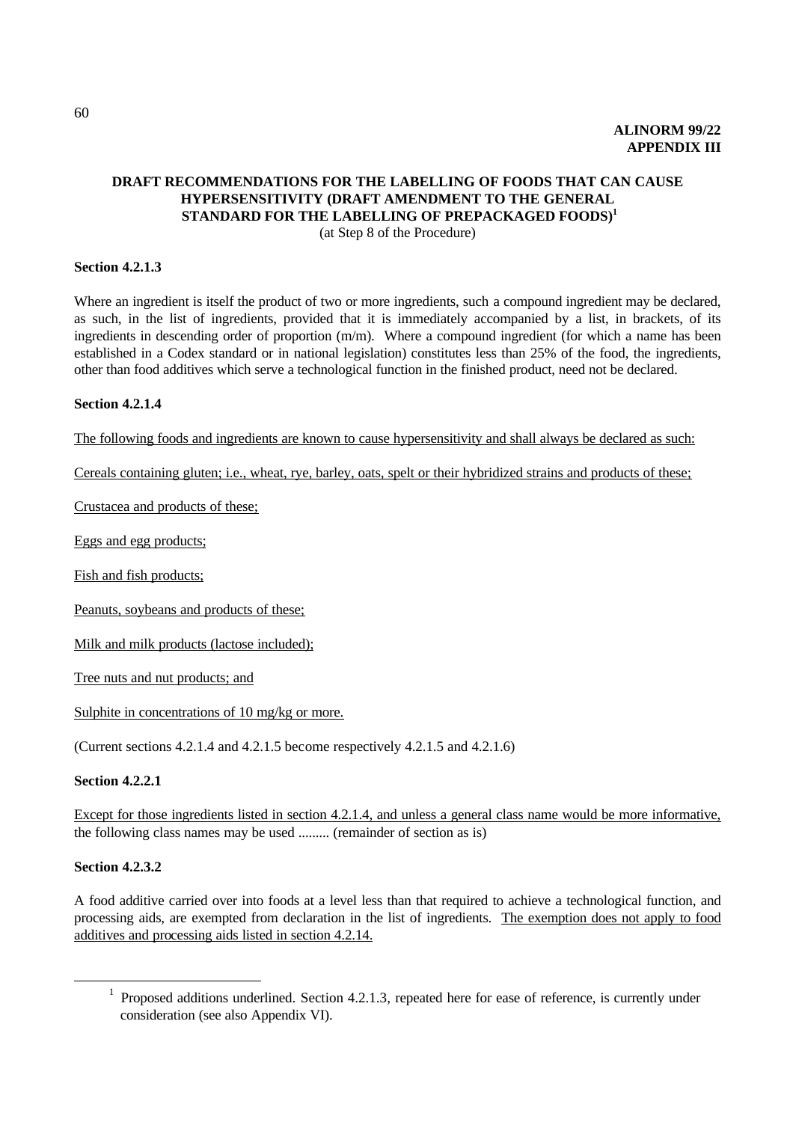## **DRAFT RECOMMENDATIONS FOR THE LABELLING OF FOODS THAT CAN CAUSE HYPERSENSITIVITY (DRAFT AMENDMENT TO THE GENERAL STANDARD FOR THE LABELLING OF PREPACKAGED FOODS) 1**

(at Step 8 of the Procedure)

#### **Section 4.2.1.3**

Where an ingredient is itself the product of two or more ingredients, such a compound ingredient may be declared, as such, in the list of ingredients, provided that it is immediately accompanied by a list, in brackets, of its ingredients in descending order of proportion (m/m). Where a compound ingredient (for which a name has been established in a Codex standard or in national legislation) constitutes less than 25% of the food, the ingredients, other than food additives which serve a technological function in the finished product, need not be declared.

#### **Section 4.2.1.4**

The following foods and ingredients are known to cause hypersensitivity and shall always be declared as such:

Cereals containing gluten; i.e., wheat, rye, barley, oats, spelt or their hybridized strains and products of these;

Crustacea and products of these;

Eggs and egg products;

Fish and fish products;

Peanuts, soybeans and products of these;

Milk and milk products (lactose included);

Tree nuts and nut products; and

Sulphite in concentrations of 10 mg/kg or more.

(Current sections 4.2.1.4 and 4.2.1.5 become respectively 4.2.1.5 and 4.2.1.6)

### **Section 4.2.2.1**

Except for those ingredients listed in section 4.2.1.4, and unless a general class name would be more informative, the following class names may be used ......... (remainder of section as is)

### **Section 4.2.3.2**

A food additive carried over into foods at a level less than that required to achieve a technological function, and processing aids, are exempted from declaration in the list of ingredients. The exemption does not apply to food additives and processing aids listed in section 4.2.14.

<sup>&</sup>lt;sup>1</sup> Proposed additions underlined. Section 4.2.1.3, repeated here for ease of reference, is currently under consideration (see also Appendix VI).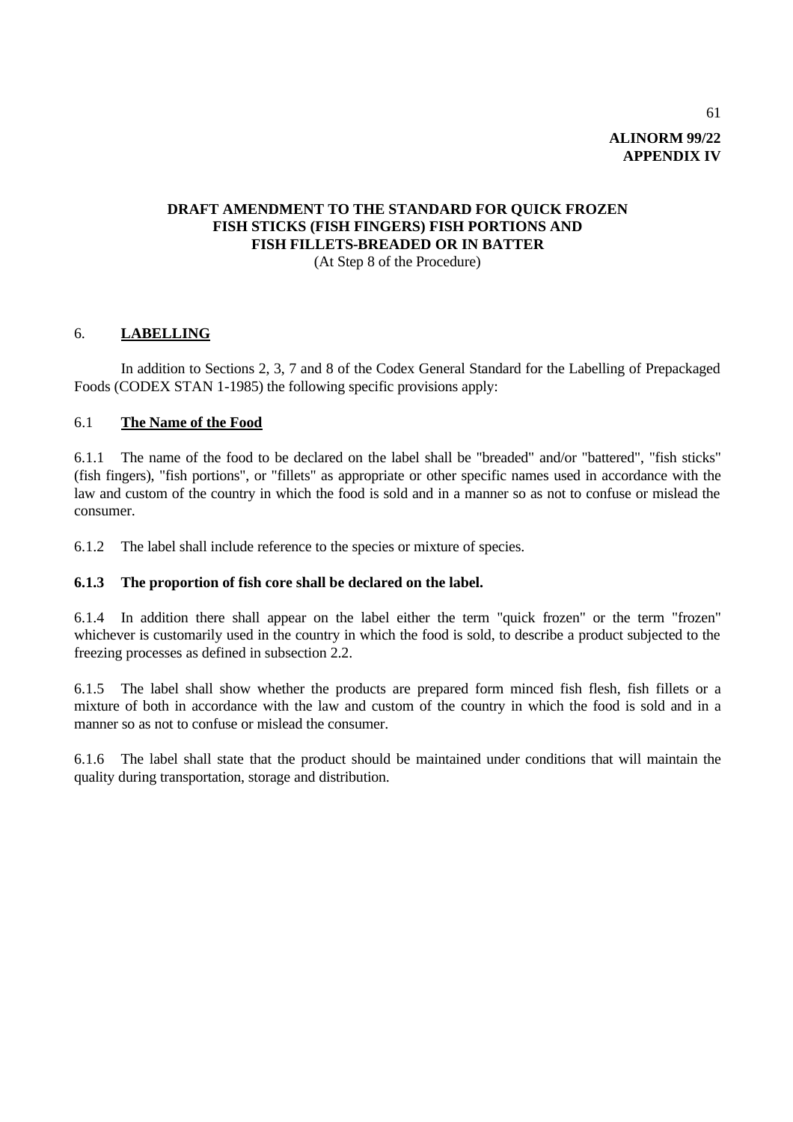## **DRAFT AMENDMENT TO THE STANDARD FOR QUICK FROZEN FISH STICKS (FISH FINGERS) FISH PORTIONS AND FISH FILLETS-BREADED OR IN BATTER**

(At Step 8 of the Procedure)

## 6. **LABELLING**

In addition to Sections 2, 3, 7 and 8 of the Codex General Standard for the Labelling of Prepackaged Foods (CODEX STAN 1-1985) the following specific provisions apply:

## 6.1 **The Name of the Food**

6.1.1 The name of the food to be declared on the label shall be "breaded" and/or "battered", "fish sticks" (fish fingers), "fish portions", or "fillets" as appropriate or other specific names used in accordance with the law and custom of the country in which the food is sold and in a manner so as not to confuse or mislead the consumer.

6.1.2 The label shall include reference to the species or mixture of species.

## **6.1.3 The proportion of fish core shall be declared on the label.**

6.1.4 In addition there shall appear on the label either the term "quick frozen" or the term "frozen" whichever is customarily used in the country in which the food is sold, to describe a product subjected to the freezing processes as defined in subsection 2.2.

6.1.5 The label shall show whether the products are prepared form minced fish flesh, fish fillets or a mixture of both in accordance with the law and custom of the country in which the food is sold and in a manner so as not to confuse or mislead the consumer.

6.1.6 The label shall state that the product should be maintained under conditions that will maintain the quality during transportation, storage and distribution.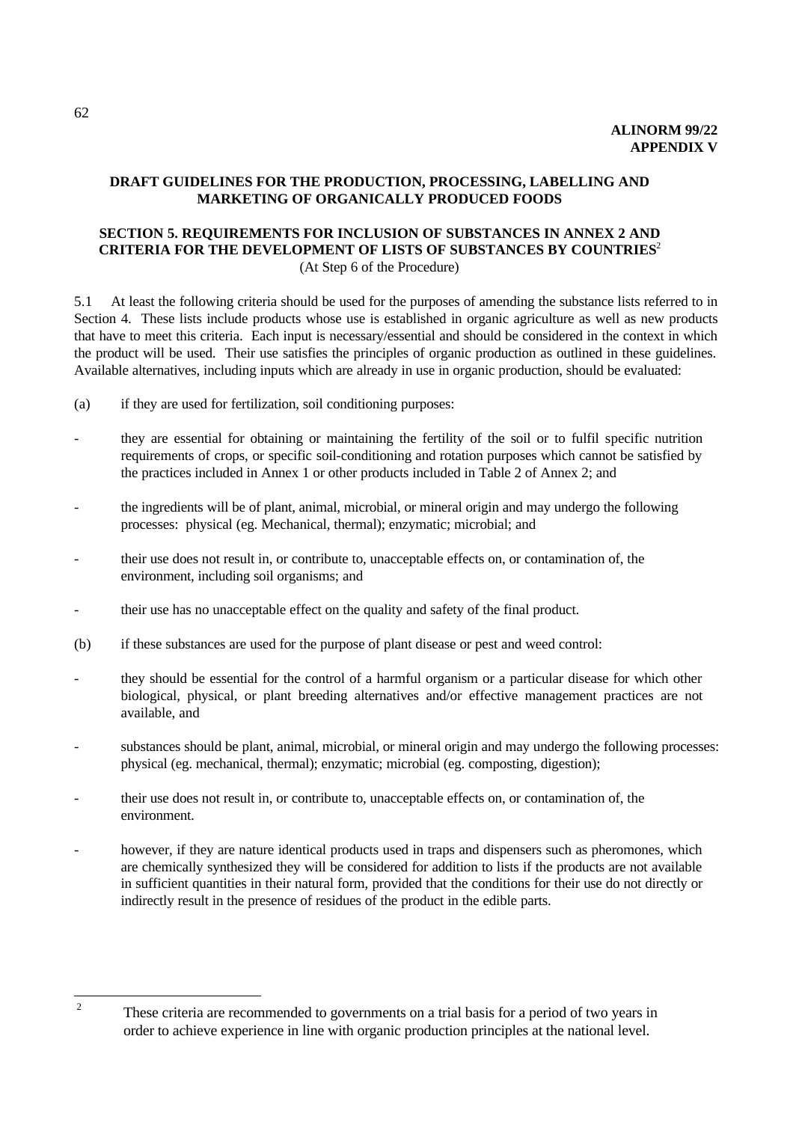### **DRAFT GUIDELINES FOR THE PRODUCTION, PROCESSING, LABELLING AND MARKETING OF ORGANICALLY PRODUCED FOODS**

### **SECTION 5. REQUIREMENTS FOR INCLUSION OF SUBSTANCES IN ANNEX 2 AND CRITERIA FOR THE DEVELOPMENT OF LISTS OF SUBSTANCES BY COUNTRIES**<sup>2</sup> (At Step 6 of the Procedure)

5.1 At least the following criteria should be used for the purposes of amending the substance lists referred to in Section 4. These lists include products whose use is established in organic agriculture as well as new products that have to meet this criteria. Each input is necessary/essential and should be considered in the context in which the product will be used. Their use satisfies the principles of organic production as outlined in these guidelines. Available alternatives, including inputs which are already in use in organic production, should be evaluated:

- (a) if they are used for fertilization, soil conditioning purposes:
- they are essential for obtaining or maintaining the fertility of the soil or to fulfil specific nutrition requirements of crops, or specific soil-conditioning and rotation purposes which cannot be satisfied by the practices included in Annex 1 or other products included in Table 2 of Annex 2; and
- the ingredients will be of plant, animal, microbial, or mineral origin and may undergo the following processes: physical (eg. Mechanical, thermal); enzymatic; microbial; and
- their use does not result in, or contribute to, unacceptable effects on, or contamination of, the environment, including soil organisms; and
- their use has no unacceptable effect on the quality and safety of the final product.
- (b) if these substances are used for the purpose of plant disease or pest and weed control:
- they should be essential for the control of a harmful organism or a particular disease for which other biological, physical, or plant breeding alternatives and/or effective management practices are not available, and
- substances should be plant, animal, microbial, or mineral origin and may undergo the following processes: physical (eg. mechanical, thermal); enzymatic; microbial (eg. composting, digestion);
- their use does not result in, or contribute to, unacceptable effects on, or contamination of, the environment.
- however, if they are nature identical products used in traps and dispensers such as pheromones, which are chemically synthesized they will be considered for addition to lists if the products are not available in sufficient quantities in their natural form, provided that the conditions for their use do not directly or indirectly result in the presence of residues of the product in the edible parts.

 $\frac{1}{2}$ 

These criteria are recommended to governments on a trial basis for a period of two years in order to achieve experience in line with organic production principles at the national level.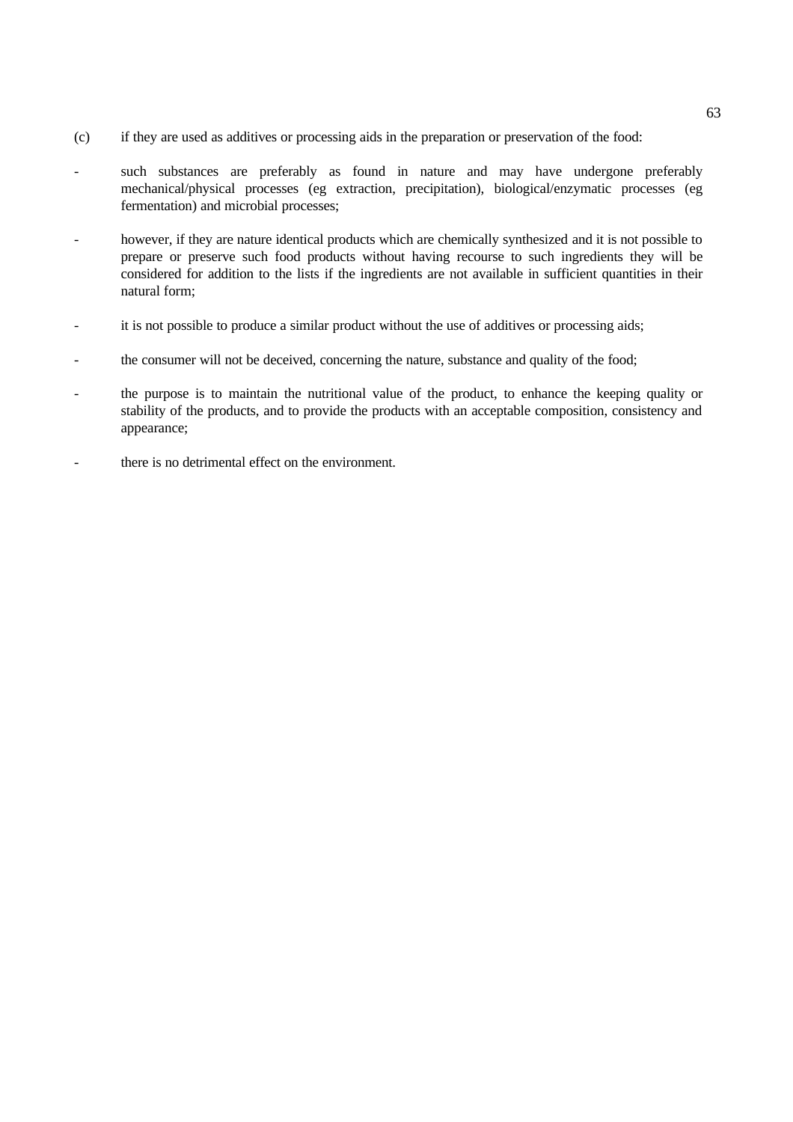- (c) if they are used as additives or processing aids in the preparation or preservation of the food:
- such substances are preferably as found in nature and may have undergone preferably mechanical/physical processes (eg extraction, precipitation), biological/enzymatic processes (eg fermentation) and microbial processes;
- however, if they are nature identical products which are chemically synthesized and it is not possible to prepare or preserve such food products without having recourse to such ingredients they will be considered for addition to the lists if the ingredients are not available in sufficient quantities in their natural form;
- it is not possible to produce a similar product without the use of additives or processing aids;
- the consumer will not be deceived, concerning the nature, substance and quality of the food;
- the purpose is to maintain the nutritional value of the product, to enhance the keeping quality or stability of the products, and to provide the products with an acceptable composition, consistency and appearance;
- there is no detrimental effect on the environment.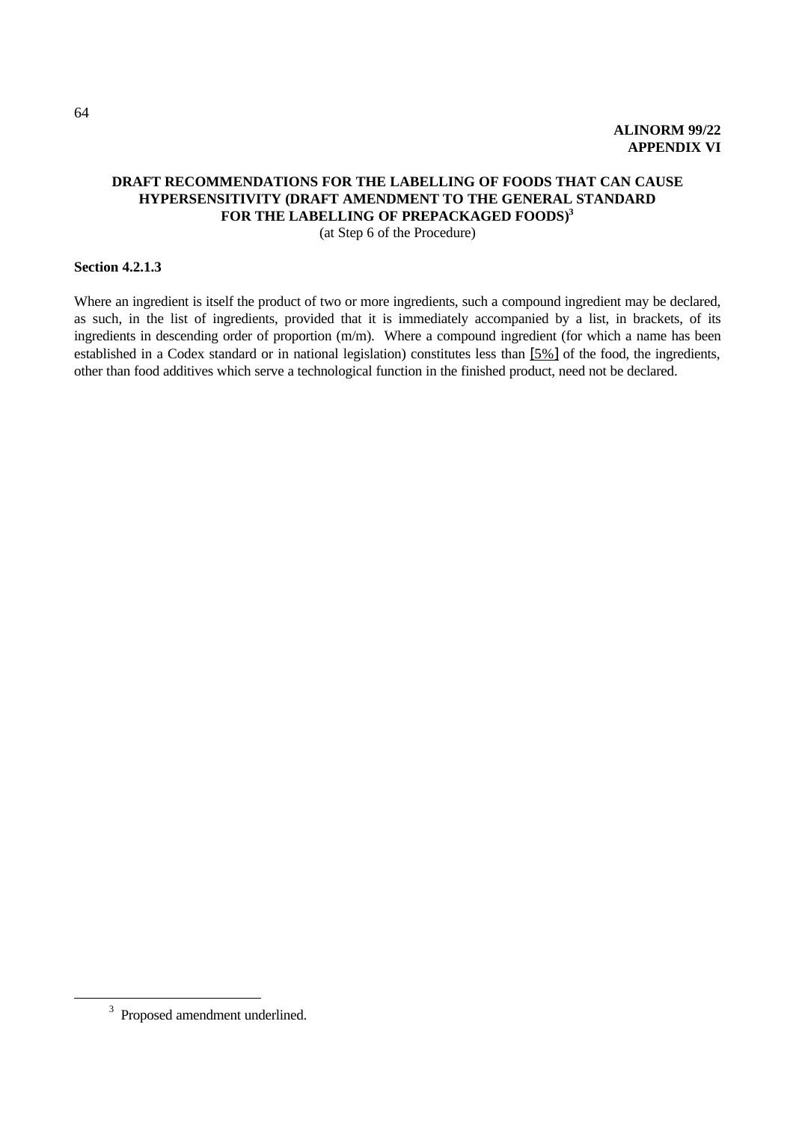## **DRAFT RECOMMENDATIONS FOR THE LABELLING OF FOODS THAT CAN CAUSE HYPERSENSITIVITY (DRAFT AMENDMENT TO THE GENERAL STANDARD FOR THE LABELLING OF PREPACKAGED FOODS) 3**

(at Step 6 of the Procedure)

#### **Section 4.2.1.3**

Where an ingredient is itself the product of two or more ingredients, such a compound ingredient may be declared, as such, in the list of ingredients, provided that it is immediately accompanied by a list, in brackets, of its ingredients in descending order of proportion (m/m). Where a compound ingredient (for which a name has been established in a Codex standard or in national legislation) constitutes less than [5%] of the food, the ingredients, other than food additives which serve a technological function in the finished product, need not be declared.

 $\overline{a}$ 

<sup>&</sup>lt;sup>3</sup> Proposed amendment underlined.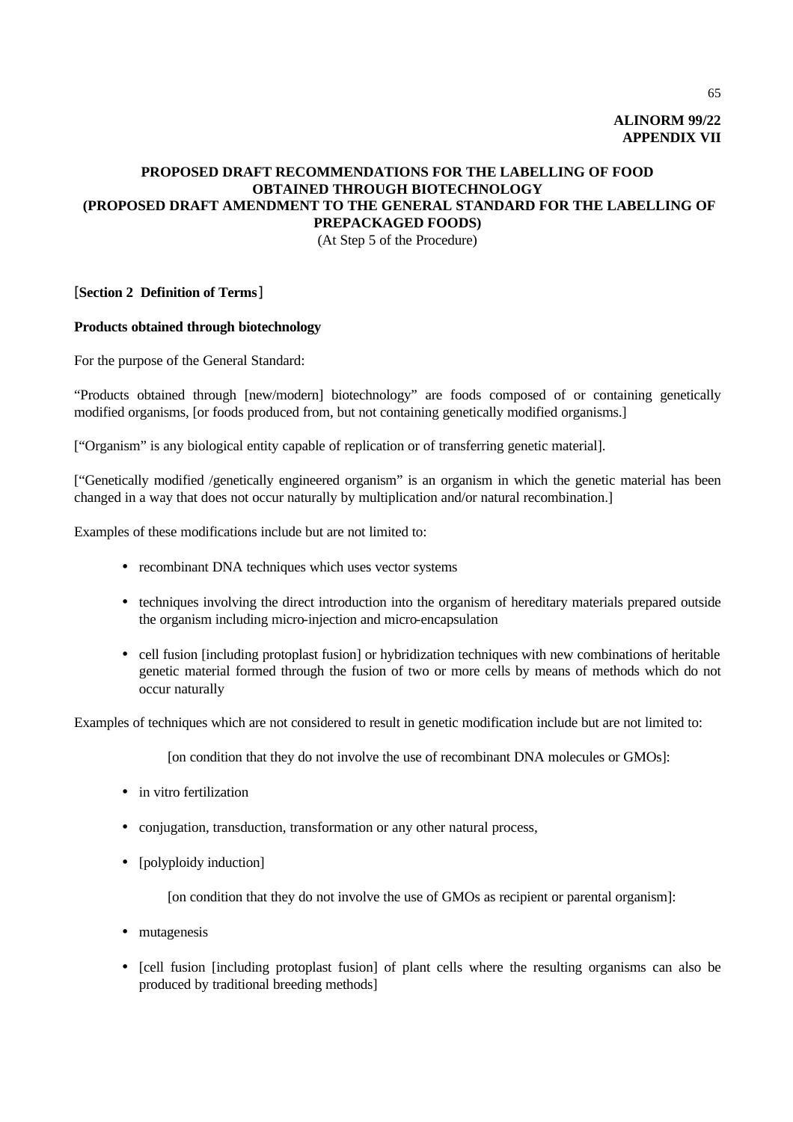## **ALINORM 99/22 APPENDIX VII**

## **PROPOSED DRAFT RECOMMENDATIONS FOR THE LABELLING OF FOOD OBTAINED THROUGH BIOTECHNOLOGY (PROPOSED DRAFT AMENDMENT TO THE GENERAL STANDARD FOR THE LABELLING OF PREPACKAGED FOODS)**

(At Step 5 of the Procedure)

#### **[Section 2 Definition of Terms]**

#### **Products obtained through biotechnology**

For the purpose of the General Standard:

"Products obtained through [new/modern] biotechnology" are foods composed of or containing genetically modified organisms, [or foods produced from, but not containing genetically modified organisms.]

["Organism" is any biological entity capable of replication or of transferring genetic material].

["Genetically modified /genetically engineered organism" is an organism in which the genetic material has been changed in a way that does not occur naturally by multiplication and/or natural recombination.]

Examples of these modifications include but are not limited to:

- recombinant DNA techniques which uses vector systems
- techniques involving the direct introduction into the organism of hereditary materials prepared outside the organism including micro-injection and micro-encapsulation
- cell fusion [including protoplast fusion] or hybridization techniques with new combinations of heritable genetic material formed through the fusion of two or more cells by means of methods which do not occur naturally

Examples of techniques which are not considered to result in genetic modification include but are not limited to:

[on condition that they do not involve the use of recombinant DNA molecules or GMOs]:

- in vitro fertilization
- conjugation, transduction, transformation or any other natural process,
- [polyploidy induction]

[on condition that they do not involve the use of GMOs as recipient or parental organism]:

- mutagenesis
- [cell fusion [including protoplast fusion] of plant cells where the resulting organisms can also be produced by traditional breeding methods]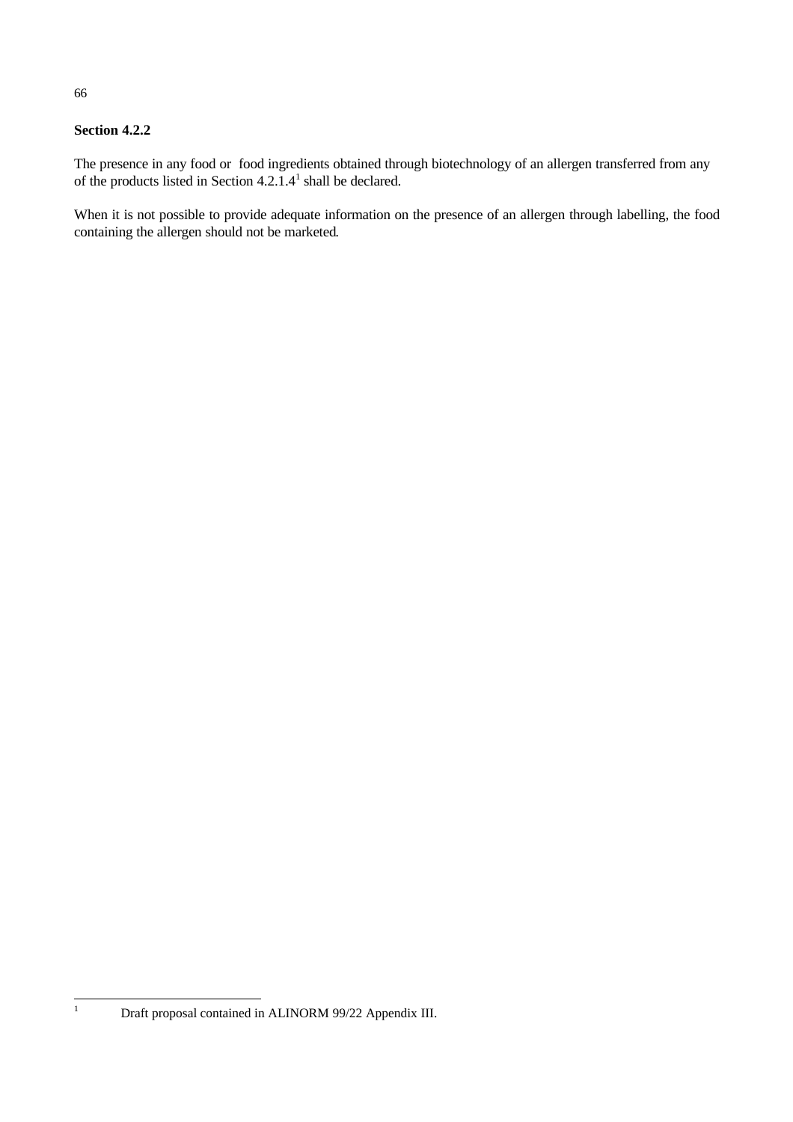## **Section 4.2.2**

The presence in any food or food ingredients obtained through biotechnology of an allergen transferred from any of the products listed in Section  $4.2.1.4<sup>1</sup>$  shall be declared.

When it is not possible to provide adequate information on the presence of an allergen through labelling, the food containing the allergen should not be marketed*.*

#### 66

 $\bar{1}$ 

<sup>1</sup> Draft proposal contained in ALINORM 99/22 Appendix III.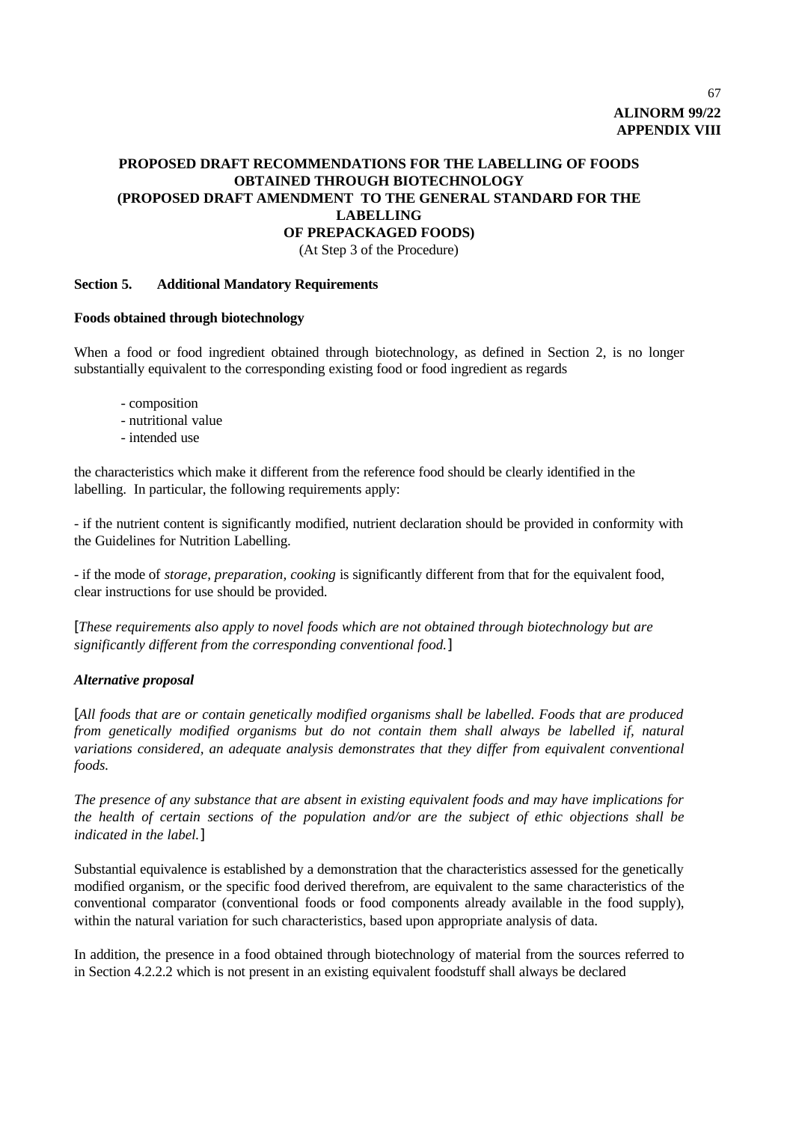#### 67 **ALINORM 99/22 APPENDIX VIII**

## **PROPOSED DRAFT RECOMMENDATIONS FOR THE LABELLING OF FOODS OBTAINED THROUGH BIOTECHNOLOGY (PROPOSED DRAFT AMENDMENT TO THE GENERAL STANDARD FOR THE LABELLING OF PREPACKAGED FOODS)**

(At Step 3 of the Procedure)

#### **Section 5. Additional Mandatory Requirements**

#### **Foods obtained through biotechnology**

When a food or food ingredient obtained through biotechnology, as defined in Section 2, is no longer substantially equivalent to the corresponding existing food or food ingredient as regards

- composition
- nutritional value
- intended use

the characteristics which make it different from the reference food should be clearly identified in the labelling. In particular, the following requirements apply:

- if the nutrient content is significantly modified, nutrient declaration should be provided in conformity with the Guidelines for Nutrition Labelling.

- if the mode of *storage, preparation, cooking* is significantly different from that for the equivalent food, clear instructions for use should be provided.

*[These requirements also apply to novel foods which are not obtained through biotechnology but are significantly different from the corresponding conventional food.]*

#### *Alternative proposal*

[*All foods that are or contain genetically modified organisms shall be labelled. Foods that are produced from genetically modified organisms but do not contain them shall always be labelled if, natural variations considered, an adequate analysis demonstrates that they differ from equivalent conventional foods.*

*The presence of any substance that are absent in existing equivalent foods and may have implications for the health of certain sections of the population and/or are the subject of ethic objections shall be indicated in the label.*]

Substantial equivalence is established by a demonstration that the characteristics assessed for the genetically modified organism, or the specific food derived therefrom, are equivalent to the same characteristics of the conventional comparator (conventional foods or food components already available in the food supply), within the natural variation for such characteristics, based upon appropriate analysis of data.

In addition, the presence in a food obtained through biotechnology of material from the sources referred to in Section 4.2.2.2 which is not present in an existing equivalent foodstuff shall always be declared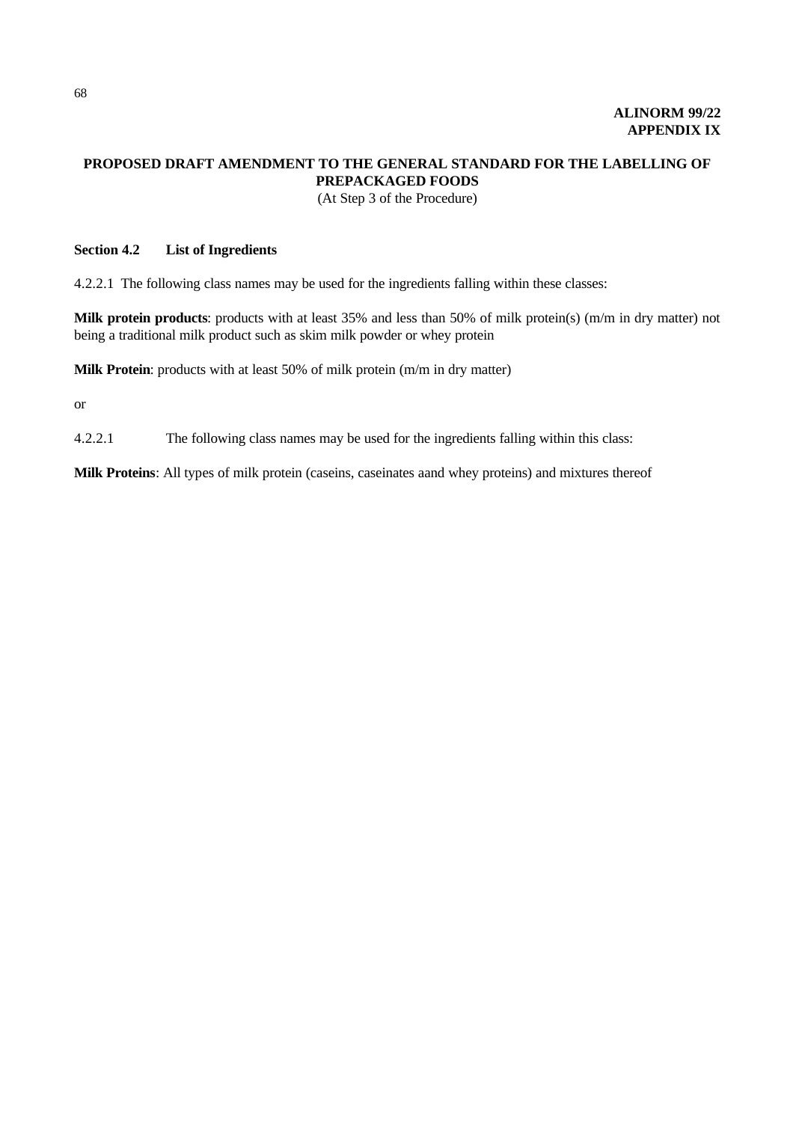# **PROPOSED DRAFT AMENDMENT TO THE GENERAL STANDARD FOR THE LABELLING OF PREPACKAGED FOODS**

(At Step 3 of the Procedure)

### **Section 4.2 List of Ingredients**

4.2.2.1 The following class names may be used for the ingredients falling within these classes:

**Milk protein products**: products with at least 35% and less than 50% of milk protein(s) (m/m in dry matter) not being a traditional milk product such as skim milk powder or whey protein

**Milk Protein**: products with at least 50% of milk protein (m/m in dry matter)

or

4.2.2.1 The following class names may be used for the ingredients falling within this class:

**Milk Proteins**: All types of milk protein (caseins, caseinates aand whey proteins) and mixtures thereof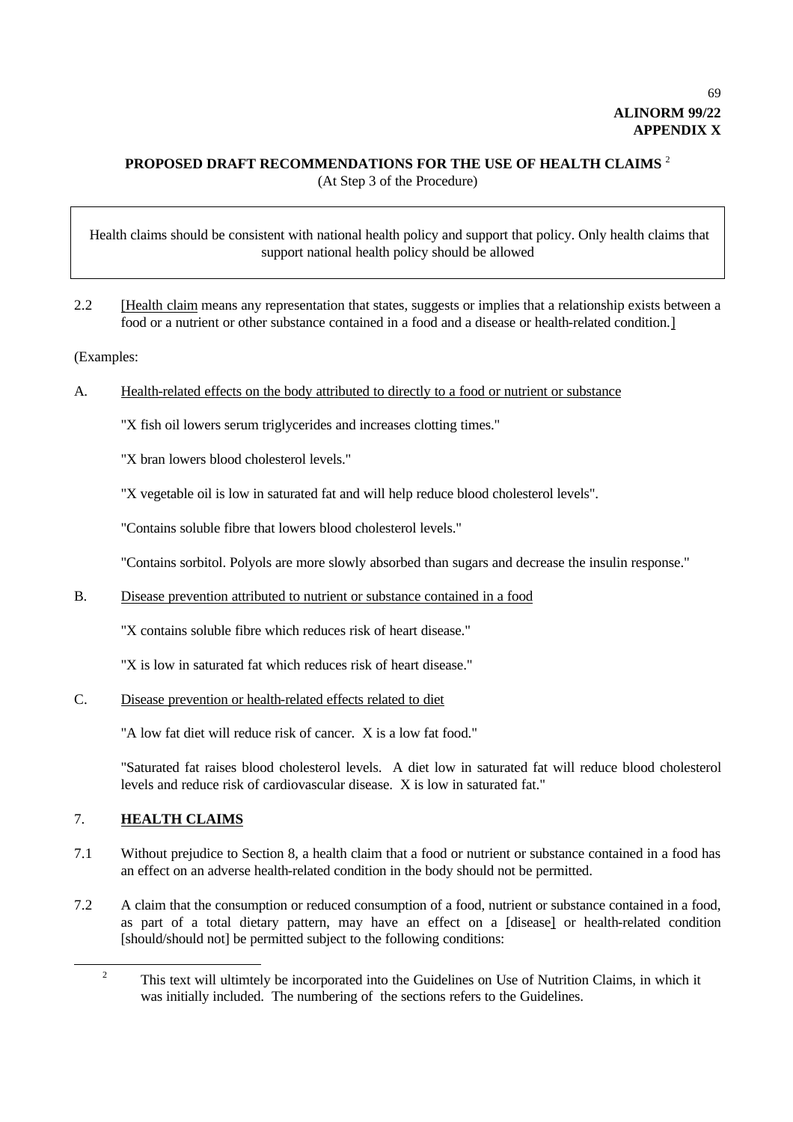## **PROPOSED DRAFT RECOMMENDATIONS FOR THE USE OF HEALTH CLAIMS** <sup>2</sup>

(At Step 3 of the Procedure)

 Health claims should be consistent with national health policy and support that policy. Only health claims that support national health policy should be allowed

2.2 [Health claim means any representation that states, suggests or implies that a relationship exists between a food or a nutrient or other substance contained in a food and a disease or health-related condition.]

(Examples:

## A. Health-related effects on the body attributed to directly to a food or nutrient or substance

"X fish oil lowers serum triglycerides and increases clotting times."

"X bran lowers blood cholesterol levels."

"X vegetable oil is low in saturated fat and will help reduce blood cholesterol levels".

"Contains soluble fibre that lowers blood cholesterol levels."

"Contains sorbitol. Polyols are more slowly absorbed than sugars and decrease the insulin response."

B. Disease prevention attributed to nutrient or substance contained in a food

"X contains soluble fibre which reduces risk of heart disease."

"X is low in saturated fat which reduces risk of heart disease."

C. Disease prevention or health-related effects related to diet

"A low fat diet will reduce risk of cancer. X is a low fat food."

"Saturated fat raises blood cholesterol levels. A diet low in saturated fat will reduce blood cholesterol levels and reduce risk of cardiovascular disease. X is low in saturated fat."

## 7. **HEALTH CLAIMS**

l

- 7.1 Without prejudice to Section 8, a health claim that a food or nutrient or substance contained in a food has an effect on an adverse health-related condition in the body should not be permitted.
- 7.2 A claim that the consumption or reduced consumption of a food, nutrient or substance contained in a food, as part of a total dietary pattern, may have an effect on a [disease] or health-related condition [should/should not] be permitted subject to the following conditions:
	- <sup>2</sup> This text will ultimtely be incorporated into the Guidelines on Use of Nutrition Claims, in which it was initially included. The numbering of the sections refers to the Guidelines.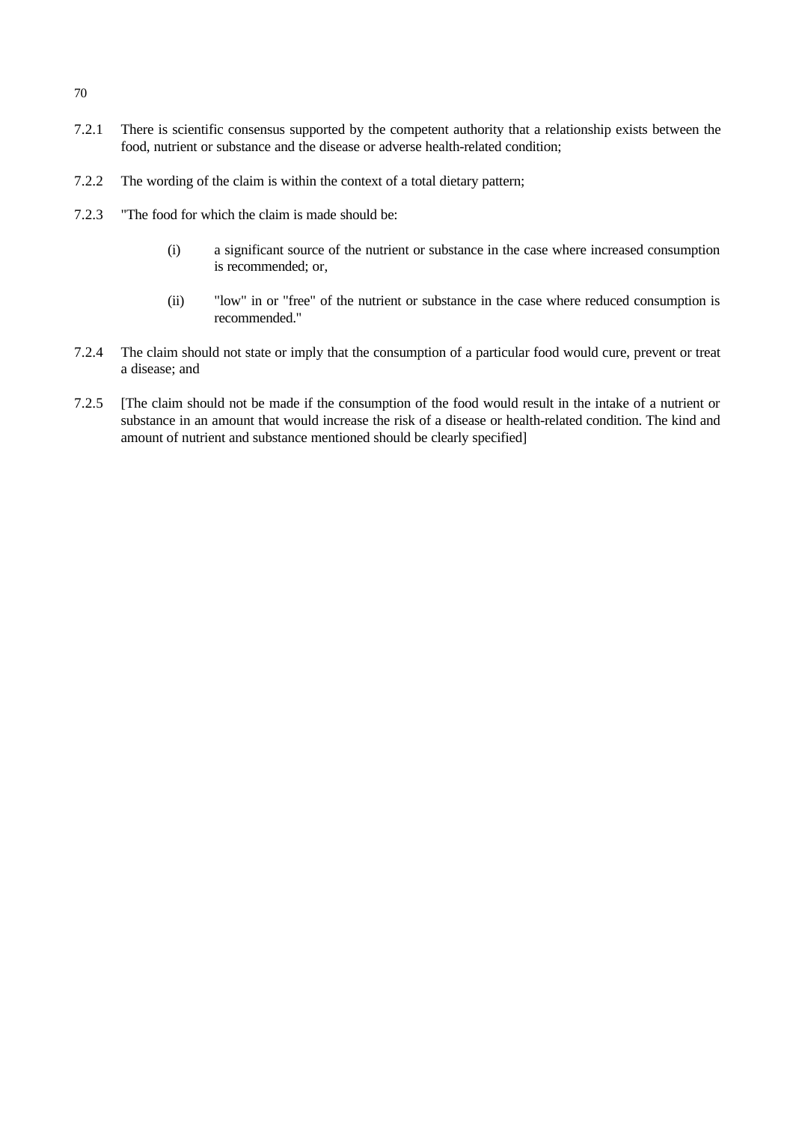- 7.2.1 There is scientific consensus supported by the competent authority that a relationship exists between the food, nutrient or substance and the disease or adverse health-related condition;
- 7.2.2 The wording of the claim is within the context of a total dietary pattern;
- 7.2.3 "The food for which the claim is made should be:
	- (i) a significant source of the nutrient or substance in the case where increased consumption is recommended; or,
	- (ii) "low" in or "free" of the nutrient or substance in the case where reduced consumption is recommended."
- 7.2.4 The claim should not state or imply that the consumption of a particular food would cure, prevent or treat a disease; and
- 7.2.5 [The claim should not be made if the consumption of the food would result in the intake of a nutrient or substance in an amount that would increase the risk of a disease or health-related condition. The kind and amount of nutrient and substance mentioned should be clearly specified]